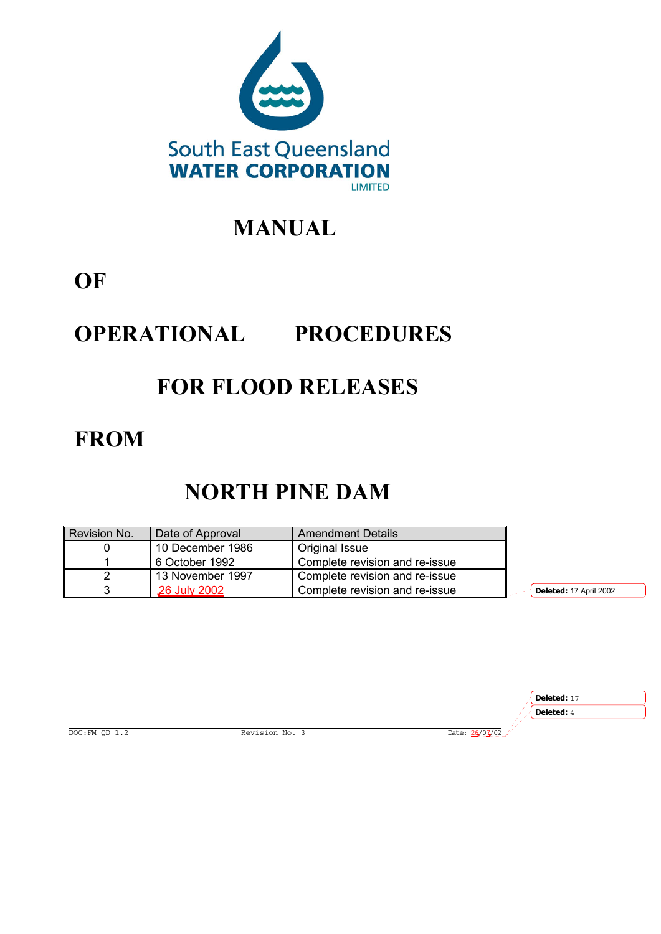

## **MANUAL**

 **OF** 

## **OPERATIONAL PROCEDURES**

## **FOR FLOOD RELEASES**

 **FROM** 

# **NORTH PINE DAM**

| Revision No. | Date of Approval    | <b>Amendment Details</b>       |                        |
|--------------|---------------------|--------------------------------|------------------------|
|              | 10 December 1986    | Original Issue                 |                        |
|              | 6 October 1992      | Complete revision and re-issue |                        |
|              | 13 November 1997    | Complete revision and re-issue |                        |
|              | <b>26 July 2002</b> | Complete revision and re-issue | Deleted: 17 April 2002 |

|                | <b>Deleted: 17</b> |
|----------------|--------------------|
|                | <b>Deleted:</b> 4  |
|                |                    |
| Revision No. 3 | Date: $26/07/02$   |

 $DOC:FMOD1.2$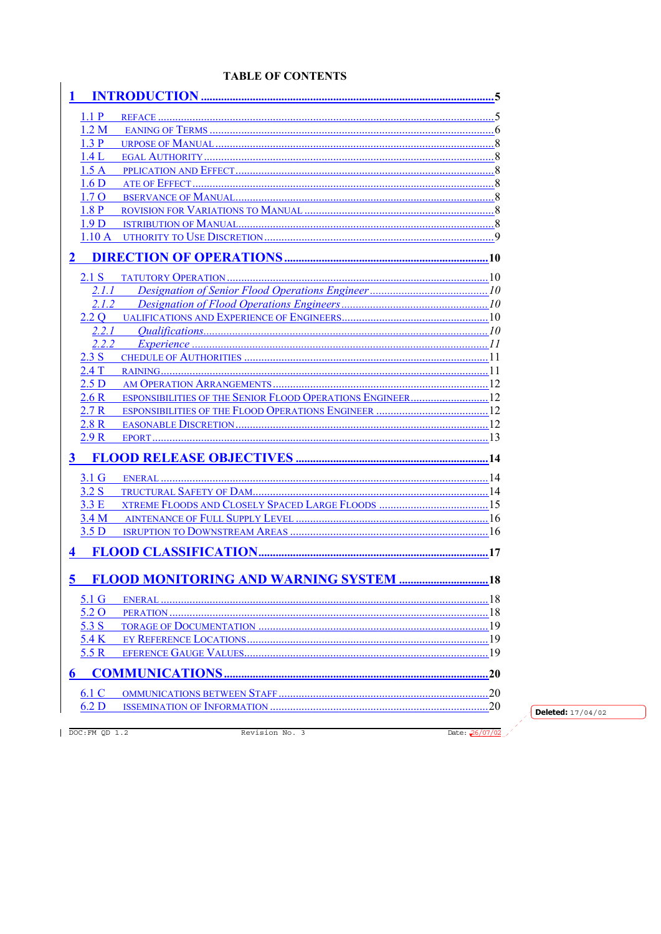## **TABLE OF CONTENTS**

| 1.1P             |                                                            |  |
|------------------|------------------------------------------------------------|--|
| 1.2 M            |                                                            |  |
| 1.3P             |                                                            |  |
| 1.4 L            |                                                            |  |
| 1.5A             |                                                            |  |
| 1.6 <sub>D</sub> |                                                            |  |
| 1.7 <sub>O</sub> |                                                            |  |
| 1.8P             |                                                            |  |
| 1.9 <sub>D</sub> |                                                            |  |
| 1.10A            |                                                            |  |
| $\mathbf{2}$     |                                                            |  |
| 2.1 S            |                                                            |  |
| 2.1.1            |                                                            |  |
| 2.1.2            |                                                            |  |
|                  |                                                            |  |
| 2.2.1            |                                                            |  |
| 2.2.2            |                                                            |  |
| 2.3 S            |                                                            |  |
| 2.4T             |                                                            |  |
| 2.5 <sub>D</sub> |                                                            |  |
| 2.6R             | ESPONSIBILITIES OF THE SENIOR FLOOD OPERATIONS ENGINEER 12 |  |
| 2.7R             |                                                            |  |
| 2.8R             |                                                            |  |
| 2.9R             |                                                            |  |
| 3                |                                                            |  |
| 3.1 <sub>G</sub> |                                                            |  |
| 3.2 S            |                                                            |  |
| 3.3 <sub>E</sub> |                                                            |  |
| 3.4 <sub>M</sub> |                                                            |  |
| 3.5 <sub>D</sub> |                                                            |  |
|                  |                                                            |  |
| 5                | FLOOD MONITORING AND WARNING SYSTEM 18                     |  |
| 5.1 <sub>G</sub> |                                                            |  |
| 5.2 <sub>O</sub> |                                                            |  |
| 5.3 S            |                                                            |  |
| 5.4 K            |                                                            |  |
| 5.5 R            |                                                            |  |
| 6                |                                                            |  |
| 6.1 C            |                                                            |  |
| 6.2 <sub>D</sub> |                                                            |  |
|                  |                                                            |  |

DOC: FM QD 1.2

Revision No. 3

Date:  $\frac{26/07/02}{\sqrt{25}}$ 

 $\sqrt{\text{Deleted: } 17/04/02}$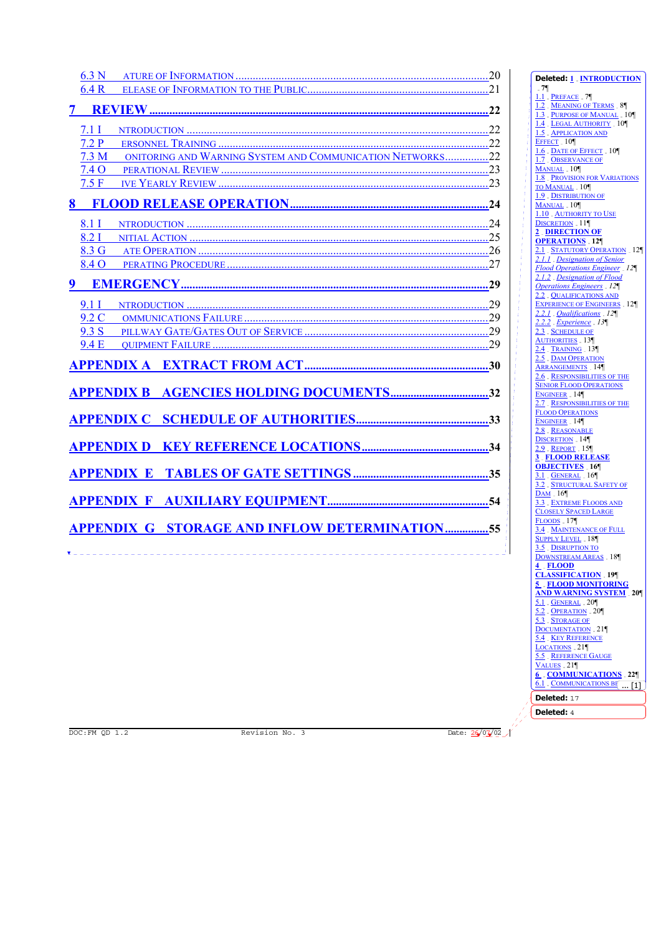| 6.3 N                                                           |  |
|-----------------------------------------------------------------|--|
| 6.4R                                                            |  |
|                                                                 |  |
| 7 1 I                                                           |  |
| 7.2P                                                            |  |
| 7.3 M ONITORING AND WARNING SYSTEM AND COMMUNICATION NETWORKS22 |  |
| 7.4 Q                                                           |  |
| 7.5 F                                                           |  |
| 8                                                               |  |
|                                                                 |  |
| 8.1 I<br>82I                                                    |  |
| 8.3 G                                                           |  |
| 8.4 O                                                           |  |
|                                                                 |  |
|                                                                 |  |
| 9.1 I                                                           |  |
| 9.2 C                                                           |  |
| 9.3 S                                                           |  |
| 9.4 <sub>E</sub>                                                |  |
|                                                                 |  |
|                                                                 |  |
| APPENDIX B AGENCIES HOLDING DOCUMENTS32                         |  |
|                                                                 |  |
|                                                                 |  |
|                                                                 |  |
|                                                                 |  |
|                                                                 |  |
|                                                                 |  |
|                                                                 |  |
|                                                                 |  |
| <b>APPENDIX G STORAGE AND INFLOW DETERMINATION55</b>            |  |
|                                                                 |  |
|                                                                 |  |

**Deleted: 1 INTRODUCTION 7**¶ 1.1 PREFACE - 7¶ 1.2 MEANING OF TERMS 8 1.3 PURPOSE OF MANUAL 10 1.4 LEGAL AUTHORITY 10¶ 1.5 APPLICATION AND EFFECT 10 1.6 DATE OF EFFECT 10 1.7 OBSERVANCE OF MANUAL 10 1.8 PROVISION FOR VARIATIONS TO MANUAL 10 1.9 DISTRIBUTION OF MANUAL 10 1.10 AUTHORITY TO USE DISCRETION 11 **2 DIRECTION OF OPERATIONS 12**¶ 2.1 STATUTORY OPERATION 12 *2.1.1 Designation of Senior Flood Operations Engineer 12*¶ *2.1.2 Designation of Flood Operations Engineers 12*¶ 2.2 QUALIFICATIONS AND **EXPERIENCE OF ENGINEERS** 12 *2.2.1 Qualifications 12*¶ *2.2.2 Experience 13*¶ 2.3 SCHEDULE OF AUTHORITIES 13 2.4 TRAINING 13 2.5 DAM OPERATION ARRANGEMENTS 14 2.6 RESPONSIBILITIES OF THE SENIOR FLOOD OPERATIONS ENGINEER 14¶ 2.7 RESPONSIBILITIES OF THE FLOOD OPERATIONS ENGINEER 14 2.8 REASONABLE DISCRETION 14 2.9 REPORT 15 **3 FLOOD RELEASE OBJECTIVES 16**¶ 3.1 GENERAL 16 3.2 STRUCTURAL SAFETY OF  $\overline{\text{DAM}}$  . 16¶ 3.3 EXTREME FLOODS AND CLOSELY SPACED LARGE FLOODS 17 3.4 MAINTENANCE OF FULL SUPPLY LEVEL - 18 3.5 DISRUPTION TO DOWNSTREAM AREAS 18 **4 FLOOD CLASSIFICATION 19**¶ **5 FLOOD MONITORING AND WARNING SYSTEM 20**¶ 5.1 GENERAL 20 5.2 OPERATION 20 5.3 STORAGE OF DOCUMENTATION 21 5.4 KEY REFERENCE LOCATIONS 21 5.5 REFERENCE GAUGE  $V_{ALUES}$   $21$ **6 COMMUNICATIONS 22**¶ **6.1** COMMUNICATIONS BETWEEN **Deleted:** 17 **Deleted:** 4  $\overline{... 11}$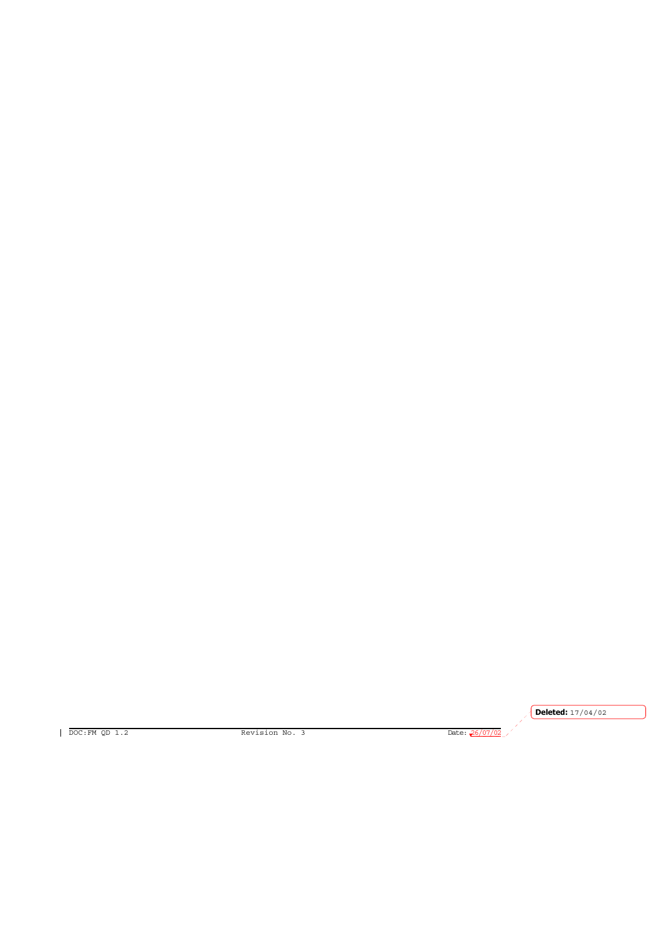**DOC:FM QD 1.2** Revision No. 3 Date:  $26/07/02$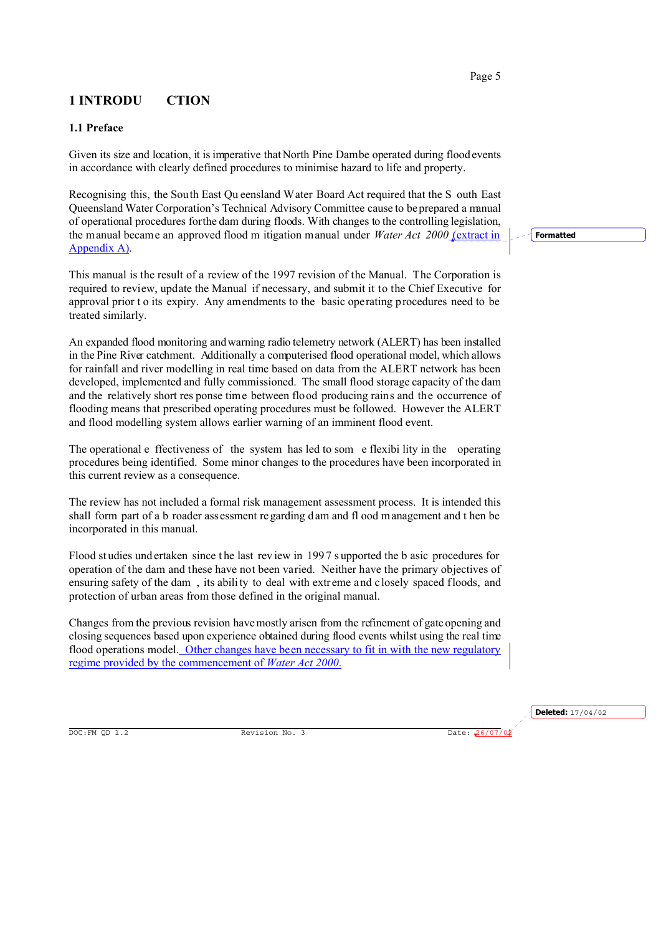## <span id="page-4-0"></span>**1 INTRODU CTION**

#### **1.1 Preface**

<span id="page-4-1"></span>Given its size and location, it is imperative that North Pine Dambe operated during flood events in accordance with clearly defined procedures to minimise hazard to life and property.

Recognising this, the South East Qu eensland Water Board Act required that the S outh East Queensland Water Corporation's Technical Advisory Committee cause to be prepared a manual of operational procedures for the dam during floods. With changes to the controlling legislation, the manual became an approved flood m itigation manual under *Water Act 2000* (extract in Appendix A).

This manual is the result of a review of the 1997 revision of the Manual. The Corporation is required to review, update the Manual if necessary, and submit it to the Chief Executive for approval prior t o its expiry. Any amendments to the basic operating procedures need to be treated similarly.

An expanded flood monitoring and warning radio telemetry network (ALERT) has been installed in the Pine River catchment. Additionally a computerised flood operational model, which allows for rainfall and river modelling in real time based on data from the ALERT network has been developed, implemented and fully commissioned. The small flood storage capacity of the dam and the relatively short res ponse time between flood producing rains and the occurrence of flooding means that prescribed operating procedures must be followed. However the ALERT and flood modelling system allows earlier warning of an imminent flood event.

The operational e ffectiveness of the system has led to som e flexibi lity in the operating procedures being identified. Some minor changes to the procedures have been incorporated in this current review as a consequence.

The review has not included a formal risk management assessment process. It is intended this shall form part of a b roader assessment regarding dam and fl ood management and t hen be incorporated in this manual.

Flood studies und ertaken since the last review in 1997 supported the b asic procedures for operation of the dam and these have not been varied. Neither have the primary objectives of ensuring safety of the dam , its abili ty to deal with extreme and closely spaced floods, and protection of urban areas from those defined in the original manual.

Changes from the previous revision have mostly arisen from the refinement of gate opening and closing sequences based upon experience obtained during flood events whilst using the real time flood operations model. Other changes have been necessary to fit in with the new regulatory regime provided by the commencement of *Water Act 2000*.

DOC:FM OD 1.2 Revision No. 3 Date:

**Formatted**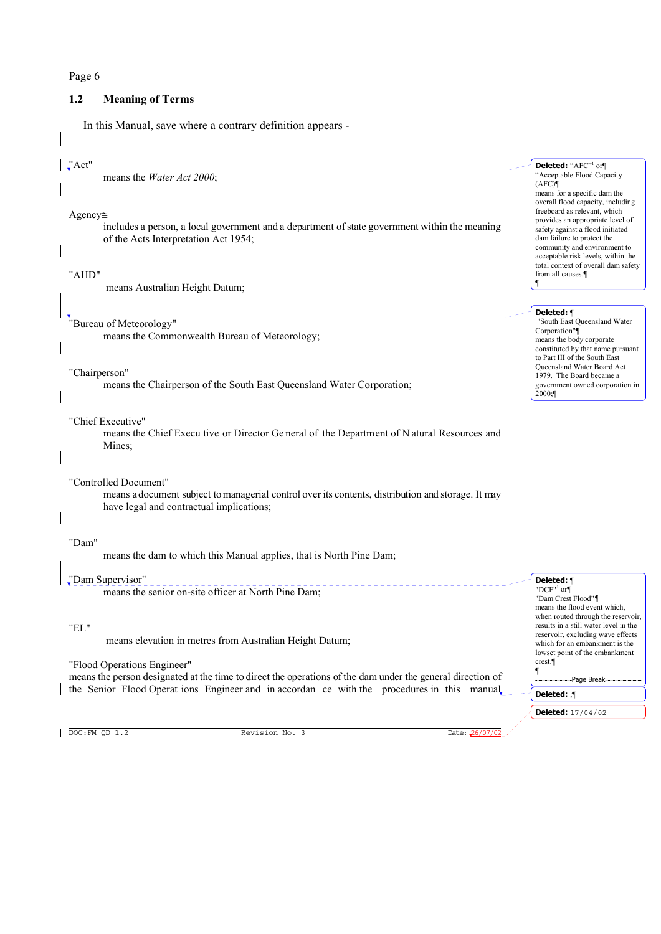#### <span id="page-5-0"></span>**1.2 Meaning of Terms**

In this Manual, save where a contrary definition appears -

#### "Act"

means the *Water Act 2000*;

#### Agency

includes a person, a local government and a department of state government within the meaning of the Acts Interpretation Act 1954;

#### "AHD"

means Australian Height Datum;

## "Bureau of Meteorology"

means the Commonwealth Bureau of Meteorology;

#### "Chairperson"

means the Chairperson of the South East Queensland Water Corporation;

#### "Chief Executive"

means the Chief Execu tive or Director Ge neral of the Department of N atural Resources and Mines;

#### "Controlled Document"

means a document subject to managerial control over its contents, distribution and storage. It may have legal and contractual implications;

#### "Dam"

means the dam to which this Manual applies, that is North Pine Dam;

#### "Dam Supervisor"

means the senior on-site officer at North Pine Dam;

#### "EL"

means elevation in metres from Australian Height Datum;

#### "Flood Operations Engineer"

means the person designated at the time to direct the operations of the dam under the general direction of the Senior Flood Operat ions Engineer and in accordan ce with the procedures in this manual

DOC:FM QD 1.2 Revision No. 3 Date: 26/07/02

#### Deleted: "AFC"<sup>1</sup> or "Acceptable Flood Capacity (AFC)¶ means for a specific dam the overall flood capacity, including freeboard as relevant, which provides an appropriate level of safety against a flood initiated dam failure to protect the community and environment to acceptable risk levels, within the total context of overall dam safety from all causes.¶

#### **Deleted:** ¶

**Deleted:** ¶ "DCF"<sup>1</sup> or "Dam Crest Flood"¶ means the flood event which, when routed through the reservoir, results in a still water level in the reservoir, excluding wave effects which for an embankment is the lowset point of the embankment

crest.¶ ¶

**Deleted:** ;¶

**Deleted:** 17/04/02

Page Break

¶

 "South East Queensland Water Corporation"¶ means the body corporate constituted by that name pursuant to Part III of the South East Queensland Water Board Act 1979. The Board became a government owned corporation in 2000;¶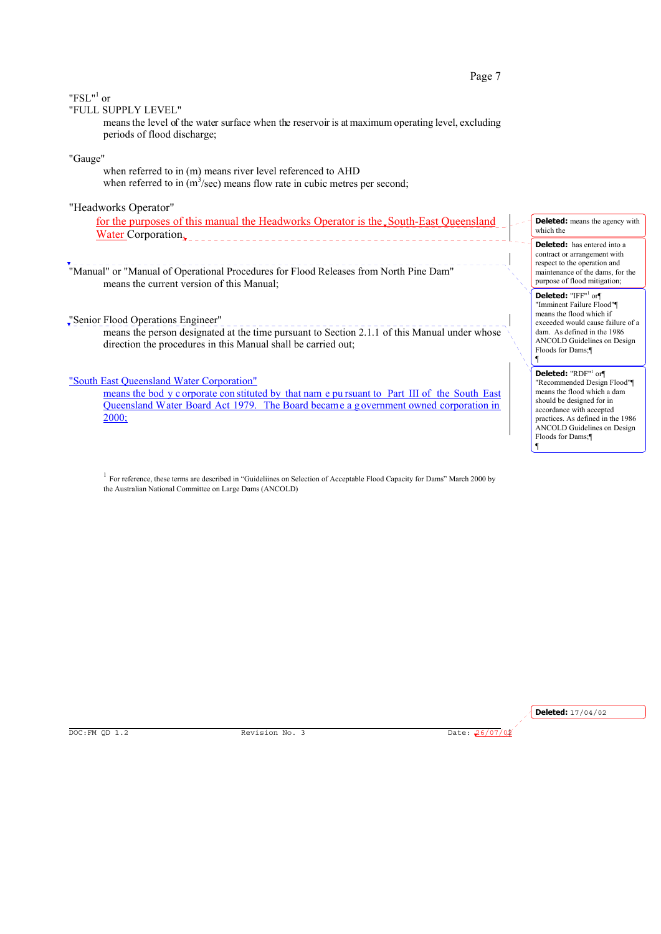" $\text{FSL}^{\mathfrak{m}^1}$  or

"FULL SUPPLY LEVEL"

means the level of the water surface when the reservoir is at maximum operating level, excluding periods of flood discharge;

#### "Gauge"

when referred to in (m) means river level referenced to AHD when referred to in  $(m^3/sec)$  means flow rate in cubic metres per second;

#### "Headworks Operator"

for the purposes of this manual the Headworks Operator is the South-East Queensland Water Corporation.

"Manual" or "Manual of Operational Procedures for Flood Releases from North Pine Dam" means the current version of this Manual;

#### "Senior Flood Operations Engineer"

means the person designated at the time pursuant to Section 2.1.1 of this Manual under whose direction the procedures in this Manual shall be carried out;

#### "South East Queensland Water Corporation"

means the bod y c orporate con stituted by that nam e pu rsuant to Part III of the South East Queensland Water Board Act 1979. The Board became a g overnment owned corporation in 2000;

<sup>1</sup> For reference, these terms are described in "Guideliines on Selection of Acceptable Flood Capacity for Dams" March 2000 by the Australian National Committee on Large Dams (ANCOLD)

respect to the operation and maintenance of the dams, for the purpose of flood mitigation; Deleted: "IFF"<sup>1</sup> or "Imminent Failure Flood"¶ means the flood which if exceeded would cause failure of a dam. As defined in the 1986 ANCOLD Guidelines on Design Floods for Dams;¶ ¶

**Deleted:** means the agency with

**Deleted:** has entered into a contract or arrangement with

which the

Deleted: "RDF"<sup>1</sup> or "Recommended Design Flood"¶ means the flood which a dam should be designed for in accordance with accepted practices. As defined in the 1986 ANCOLD Guidelines on Design Floods for Dams;¶ ¶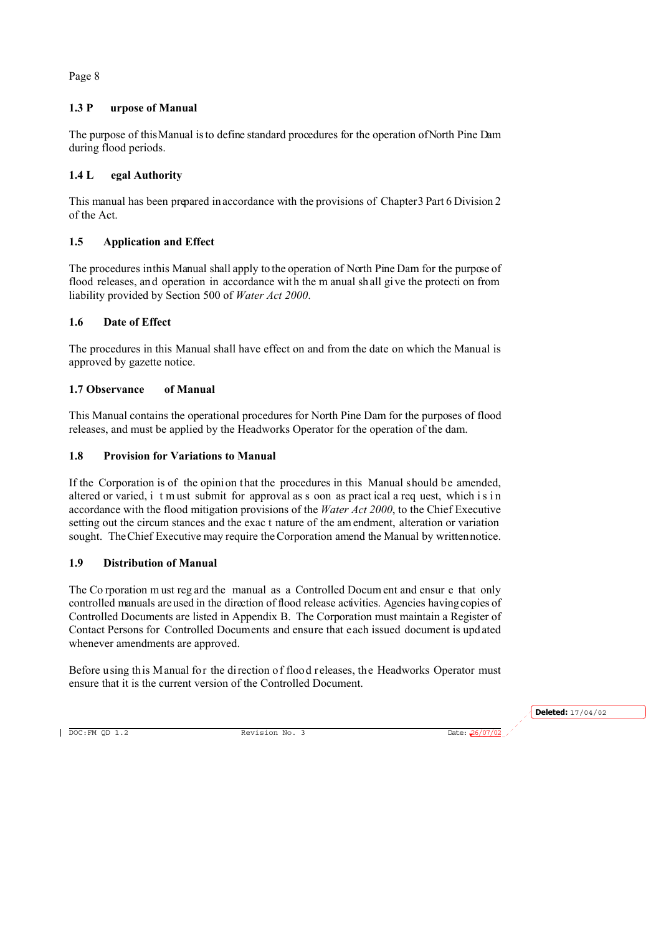## **1.3 P urpose of Manual**

<span id="page-7-0"></span>The purpose of this Manual is to define standard procedures for the operation of North Pine Dam during flood periods.

### **1.4 L egal Authority**

<span id="page-7-1"></span>This manual has been prepared in accordance with the provisions of Chapter 3 Part 6 Division 2 of the Act.

## **1.5 Application and Effect**

<span id="page-7-2"></span>The procedures in this Manual shall apply to the operation of North Pine Dam for the purpose of flood releases, and operation in accordance with the m anual shall give the protecti on from liability provided by Section 500 of *Water Act 2000*.

### **1.6 Date of Effect**

The procedures in this Manual shall have effect on and from the date on which the Manual is approved by gazette notice.

### <span id="page-7-3"></span>**1.7 Observance of Manual**

This Manual contains the operational procedures for North Pine Dam for the purposes of flood releases, and must be applied by the Headworks Operator for the operation of the dam.

#### <span id="page-7-4"></span>**1.8 Provision for Variations to Manual**

If the Corporation is of the opinion that the procedures in this Manual should be amended, altered or varied, i t m ust submit for approval as s oon as practical a req uest, which is in accordance with the flood mitigation provisions of the *Water Act 2000*, to the Chief Executive setting out the circum stances and the exac t nature of the am endment, alteration or variation sought. The Chief Executive may require the Corporation amend the Manual by written notice.

### <span id="page-7-5"></span>**1.9 Distribution of Manual**

The Co rporation m ust reg ard the manual as a Controlled Docum ent and ensur e that only controlled manuals are used in the direction of flood release activities. Agencies having copies of Controlled Documents are listed in Appendix B. The Corporation must maintain a Register of Contact Persons for Controlled Documents and ensure that each issued document is updated whenever amendments are approved.

<span id="page-7-6"></span>Before using this Manual for the direction of flood releases, the Headworks Operator must ensure that it is the current version of the Controlled Document.

DOC:FM QD 1.2 Revision No. 3 Date: 26/07/02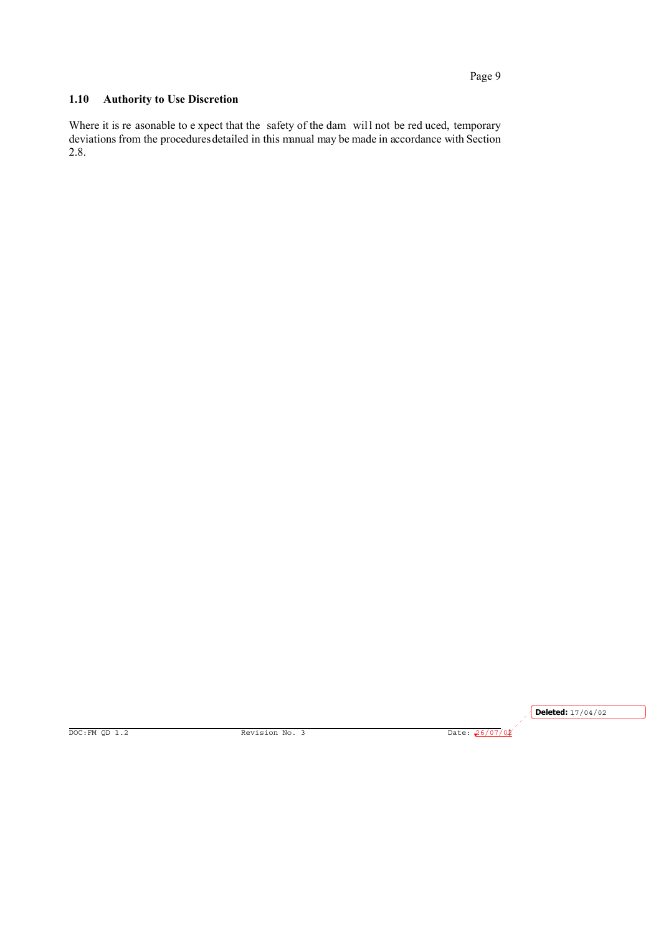## **1.10 Authority to Use Discretion**

<span id="page-8-0"></span>Where it is re asonable to e xpect that the safety of the dam will not be red uced, temporary deviations from the procedures detailed in this manual may be made in accordance with Section 2.8.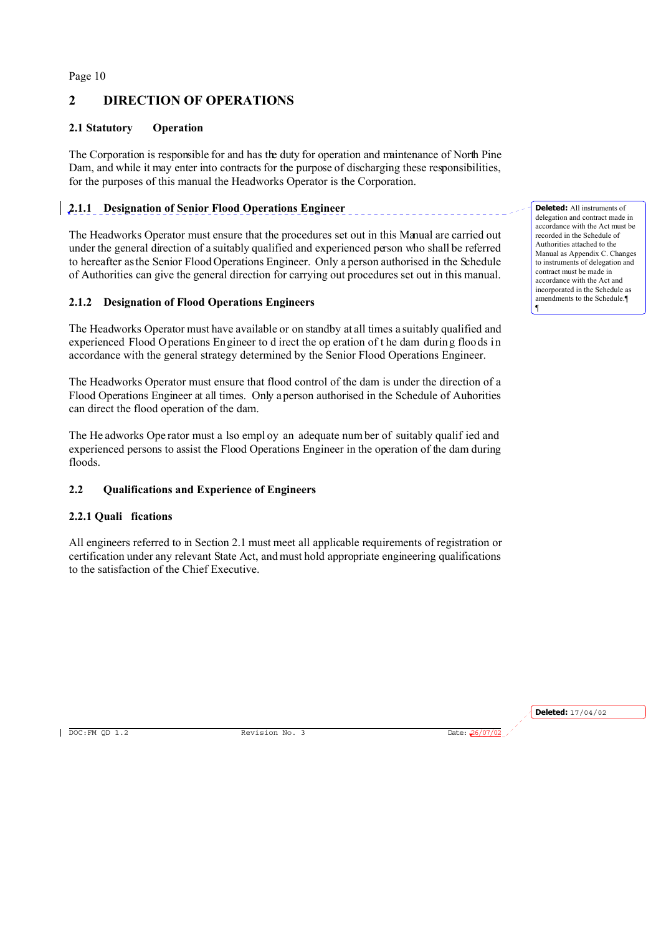## <span id="page-9-0"></span>**2 DIRECTION OF OPERATIONS**

#### **2.1 Statutory Operation**

<span id="page-9-1"></span>The Corporation is responsible for and has the duty for operation and maintenance of North Pine Dam, and while it may enter into contracts for the purpose of discharging these responsibilities, for the purposes of this manual the Headworks Operator is the Corporation.

## **2.1.1 Designation of Senior Flood Operations Engineer**

<span id="page-9-2"></span>The Headworks Operator must ensure that the procedures set out in this Manual are carried out under the general direction of a suitably qualified and experienced person who shall be referred to hereafter as the Senior Flood Operations Engineer. Only a person authorised in the Schedule of Authorities can give the general direction for carrying out procedures set out in this manual.

#### **2.1.2 Designation of Flood Operations Engineers**

<span id="page-9-3"></span>The Headworks Operator must have available or on standby at all times a suitably qualified and experienced Flood Operations Engineer to d irect the op eration of t he dam during floods in accordance with the general strategy determined by the Senior Flood Operations Engineer.

The Headworks Operator must ensure that flood control of the dam is under the direction of a Flood Operations Engineer at all times. Only a person authorised in the Schedule of Authorities can direct the flood operation of the dam.

The He adworks Ope rator must a lso empl oy an adequate num ber of suitably qualif ied and experienced persons to assist the Flood Operations Engineer in the operation of the dam during floods.

### **2.2 Qualifications and Experience of Engineers**

#### **2.2.1 Quali fications**

<span id="page-9-5"></span><span id="page-9-4"></span>All engineers referred to in Section 2.1 must meet all applicable requirements of registration or certification under any relevant State Act, and must hold appropriate engineering qualifications to the satisfaction of the Chief Executive.

**Deleted:** All instruments of delegation and contract made in accordance with the Act must be recorded in the Schedule of Authorities attached to the Manual as Appendix C. Changes to instruments of delegation and contract must be made in accordance with the Act and incorporated in the Schedule as amendments to the Schedule.¶ ¶

 $\overline{DOC:FMOD 1.2}$  Revision No. 3 Date: 26/07/0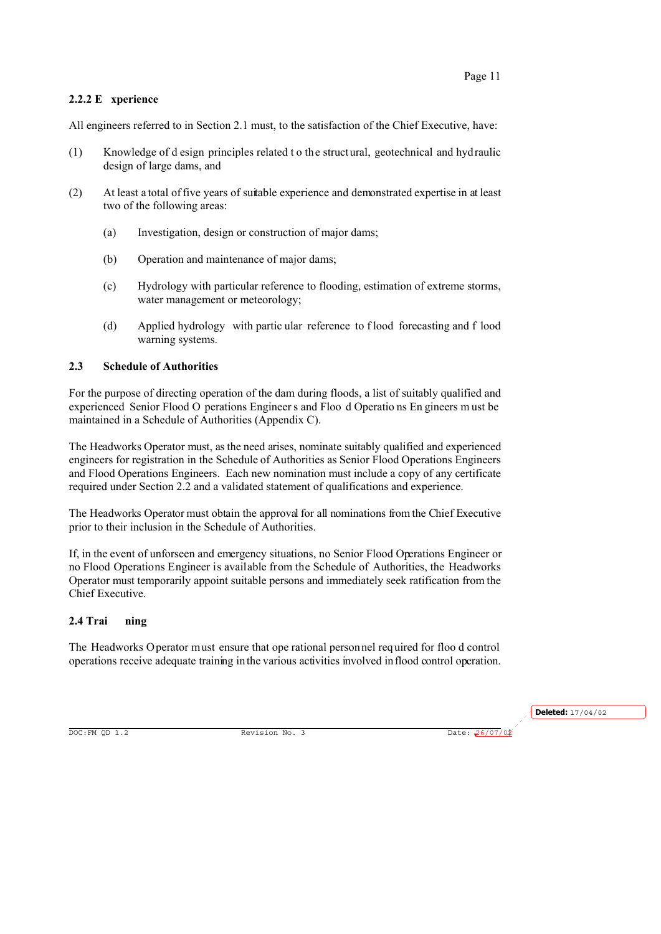### **2.2.2 E xperience**

<span id="page-10-0"></span>All engineers referred to in Section 2.1 must, to the satisfaction of the Chief Executive, have:

- (1) Knowledge of d esign principles related t o the structural, geotechnical and hydraulic design of large dams, and
- (2) At least a total of five years of suitable experience and demonstrated expertise in at least two of the following areas:
	- (a) Investigation, design or construction of major dams;
	- (b) Operation and maintenance of major dams;
	- (c) Hydrology with particular reference to flooding, estimation of extreme storms, water management or meteorology;
	- (d) Applied hydrology with partic ular reference to f lood forecasting and f lood warning systems.

#### **2.3 Schedule of Authorities**

For the purpose of directing operation of the dam during floods, a list of suitably qualified and experienced Senior Flood O perations Engineers and Floo d Operatio ns En gineers m ust be maintained in a Schedule of Authorities (Appendix C).

<span id="page-10-1"></span>The Headworks Operator must, as the need arises, nominate suitably qualified and experienced engineers for registration in the Schedule of Authorities as Senior Flood Operations Engineers and Flood Operations Engineers. Each new nomination must include a copy of any certificate required under Section 2.2 and a validated statement of qualifications and experience.

The Headworks Operator must obtain the approval for all nominations from the Chief Executive prior to their inclusion in the Schedule of Authorities.

If, in the event of unforseen and emergency situations, no Senior Flood Operations Engineer or no Flood Operations Engineer is available from the Schedule of Authorities, the Headworks Operator must temporarily appoint suitable persons and immediately seek ratification from the Chief Executive.

#### **2.4 Trai ning**

The Headworks Operator must ensure that ope rational personnel required for floo d control operations receive adequate training in the various activities involved in flood control operation.

<span id="page-10-2"></span>

 $DC:FM$  OD 1.2 Revision No. 3 Date:  $26/07/02$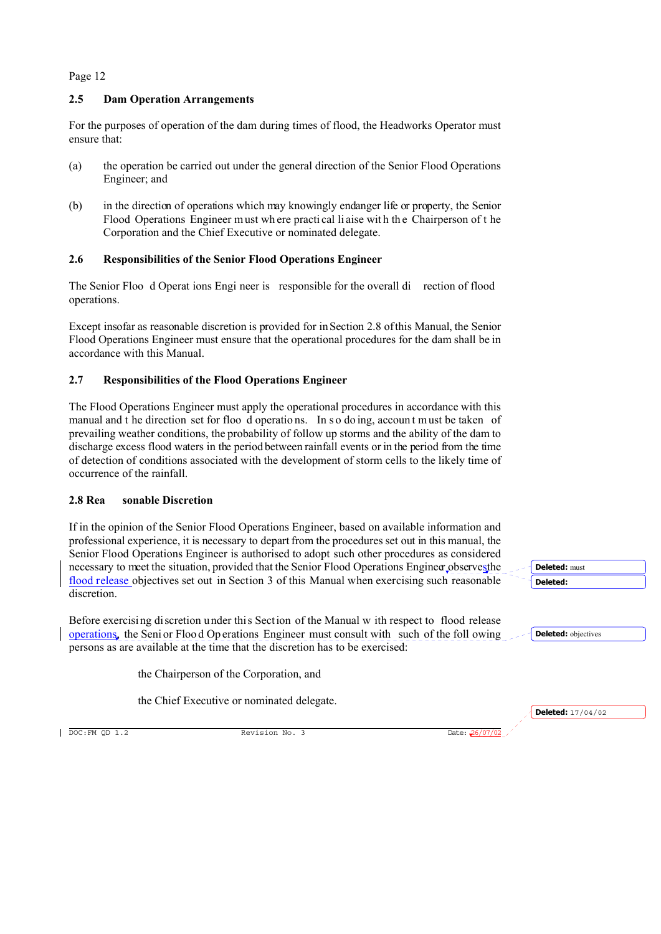#### **2.5 Dam Operation Arrangements**

<span id="page-11-0"></span>For the purposes of operation of the dam during times of flood, the Headworks Operator must ensure that:

- (a) the operation be carried out under the general direction of the Senior Flood Operations Engineer; and
- (b) in the direction of operations which may knowingly endanger life or property, the Senior Flood Operations Engineer m ust where practical liaise with the Chairperson of the Corporation and the Chief Executive or nominated delegate.

#### **2.6 Responsibilities of the Senior Flood Operations Engineer**

<span id="page-11-1"></span>The Senior Floo d Operat ions Engi neer is responsible for the overall di rection of flood operations.

Except insofar as reasonable discretion is provided for in Section 2.8 of this Manual, the Senior Flood Operations Engineer must ensure that the operational procedures for the dam shall be in accordance with this Manual.

#### **2.7 Responsibilities of the Flood Operations Engineer**

<span id="page-11-2"></span>The Flood Operations Engineer must apply the operational procedures in accordance with this manual and t he direction set for floo d operatio ns. In s o do ing, accoun t m ust be taken of prevailing weather conditions, the probability of follow up storms and the ability of the dam to discharge excess flood waters in the period between rainfall events or in the period from the time of detection of conditions associated with the development of storm cells to the likely time of occurrence of the rainfall.

#### **2.8 Rea sonable Discretion**

If in the opinion of the Senior Flood Operations Engineer, based on available information and professional experience, it is necessary to depart from the procedures set out in this manual, the Senior Flood Operations Engineer is authorised to adopt such other procedures as considered necessary to meet the situation, provided that the Senior Flood Operations Engineer observesthe flood release objectives set out in Section 3 of this Manual when exercising such reasonable discretion.

<span id="page-11-3"></span>Before exercising discretion under this Section of the Manual w ith respect to flood release operations, the Seni or Floo d Op erations Engineer must consult with such of the foll owing persons as are available at the time that the discretion has to be exercised:

the Chairperson of the Corporation, and

the Chief Executive or nominated delegate.

POC:FM OD 1.2 Revision No. 3 Date: 26

**Deleted:** 

**Deleted:** objectives

**Deleted:** 17/04/02

**Deleted:** must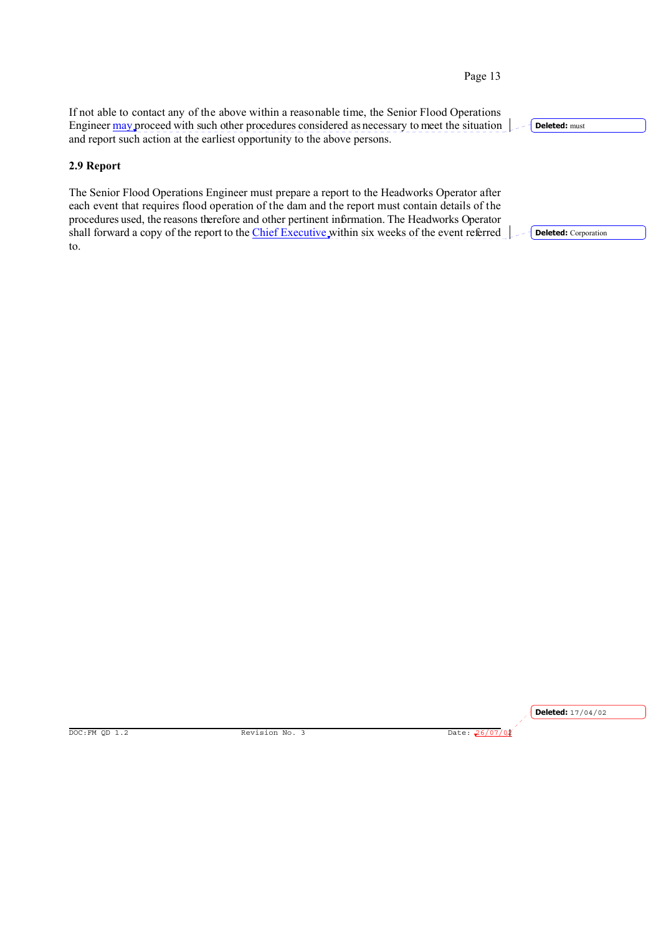<span id="page-12-0"></span>

| Page 13                                                                                                                                                                                                                                                                                                                                                                                                                                  |
|------------------------------------------------------------------------------------------------------------------------------------------------------------------------------------------------------------------------------------------------------------------------------------------------------------------------------------------------------------------------------------------------------------------------------------------|
| If not able to contact any of the above within a reasonable time, the Senior Flood Operations<br>Engineer may proceed with such other procedures considered as necessary to meet the situation<br><b>Deleted: must</b><br>and report such action at the earliest opportunity to the above persons.                                                                                                                                       |
| 2.9 Report                                                                                                                                                                                                                                                                                                                                                                                                                               |
| The Senior Flood Operations Engineer must prepare a report to the Headworks Operator after<br>each event that requires flood operation of the dam and the report must contain details of the<br>procedures used, the reasons therefore and other pertinent information. The Headworks Operator<br>shall forward a copy of the report to the Chief Executive within six weeks of the event referred<br><b>Deleted:</b> Corporation<br>to. |

DOC:FM QD 1.2 Revision No. 3 Date:  $26/07/04$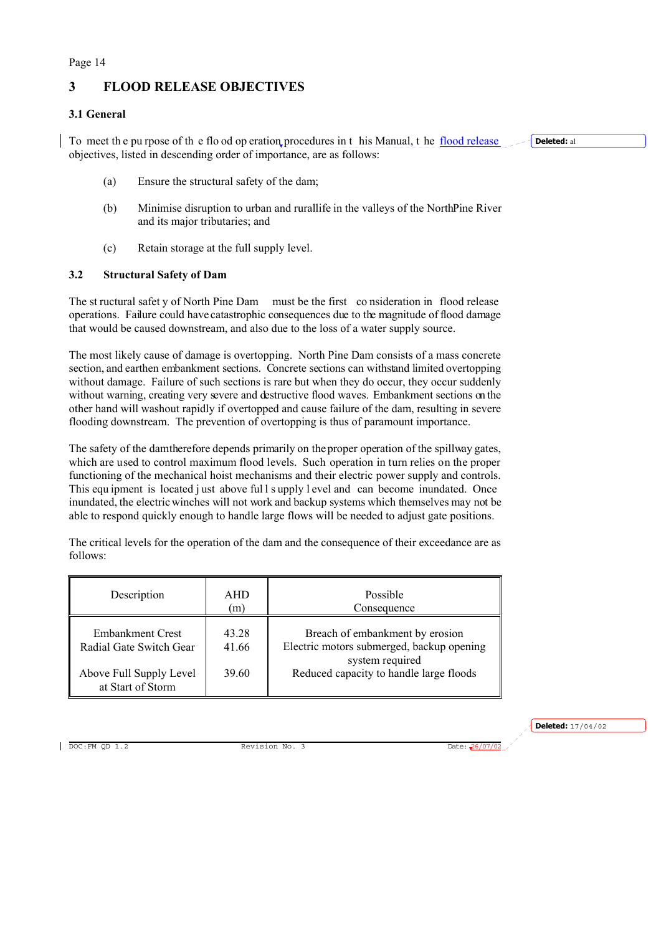## <span id="page-13-0"></span>**3 FLOOD RELEASE OBJECTIVES**

#### **3.1 General**

<span id="page-13-1"></span>To meet th e pu rpose of th e flo od op eration procedures in t his Manual, t he flood release objectives, listed in descending order of importance, are as follows: **Deleted:** al

- (a) Ensure the structural safety of the dam;
- (b) Minimise disruption to urban and rurallife in the valleys of the North Pine River and its major tributaries; and
- (c) Retain storage at the full supply level.

#### **3.2 Structural Safety of Dam**

<span id="page-13-2"></span>The st ructural safet y of North Pine Dam must be the first co nsideration in flood release operations. Failure could have catastrophic consequences due to the magnitude of flood damage that would be caused downstream, and also due to the loss of a water supply source.

The most likely cause of damage is overtopping. North Pine Dam consists of a mass concrete section, and earthen embankment sections. Concrete sections can withstand limited overtopping without damage. Failure of such sections is rare but when they do occur, they occur suddenly without warning, creating very severe and destructive flood waves. Embankment sections on the other hand will washout rapidly if overtopped and cause failure of the dam, resulting in severe flooding downstream. The prevention of overtopping is thus of paramount importance.

The safety of the dam therefore depends primarily on the proper operation of the spillway gates, which are used to control maximum flood levels. Such operation in turn relies on the proper functioning of the mechanical hoist mechanisms and their electric power supply and controls. This equipment is located just above full supply level and can become inundated. Once inundated, the electric winches will not work and backup systems which themselves may not be able to respond quickly enough to handle large flows will be needed to adjust gate positions.

The critical levels for the operation of the dam and the consequence of their exceedance are as follows:

| Description                                        | <b>AHD</b><br>(m) | Possible<br>Consequence                                                                         |
|----------------------------------------------------|-------------------|-------------------------------------------------------------------------------------------------|
| <b>Embankment Crest</b><br>Radial Gate Switch Gear | 43.28<br>41.66    | Breach of embankment by erosion<br>Electric motors submerged, backup opening<br>system required |
| Above Full Supply Level<br>at Start of Storm       | 39.60             | Reduced capacity to handle large floods                                                         |

 $\sqrt{100}$  DOC:FM OD 1.2 Revision No. 3 Date:  $\frac{26}{07/02}$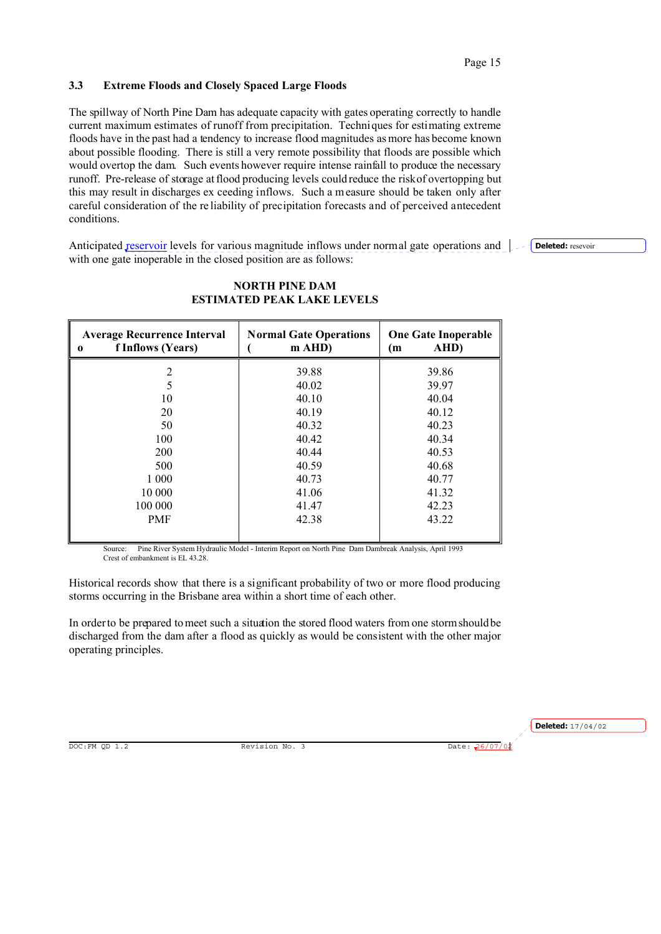#### <span id="page-14-0"></span>**3.3 Extreme Floods and Closely Spaced Large Floods**

The spillway of North Pine Dam has adequate capacity with gates operating correctly to handle current maximum estimates of runoff from precipitation. Techniques for estimating extreme floods have in the past had a tendency to increase flood magnitudes as more has become known about possible flooding. There is still a very remote possibility that floods are possible which would overtop the dam. Such events however require intense rainfall to produce the necessary runoff. Pre-release of storage at flood producing levels could reduce the risk of overtopping but this may result in discharges ex ceeding inflows. Such a measure should be taken only after careful consideration of the re liability of precipitation forecasts and of perceived antecedent conditions.

Anticipated reservoir levels for various magnitude inflows under normal gate operations and with one gate inoperable in the closed position are as follows:

**Deleted:** resevoir

| <b>Average Recurrence Interval</b><br>f Inflows (Years)<br>$\bf{0}$ | <b>Normal Gate Operations</b><br>m AHD) | <b>One Gate Inoperable</b><br>AHD)<br>(m |  |
|---------------------------------------------------------------------|-----------------------------------------|------------------------------------------|--|
| 2                                                                   | 39.88                                   | 39.86                                    |  |
|                                                                     | 40.02                                   | 39.97                                    |  |
| 10                                                                  | 40.10                                   | 40.04                                    |  |
| 20                                                                  | 40.19                                   | 40.12                                    |  |
| 50                                                                  | 40.32                                   | 40.23                                    |  |
| 100                                                                 | 40.42                                   | 40.34                                    |  |
| 200                                                                 | 40.44                                   | 40.53                                    |  |
| 500                                                                 | 40.59                                   | 40.68                                    |  |
| 1 000                                                               | 40.73                                   | 40.77                                    |  |
| 10 000                                                              | 41.06                                   | 41.32                                    |  |
| 100 000                                                             | 41.47                                   | 42.23                                    |  |
| <b>PMF</b>                                                          | 42.38                                   | 43.22                                    |  |
|                                                                     |                                         |                                          |  |

## **NORTH PINE DAM ESTIMATED PEAK LAKE LEVELS**

Source: Pine River System Hydraulic Model - Interim Report on North Pine Dam Dambreak Analysis, April 1993 Crest of embankment is EL 43.28.

Historical records show that there is a significant probability of two or more flood producing storms occurring in the Brisbane area within a short time of each other.

In order to be prepared to meet such a situation the stored flood waters from one storm should be discharged from the dam after a flood as quickly as would be consistent with the other major operating principles.

**Deleted:** 17/04/02

 $DC:FM$  OD 1.2 Revision No. 3 Date:  $26/07/02$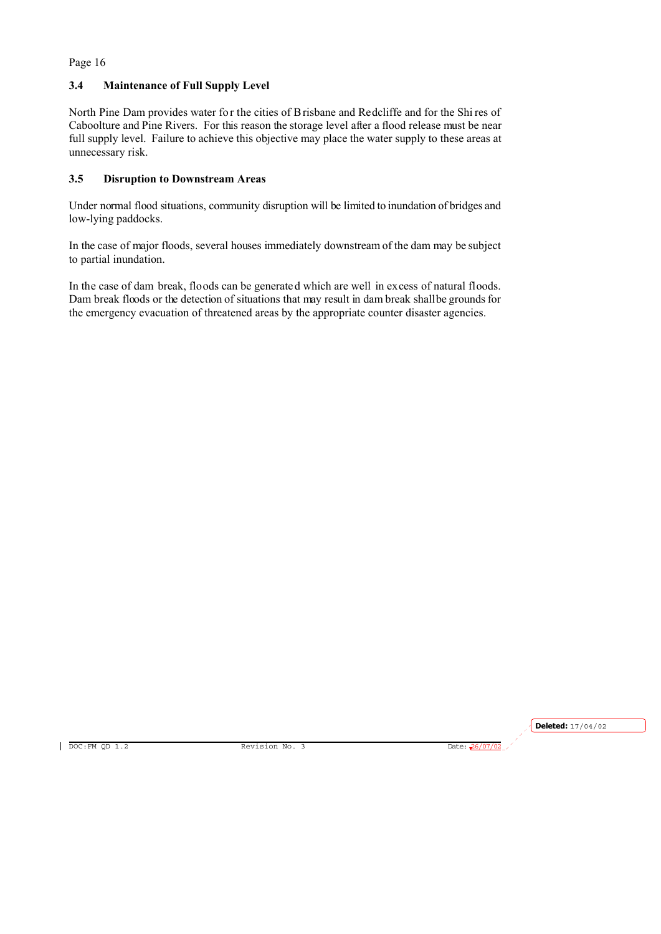#### <span id="page-15-0"></span>**3.4 Maintenance of Full Supply Level**

North Pine Dam provides water fo r the cities of Brisbane and Redcliffe and for the Shi res of Caboolture and Pine Rivers. For this reason the storage level after a flood release must be near full supply level. Failure to achieve this objective may place the water supply to these areas at unnecessary risk.

#### **3.5 Disruption to Downstream Areas**

<span id="page-15-1"></span>Under normal flood situations, community disruption will be limited to inundation of bridges and low-lying paddocks.

In the case of major floods, several houses immediately downstream of the dam may be subject to partial inundation.

In the case of dam break, floods can be generated which are well in excess of natural floods. Dam break floods or the detection of situations that may result in dam break shall be grounds for the emergency evacuation of threatened areas by the appropriate counter disaster agencies.

| DOC:FM QD 1.2 Revision No. 3 Date: 26/07/02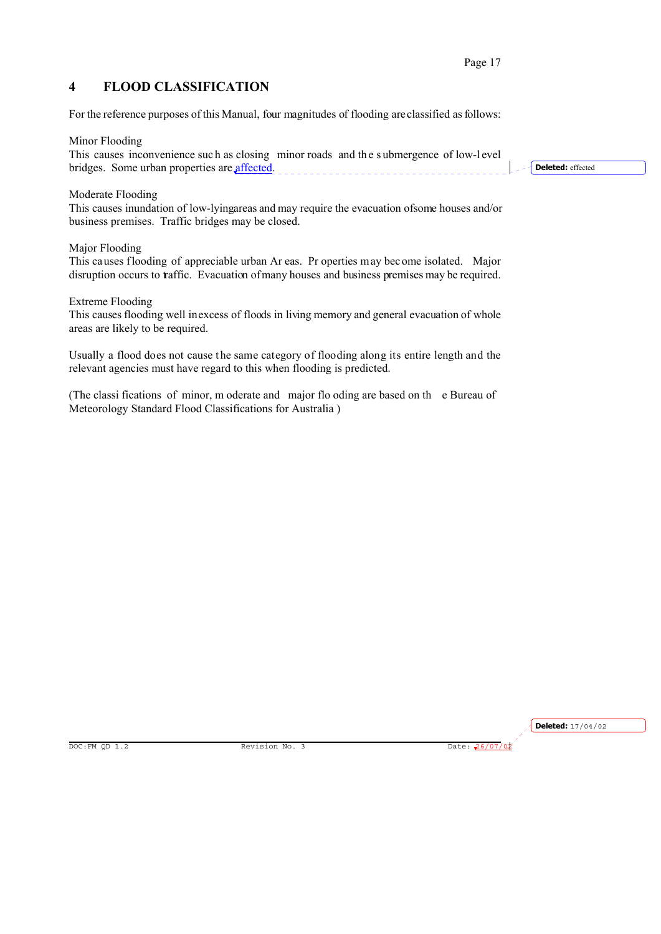## <span id="page-16-0"></span>**4 FLOOD CLASSIFICATION**

For the reference purposes of this Manual, four magnitudes of flooding are classified as follows:

#### Minor Flooding

This causes inconvenience suc h as closing minor roads and th e s ubmergence of low-l evel bridges. Some urban properties are affected.

**Deleted:** effected

#### Moderate Flooding

This causes inundation of low-lying areas and may require the evacuation of some houses and/or business premises. Traffic bridges may be closed.

#### Major Flooding

This causes flooding of appreciable urban Ar eas. Pr operties may become isolated. Major disruption occurs to traffic. Evacuation of many houses and business premises may be required.

#### Extreme Flooding

This causes flooding well in excess of floods in living memory and general evacuation of whole areas are likely to be required.

Usually a flood does not cause t he same category of flooding along its entire length and the relevant agencies must have regard to this when flooding is predicted.

(The classi fications of minor, m oderate and major flo oding are based on th e Bureau of Meteorology Standard Flood Classifications for Australia )

 $DC:FM$  QD 1.2 Revision No. 3 Date:  $26/07/02$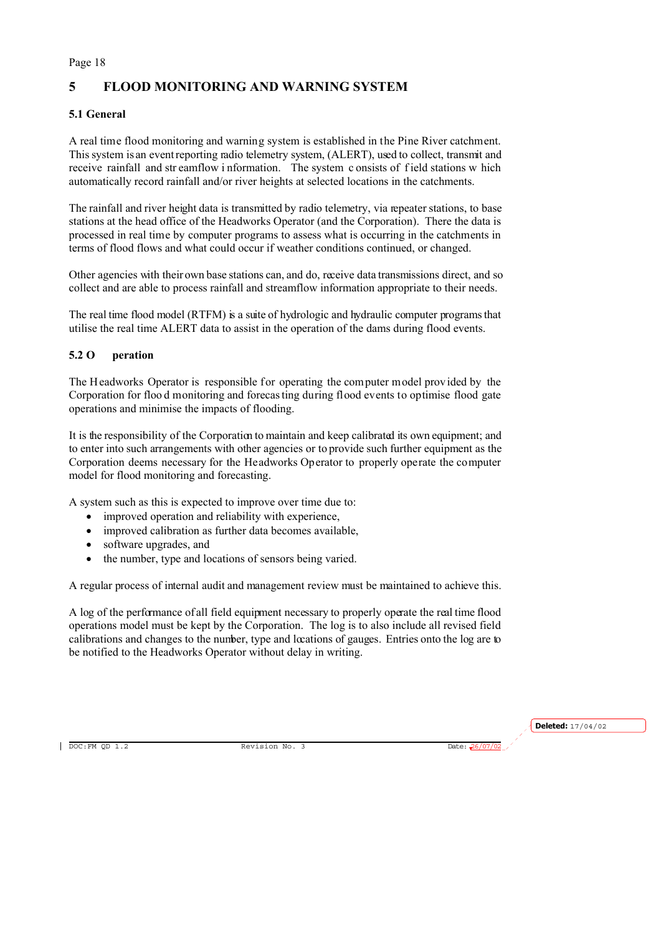## <span id="page-17-0"></span>**5 FLOOD MONITORING AND WARNING SYSTEM**

#### **5.1 General**

<span id="page-17-1"></span>A real time flood monitoring and warning system is established in the Pine River catchment. This system is an event reporting radio telemetry system, (ALERT), used to collect, transmit and receive rainfall and str eamflow i nformation. The system c onsists of f ield stations w hich automatically record rainfall and/or river heights at selected locations in the catchments.

The rainfall and river height data is transmitted by radio telemetry, via repeater stations, to base stations at the head office of the Headworks Operator (and the Corporation). There the data is processed in real time by computer programs to assess what is occurring in the catchments in terms of flood flows and what could occur if weather conditions continued, or changed.

Other agencies with their own base stations can, and do, receive data transmissions direct, and so collect and are able to process rainfall and streamflow information appropriate to their needs.

The real time flood model (RTFM) is a suite of hydrologic and hydraulic computer programs that utilise the real time ALERT data to assist in the operation of the dams during flood events.

#### **5.2 O peration**

The Headworks Operator is responsible for operating the computer model prov ided by the Corporation for floo d monitoring and forecasting during flood events to optimise flood gate operations and minimise the impacts of flooding.

<span id="page-17-2"></span>It is the responsibility of the Corporation to maintain and keep calibrated its own equipment; and to enter into such arrangements with other agencies or to provide such further equipment as the Corporation deems necessary for the Headworks Operator to properly operate the computer model for flood monitoring and forecasting.

A system such as this is expected to improve over time due to:

- improved operation and reliability with experience,
- improved calibration as further data becomes available,
- software upgrades, and
- the number, type and locations of sensors being varied.

A regular process of internal audit and management review must be maintained to achieve this.

A log of the performance of all field equipment necessary to properly operate the real time flood operations model must be kept by the Corporation. The log is to also include all revised field calibrations and changes to the number, type and locations of gauges. Entries onto the log are to be notified to the Headworks Operator without delay in writing.

 $\sqrt{D}$  DOC:FM OD 1.2 Revision No. 3 Date:  $\frac{26}{07/02}$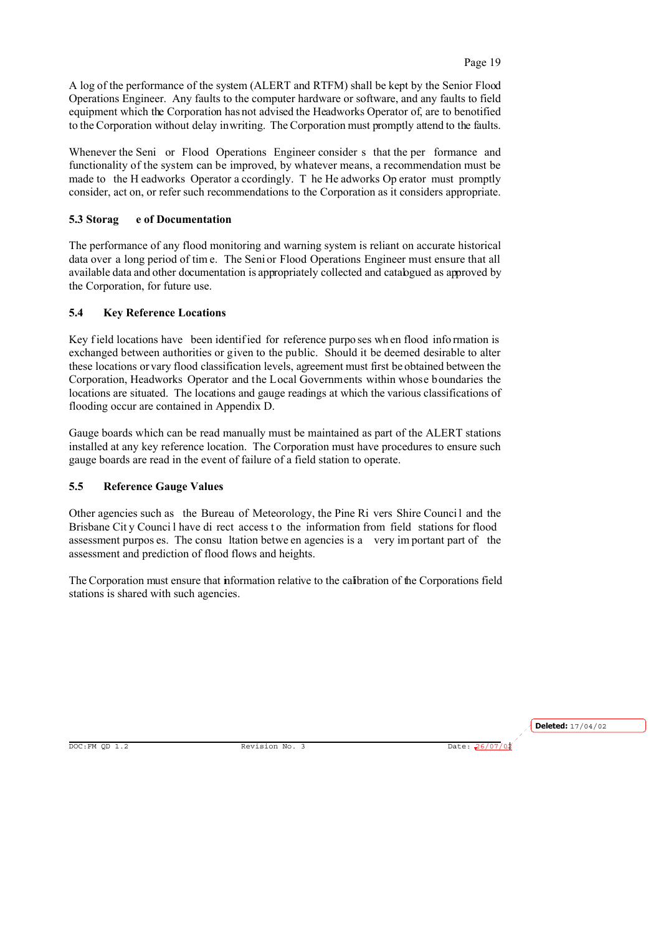A log of the performance of the system (ALERT and RTFM) shall be kept by the Senior Flood Operations Engineer. Any faults to the computer hardware or software, and any faults to field equipment which the Corporation has not advised the Headworks Operator of, are to benotified to the Corporation without delay in writing. The Corporation must promptly attend to the faults.

Whenever the Seni or Flood Operations Engineer consider s that the per formance and functionality of the system can be improved, by whatever means, a recommendation must be made to the H eadworks Operator a ccordingly. T he He adworks Op erator must promptly consider, act on, or refer such recommendations to the Corporation as it considers appropriate.

#### **5.3 Storag e of Documentation**

<span id="page-18-0"></span>The performance of any flood monitoring and warning system is reliant on accurate historical data over a long period of tim e. The Seni or Flood Operations Engineer must ensure that all available data and other documentation is appropriately collected and catalogued as approved by the Corporation, for future use.

#### **5.4 Key Reference Locations**

<span id="page-18-1"></span>Key field locations have been identified for reference purpo ses wh en flood info rmation is exchanged between authorities or given to the public. Should it be deemed desirable to alter these locations or vary flood classification levels, agreement must first be obtained between the Corporation, Headworks Operator and the Local Governments within whose boundaries the locations are situated. The locations and gauge readings at which the various classifications of flooding occur are contained in Appendix D.

Gauge boards which can be read manually must be maintained as part of the ALERT stations installed at any key reference location. The Corporation must have procedures to ensure such gauge boards are read in the event of failure of a field station to operate.

#### **5.5 Reference Gauge Values**

Other agencies such as the Bureau of Meteorology, the Pine Ri vers Shire Counci l and the Brisbane City Council have di rect access to the information from field stations for flood assessment purpos es. The consu ltation betwe en agencies is a very im portant part of the assessment and prediction of flood flows and heights.

<span id="page-18-2"></span>The Corporation must ensure that information relative to the calibration of the Corporations field stations is shared with such agencies.

 $DC:FM$  QD 1.2 Revision No. 3 Date:  $26/07/04$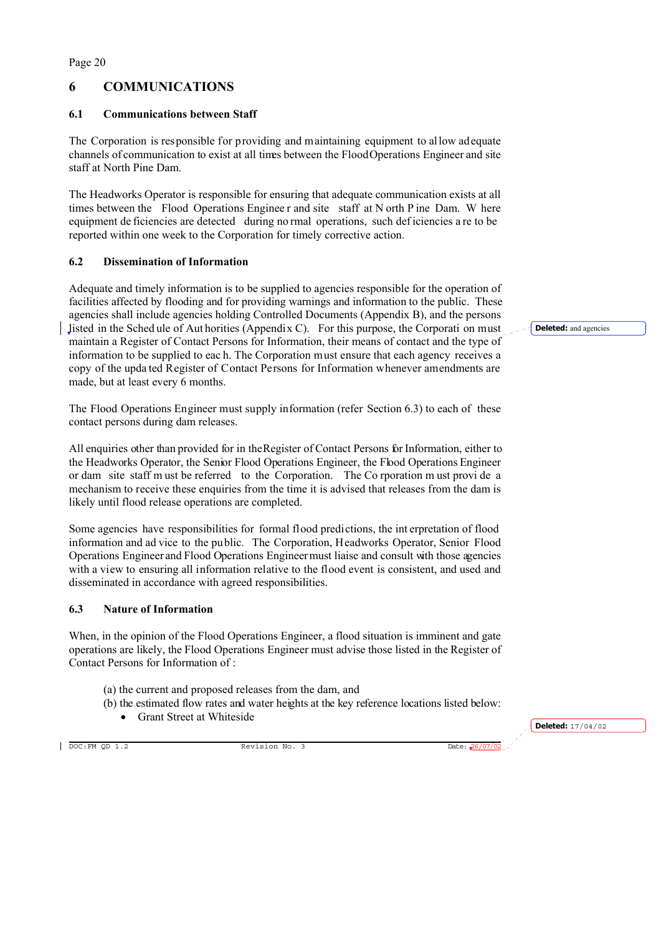## <span id="page-19-0"></span>**6 COMMUNICATIONS**

#### **6.1 Communications between Staff**

<span id="page-19-1"></span>The Corporation is responsible for providing and maintaining equipment to allow adequate channels of communication to exist at all times between the Flood Operations Engineer and site staff at North Pine Dam.

The Headworks Operator is responsible for ensuring that adequate communication exists at all times between the Flood Operations Enginee r and site staff at N orth P ine Dam. W here equipment de ficiencies are detected during no rmal operations, such def iciencies a re to be reported within one week to the Corporation for timely corrective action.

### **6.2 Dissemination of Information**

<span id="page-19-2"></span>Adequate and timely information is to be supplied to agencies responsible for the operation of facilities affected by flooding and for providing warnings and information to the public. These agencies shall include agencies holding Controlled Documents (Appendix B), and the persons listed in the Sched ule of Aut horities (Appendix C). For this purpose, the Corporati on must maintain a Register of Contact Persons for Information, their means of contact and the type of information to be supplied to eac h. The Corporation must ensure that each agency receives a copy of the upda ted Register of Contact Persons for Information whenever amendments are made, but at least every 6 months.

The Flood Operations Engineer must supply information (refer Section 6.3) to each of these contact persons during dam releases.

All enquiries other than provided for in the Register of Contact Persons for Information, either to the Headworks Operator, the Senior Flood Operations Engineer, the Flood Operations Engineer or dam site staff m ust be referred to the Corporation. The Co rporation m ust provi de a mechanism to receive these enquiries from the time it is advised that releases from the dam is likely until flood release operations are completed.

Some agencies have responsibilities for formal flood predictions, the int erpretation of flood information and ad vice to the public. The Corporation, Headworks Operator, Senior Flood Operations Engineer and Flood Operations Engineer must liaise and consult with those agencies with a view to ensuring all information relative to the flood event is consistent, and used and disseminated in accordance with agreed responsibilities.

#### **6.3 Nature of Information**

When, in the opinion of the Flood Operations Engineer, a flood situation is imminent and gate operations are likely, the Flood Operations Engineer must advise those listed in the Register of Contact Persons for Information of :

(a) the current and proposed releases from the dam, and

(b) the estimated flow rates and water heights at the key reference locations listed below:

Grant Street at Whiteside

<span id="page-19-3"></span>**1** DOC:FM OD 1.2 Revision No. 3 Date:  $26/07/02$ 

**Deleted:** and agencies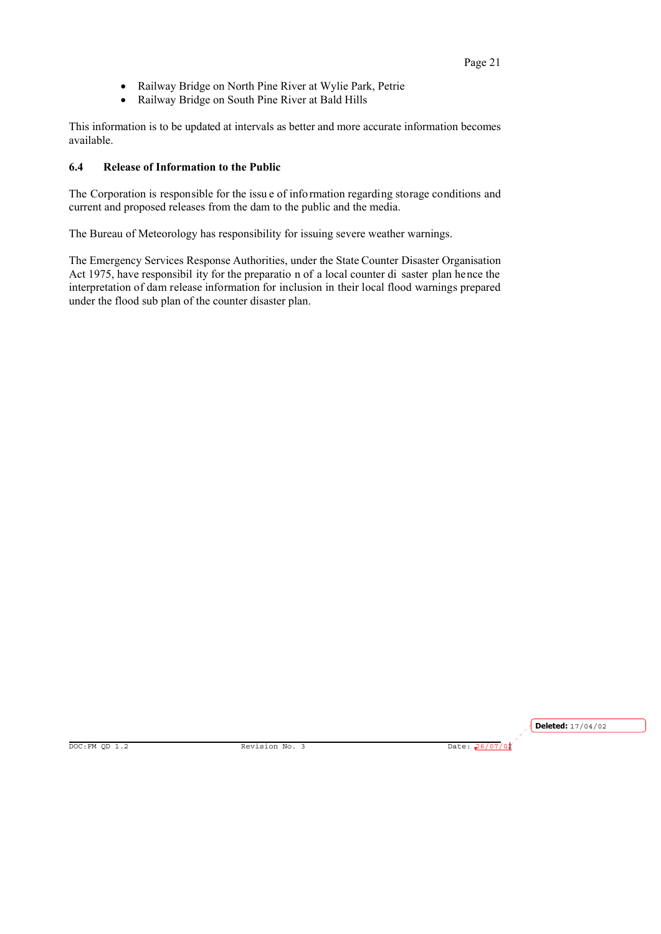- Railway Bridge on North Pine River at Wylie Park, Petrie
- Railway Bridge on South Pine River at Bald Hills

This information is to be updated at intervals as better and more accurate information becomes available.

#### **6.4 Release of Information to the Public**

<span id="page-20-0"></span>The Corporation is responsible for the issu e of information regarding storage conditions and current and proposed releases from the dam to the public and the media.

The Bureau of Meteorology has responsibility for issuing severe weather warnings.

The Emergency Services Response Authorities, under the State Counter Disaster Organisation Act 1975, have responsibil ity for the preparatio n of a local counter di saster plan hence the interpretation of dam release information for inclusion in their local flood warnings prepared under the flood sub plan of the counter disaster plan.

 $DC:FM$  QD 1.2 Revision No. 3 Date:  $26/07/02$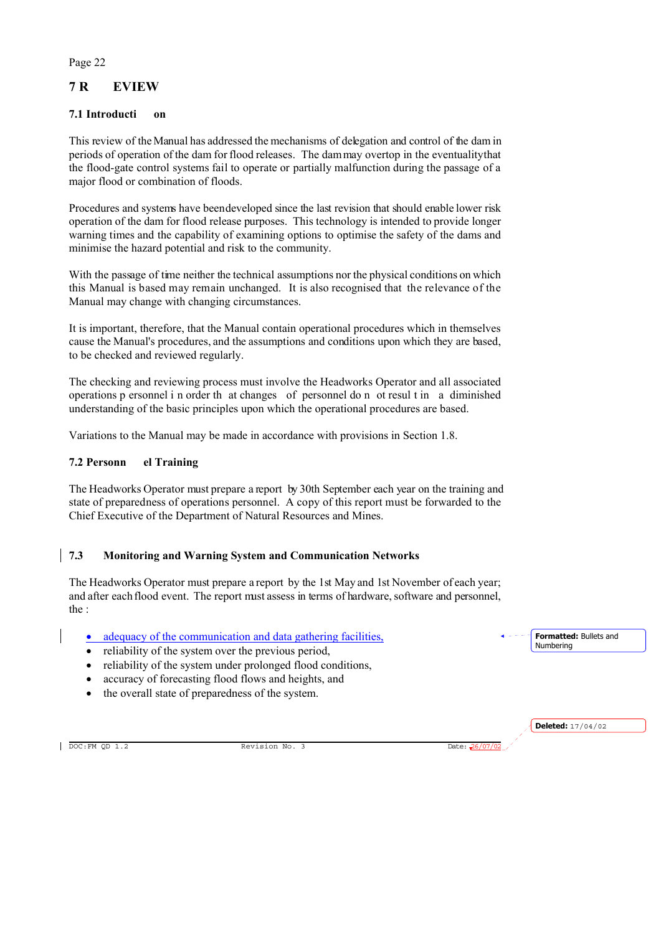## <span id="page-21-0"></span>**7 R EVIEW**

#### **7.1 Introducti on**

<span id="page-21-1"></span>This review of the Manual has addressed the mechanisms of delegation and control of the dam in periods of operation of the dam for flood releases. The dam may overtop in the eventuality that the flood-gate control systems fail to operate or partially malfunction during the passage of a major flood or combination of floods.

Procedures and systems have been developed since the last revision that should enable lower risk operation of the dam for flood release purposes. This technology is intended to provide longer warning times and the capability of examining options to optimise the safety of the dams and minimise the hazard potential and risk to the community.

With the passage of time neither the technical assumptions nor the physical conditions on which this Manual is based may remain unchanged. It is also recognised that the relevance of the Manual may change with changing circumstances.

It is important, therefore, that the Manual contain operational procedures which in themselves cause the Manual's procedures, and the assumptions and conditions upon which they are based, to be checked and reviewed regularly.

The checking and reviewing process must involve the Headworks Operator and all associated operations p ersonnel i n order th at changes of personnel do n ot resul t in a diminished understanding of the basic principles upon which the operational procedures are based.

Variations to the Manual may be made in accordance with provisions in Section 1.8.

#### **7.2 Personn el Training**

The Headworks Operator must prepare a report by 30th September each year on the training and state of preparedness of operations personnel. A copy of this report must be forwarded to the Chief Executive of the Department of Natural Resources and Mines.

#### <span id="page-21-2"></span>**7.3 Monitoring and Warning System and Communication Networks**

The Headworks Operator must prepare a report by the 1st May and 1st November of each year; and after each flood event. The report must assess in terms of hardware, software and personnel, the :

- <span id="page-21-3"></span>• adequacy of the communication and data gathering facilities,
- reliability of the system over the previous period,
- reliability of the system under prolonged flood conditions,
- accuracy of forecasting flood flows and heights, and
- the overall state of preparedness of the system.

 $\sqrt{100}$  DOC:FM OD 1.2 Revision No. 3 Date:  $\frac{26}{07/02}$ 

**Deleted:** 17/04/02

**Formatted:** Bullets and

Numbering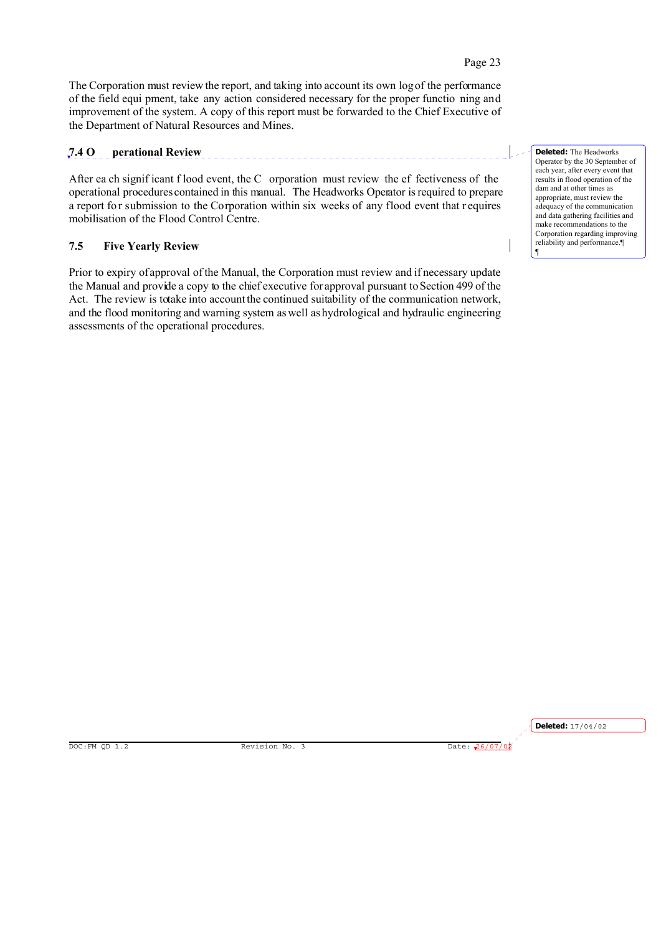The Corporation must review the report, and taking into account its own log of the performance of the field equi pment, take any action considered necessary for the proper functio ning and improvement of the system. A copy of this report must be forwarded to the Chief Executive of the Department of Natural Resources and Mines.

## **7.4 O perational Review**

<span id="page-22-0"></span>After ea ch signif icant f lood event, the C orporation must review the ef fectiveness of the operational procedures contained in this manual. The Headworks Operator is required to prepare a report for submission to the Corporation within six weeks of any flood event that r equires mobilisation of the Flood Control Centre.

#### **7.5 Five Yearly Review**

<span id="page-22-1"></span>Prior to expiry of approval of the Manual, the Corporation must review and if necessary update the Manual and provide a copy to the chief executive for approval pursuant to Section 499 of the Act. The review is to take into account the continued suitability of the communication network, and the flood monitoring and warning system as well as hydrological and hydraulic engineering assessments of the operational procedures.

**Deleted:** The Headworks Operator by the 30 September of each year, after every event that results in flood operation of the dam and at other times as appropriate, must review the adequacy of the communication and data gathering facilities and make recommendations to the Corporation regarding improving reliability and performance.¶ ¶

DOC:FM QD 1.2 Revision No. 3 Date: 26/07/02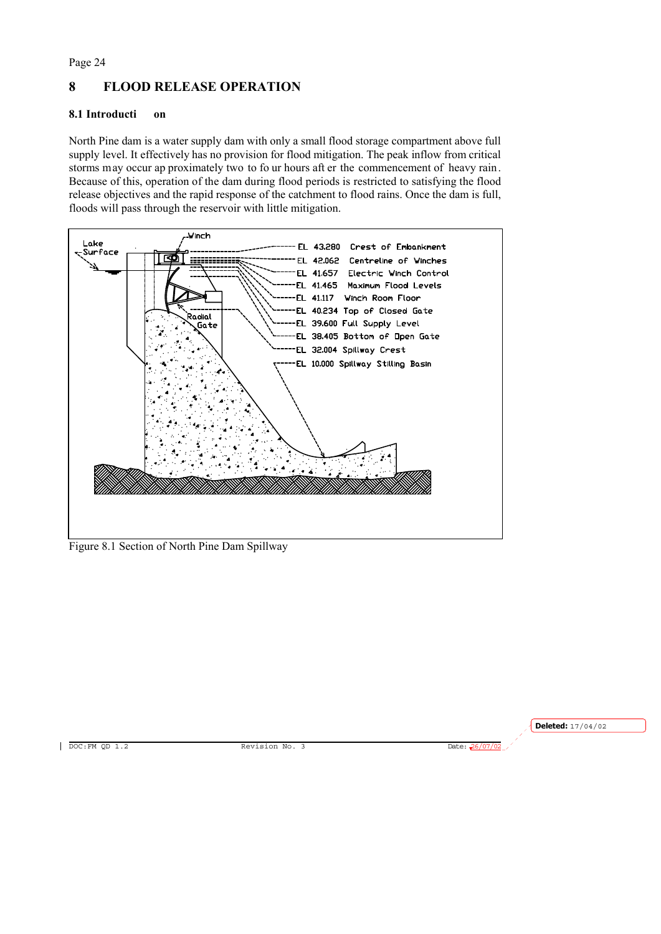## <span id="page-23-0"></span>**8 FLOOD RELEASE OPERATION**

#### **8.1 Introducti on**

<span id="page-23-1"></span>North Pine dam is a water supply dam with only a small flood storage compartment above full supply level. It effectively has no provision for flood mitigation. The peak inflow from critical storms may occur ap proximately two to fo ur hours aft er the commencement of heavy rain. Because of this, operation of the dam during flood periods is restricted to satisfying the flood release objectives and the rapid response of the catchment to flood rains. Once the dam is full, floods will pass through the reservoir with little mitigation.



Figure 8.1 Section of North Pine Dam Spillway

 $\sqrt{DC:FMQD 1.2}$  Revision No. 3 Date:  $\sqrt{26/07/02}$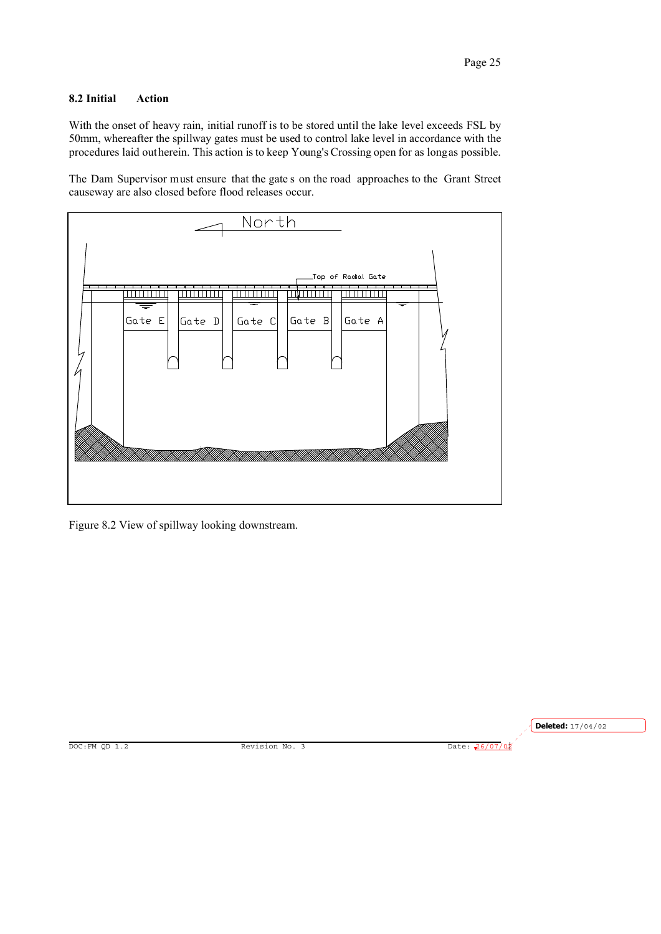#### **8.2 Initial Action**

<span id="page-24-0"></span>With the onset of heavy rain, initial runoff is to be stored until the lake level exceeds FSL by 50mm, whereafter the spillway gates must be used to control lake level in accordance with the procedures laid out herein. This action is to keep Young's Crossing open for as long as possible.

The Dam Supervisor must ensure that the gate s on the road approaches to the Grant Street causeway are also closed before flood releases occur.



Figure 8.2 View of spillway looking downstream.

DOC:FM QD 1.2 Revision No. 3 Date:  $26/07/04$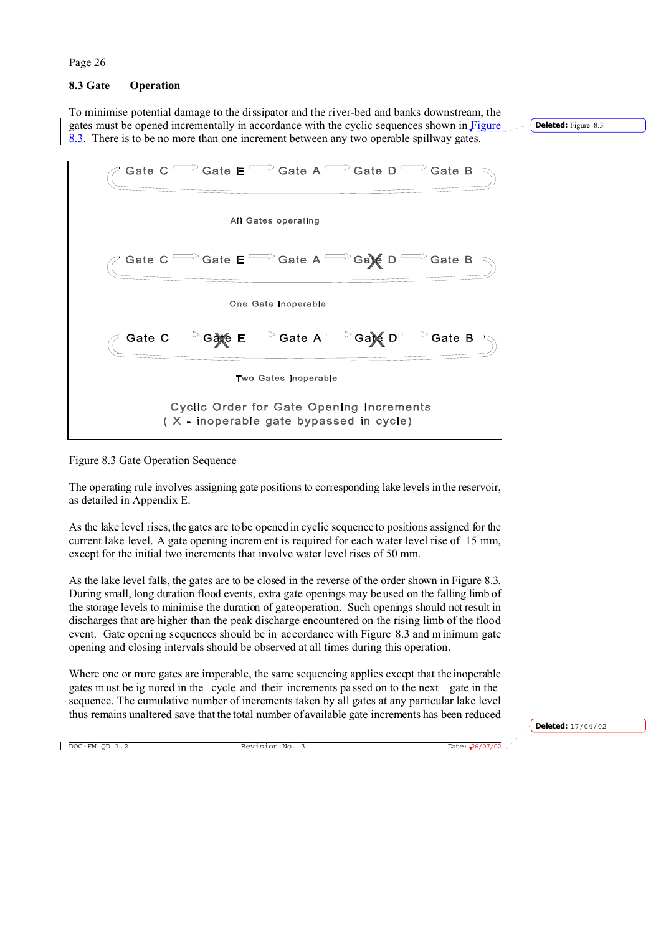#### <span id="page-25-0"></span>**8.3 Gate Operation**

To minimise potential damage to the dissipator and the river-bed and banks downstream, the gates must be opened incrementally in accordance with the cyclic sequences shown in Figure 8.3. There is to be no more than one increment between any two operable spillway gates.

**Deleted:** Figure 8.3



#### Figure 8.3 Gate Operation Sequence

The operating rule involves assigning gate positions to corresponding lake levels in the reservoir, as detailed in Appendix E.

As the lake level rises, the gates are to be opened in cyclic sequence to positions assigned for the current lake level. A gate opening increm ent is required for each water level rise of 15 mm, except for the initial two increments that involve water level rises of 50 mm.

As the lake level falls, the gates are to be closed in the reverse of the order shown in Figure 8.3. During small, long duration flood events, extra gate openings may be used on the falling limb of the storage levels to minimise the duration of gate operation. Such openings should not result in discharges that are higher than the peak discharge encountered on the rising limb of the flood event. Gate openi ng sequences should be in accordance with Figure 8.3 and m inimum gate opening and closing intervals should be observed at all times during this operation.

Where one or more gates are imperable, the same sequencing applies except that the inoperable gates m ust be ig nored in the cycle and their increments pa ssed on to the next gate in the sequence. The cumulative number of increments taken by all gates at any particular lake level thus remains unaltered save that the total number of available gate increments has been reduced

DOC:FM QD 1.2 Revision No. 3 Date: 26/07/02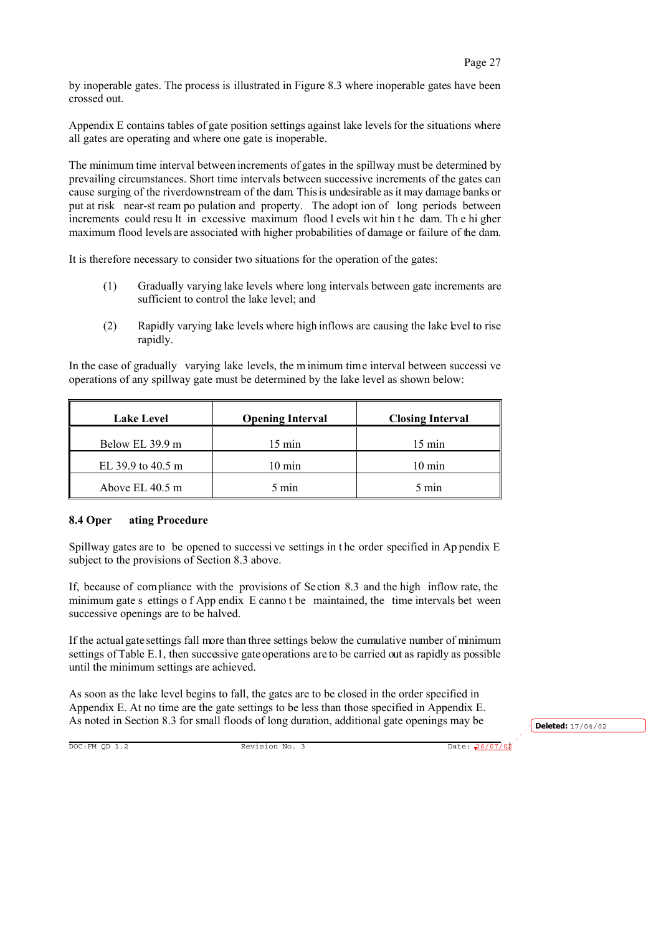by inoperable gates. The process is illustrated in Figure 8.3 where inoperable gates have been crossed out.

Appendix E contains tables of gate position settings against lake levels for the situations where all gates are operating and where one gate is inoperable.

The minimum time interval between increments of gates in the spillway must be determined by prevailing circumstances. Short time intervals between successive increments of the gates can cause surging of the riverdownstream of the dam. This is undesirable as it may damage banks or put at risk near-st ream po pulation and property. The adopt ion of long periods between increments could resu lt in excessive maximum flood l evels wit hin t he dam. Th e hi gher maximum flood levels are associated with higher probabilities of damage or failure of the dam.

It is therefore necessary to consider two situations for the operation of the gates:

- (1) Gradually varying lake levels where long intervals between gate increments are sufficient to control the lake level; and
- (2) Rapidly varying lake levels where high inflows are causing the lake level to rise rapidly.

In the case of gradually varying lake levels, the m inimum time interval between successi ve operations of any spillway gate must be determined by the lake level as shown below:

| <b>Opening Interval</b><br><b>Lake Level</b> |                  | <b>Closing Interval</b> |
|----------------------------------------------|------------------|-------------------------|
| Below EL 39.9 m                              | $15 \text{ min}$ | $15 \text{ min}$        |
| EL 39.9 to 40.5 m                            | $10 \text{ min}$ | $10 \text{ min}$        |
| Above EL 40.5 m                              | 5 min            | 5 min                   |

#### **8.4 Oper ating Procedure**

Spillway gates are to be opened to successi ve settings in t he order specified in Ap pendix E subject to the provisions of Section 8.3 above.

<span id="page-26-0"></span>If, because of compliance with the provisions of Se ction 8.3 and the high inflow rate, the minimum gate s ettings o f App endix E canno t be maintained, the time intervals bet ween successive openings are to be halved.

If the actual gate settings fall more than three settings below the cumulative number of minimum settings of Table E.1, then successive gate operations are to be carried out as rapidly as possible until the minimum settings are achieved.

As soon as the lake level begins to fall, the gates are to be closed in the order specified in Appendix E. At no time are the gate settings to be less than those specified in Appendix E. As noted in Section 8.3 for small floods of long duration, additional gate openings may be

 $DC:FM$  QD 1.2 Revision No. 3 Date:  $26/07/04$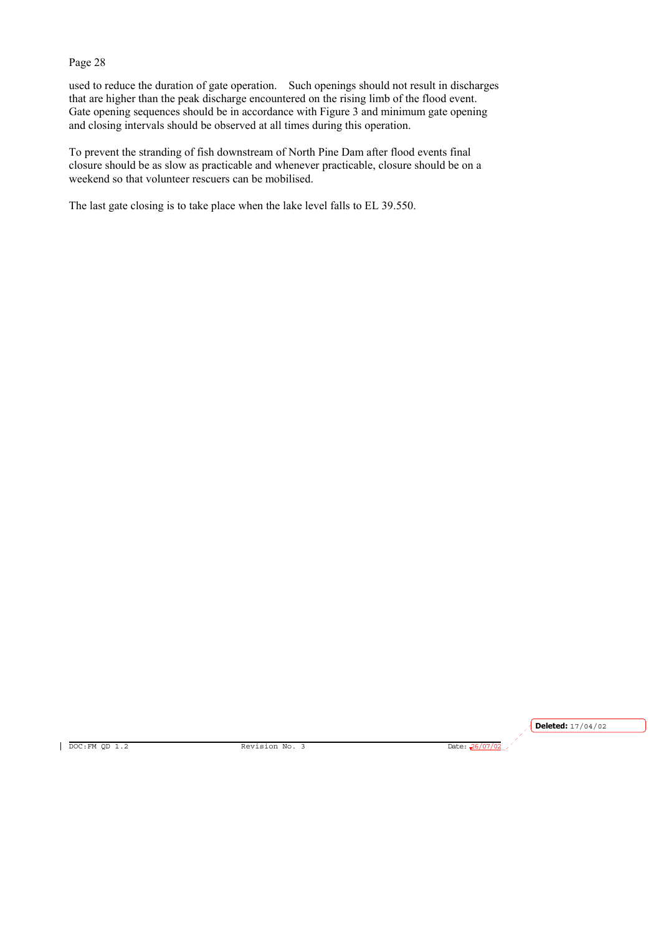used to reduce the duration of gate operation. Such openings should not result in discharges that are higher than the peak discharge encountered on the rising limb of the flood event. Gate opening sequences should be in accordance with Figure 3 and minimum gate opening and closing intervals should be observed at all times during this operation.

To prevent the stranding of fish downstream of North Pine Dam after flood events final closure should be as slow as practicable and whenever practicable, closure should be on a weekend so that volunteer rescuers can be mobilised.

The last gate closing is to take place when the lake level falls to EL 39.550.

DOC:FM QD 1.2 Revision No. 3 Date: 26/07/02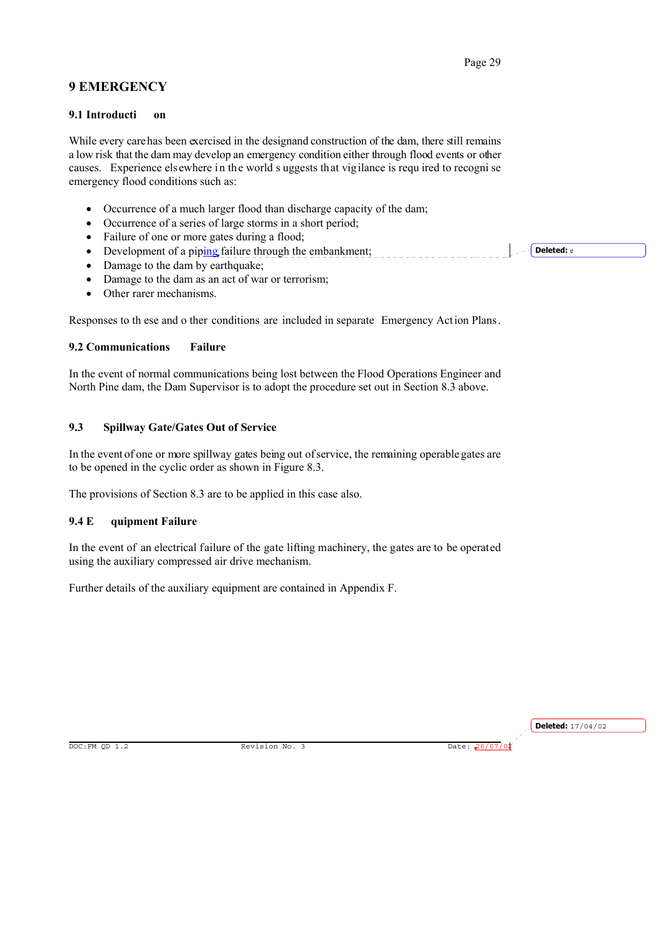## <span id="page-28-0"></span>**9 EMERGENCY**

#### **9.1 Introducti on**

<span id="page-28-1"></span>While every care has been exercised in the designand construction of the dam, there still remains a low risk that the dam may develop an emergency condition either through flood events or other causes. Experience elsewhere in the world s uggests that vigilance is requ ired to recogni se emergency flood conditions such as:

- Occurrence of a much larger flood than discharge capacity of the dam;
- Occurrence of a series of large storms in a short period;
- Failure of one or more gates during a flood;
- Development of a piping failure through the embankment;
- Damage to the dam by earthquake;
- Damage to the dam as an act of war or terrorism;
- Other rarer mechanisms.

Responses to th ese and o ther conditions are included in separate Emergency Action Plans.

#### **9.2 Communications Failure**

In the event of normal communications being lost between the Flood Operations Engineer and North Pine dam, the Dam Supervisor is to adopt the procedure set out in Section 8.3 above.

#### <span id="page-28-2"></span>**9.3 Spillway Gate/Gates Out of Service**

In the event of one or more spillway gates being out of service, the remaining operable gates are to be opened in the cyclic order as shown in Figure 8.3.

<span id="page-28-3"></span>The provisions of Section 8.3 are to be applied in this case also.

#### **9.4 E quipment Failure**

In the event of an electrical failure of the gate lifting machinery, the gates are to be operated using the auxiliary compressed air drive mechanism.

<span id="page-28-4"></span>Further details of the auxiliary equipment are contained in Appendix F.

 $DC:FMQD 1.2$  Revision No. 3 Date:  $26/07/02$ 

**Deleted:** 17/04/02

**Deleted:** e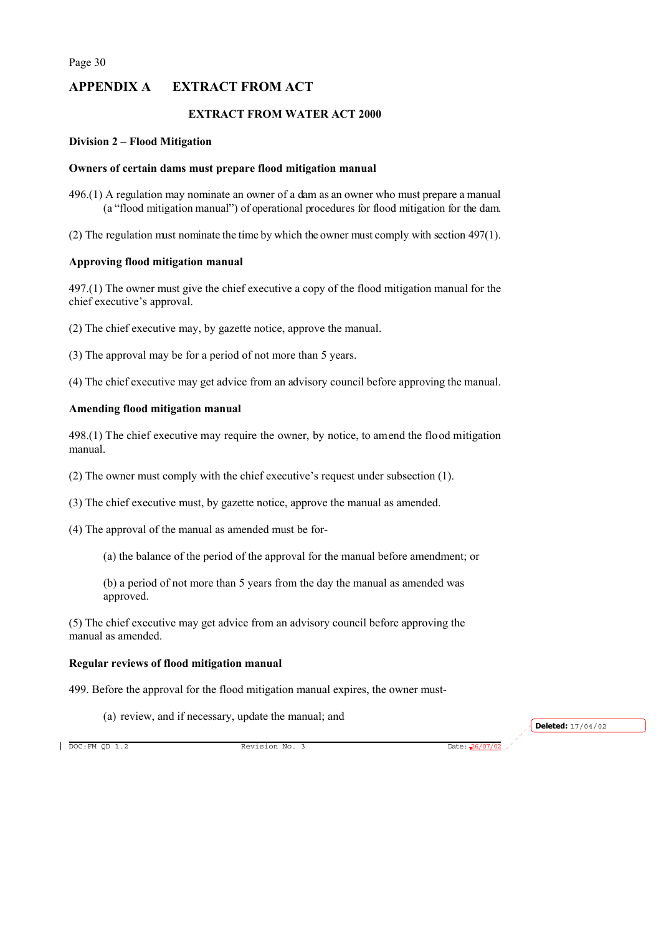## <span id="page-29-0"></span>**APPENDIX A EXTRACT FROM ACT**

#### **EXTRACT FROM WATER ACT 2000**

#### **Division 2 – Flood Mitigation**

#### **Owners of certain dams must prepare flood mitigation manual**

- 496.(1) A regulation may nominate an owner of a dam as an owner who must prepare a manual (a "flood mitigation manual") of operational procedures for flood mitigation for the dam.
- (2) The regulation must nominate the time by which the owner must comply with section 497(1).

#### **Approving flood mitigation manual**

497.(1) The owner must give the chief executive a copy of the flood mitigation manual for the chief executive's approval.

(2) The chief executive may, by gazette notice, approve the manual.

(3) The approval may be for a period of not more than 5 years.

(4) The chief executive may get advice from an advisory council before approving the manual.

#### **Amending flood mitigation manual**

498.(1) The chief executive may require the owner, by notice, to amend the flood mitigation manual.

(2) The owner must comply with the chief executive's request under subsection (1).

- (3) The chief executive must, by gazette notice, approve the manual as amended.
- (4) The approval of the manual as amended must be for-
	- (a) the balance of the period of the approval for the manual before amendment; or

(b) a period of not more than 5 years from the day the manual as amended was approved.

(5) The chief executive may get advice from an advisory council before approving the manual as amended.

#### **Regular reviews of flood mitigation manual**

499. Before the approval for the flood mitigation manual expires, the owner must-

(a) review, and if necessary, update the manual; and  $\sqrt{\frac{\text{Deleteed: } 17/04/02}{\text{Deleteed: } 17/04/02}}}$ 

| DOC:FM QD 1.2 Revision No. 3 Date: 26/07/02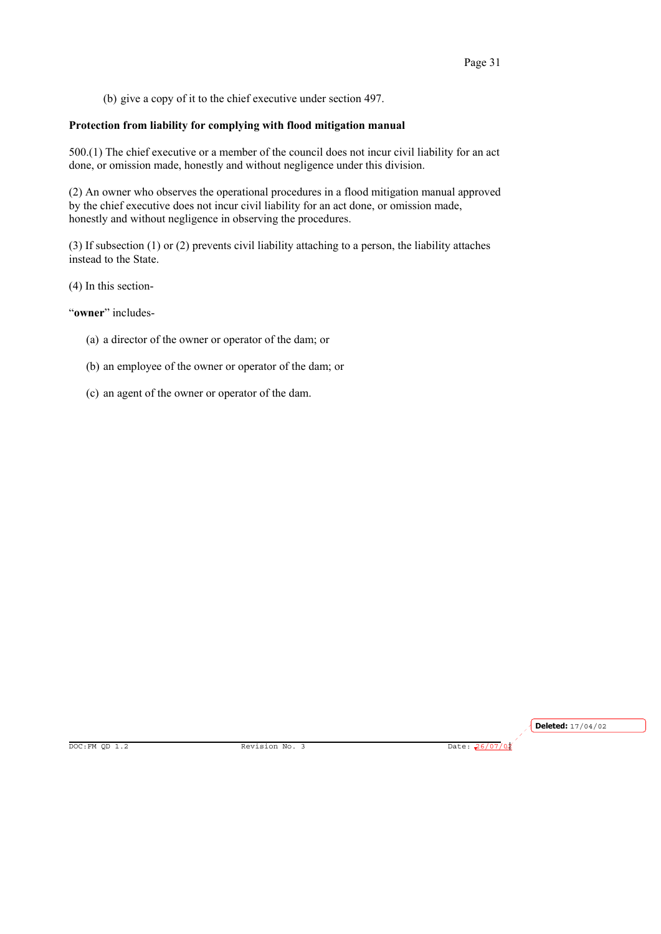(b) give a copy of it to the chief executive under section 497.

#### **Protection from liability for complying with flood mitigation manual**

500.(1) The chief executive or a member of the council does not incur civil liability for an act done, or omission made, honestly and without negligence under this division.

(2) An owner who observes the operational procedures in a flood mitigation manual approved by the chief executive does not incur civil liability for an act done, or omission made, honestly and without negligence in observing the procedures.

(3) If subsection (1) or (2) prevents civil liability attaching to a person, the liability attaches instead to the State.

(4) In this section-

"**owner**" includes-

- (a) a director of the owner or operator of the dam; or
- (b) an employee of the owner or operator of the dam; or
- (c) an agent of the owner or operator of the dam.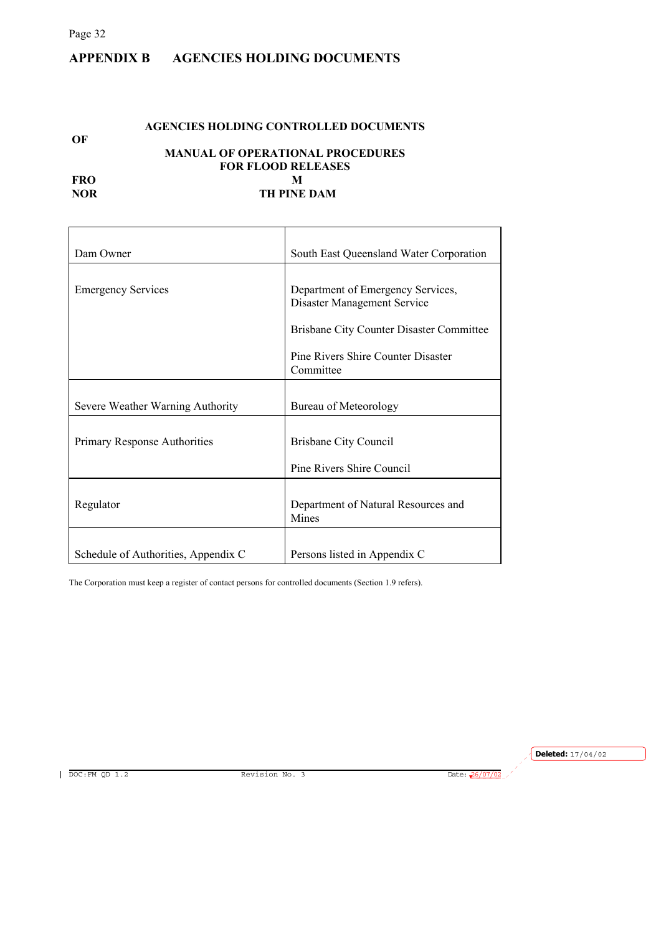**OF**

## <span id="page-31-0"></span>**APPENDIX B AGENCIES HOLDING DOCUMENTS**

#### **AGENCIES HOLDING CONTROLLED DOCUMENTS**

#### **MANUAL OF OPERATIONAL PROCEDURES FOR FLOOD RELEASES FRO M NOR TH PINE DAM**

| Dam Owner                           | South East Queensland Water Corporation                                                                             |
|-------------------------------------|---------------------------------------------------------------------------------------------------------------------|
| <b>Emergency Services</b>           | Department of Emergency Services,<br><b>Disaster Management Service</b><br>Brisbane City Counter Disaster Committee |
|                                     | Pine Rivers Shire Counter Disaster<br>Committee                                                                     |
|                                     |                                                                                                                     |
| Severe Weather Warning Authority    | Bureau of Meteorology                                                                                               |
| Primary Response Authorities        | Brisbane City Council                                                                                               |
|                                     | Pine Rivers Shire Council                                                                                           |
| Regulator                           | Department of Natural Resources and<br>Mines                                                                        |
| Schedule of Authorities, Appendix C | Persons listed in Appendix C                                                                                        |

The Corporation must keep a register of contact persons for controlled documents (Section 1.9 refers).

**DOC:FM QD 1.2** Revision No. 3 Date: 26/07/02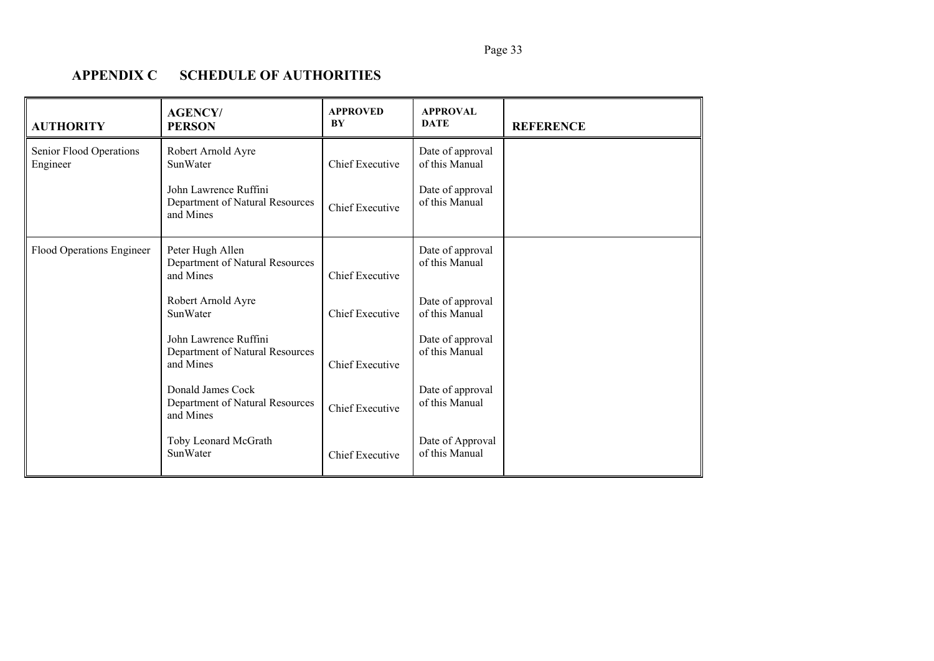## **APPENDIX C SCHEDULE OF AUTHORITIES**

<span id="page-32-0"></span>

| <b>AUTHORITY</b>                    | <b>AGENCY/</b><br><b>PERSON</b>                                       | <b>APPROVED</b><br>BY  | <b>APPROVAL</b><br><b>DATE</b>     | <b>REFERENCE</b> |
|-------------------------------------|-----------------------------------------------------------------------|------------------------|------------------------------------|------------------|
| Senior Flood Operations<br>Engineer | Robert Arnold Ayre<br>SunWater                                        | <b>Chief Executive</b> | Date of approval<br>of this Manual |                  |
|                                     | John Lawrence Ruffini<br>Department of Natural Resources<br>and Mines | <b>Chief Executive</b> | Date of approval<br>of this Manual |                  |
| Flood Operations Engineer           | Peter Hugh Allen<br>Department of Natural Resources<br>and Mines      | <b>Chief Executive</b> | Date of approval<br>of this Manual |                  |
|                                     | Robert Arnold Ayre<br>SunWater                                        | <b>Chief Executive</b> | Date of approval<br>of this Manual |                  |
|                                     | John Lawrence Ruffini<br>Department of Natural Resources<br>and Mines | <b>Chief Executive</b> | Date of approval<br>of this Manual |                  |
|                                     | Donald James Cock<br>Department of Natural Resources<br>and Mines     | <b>Chief Executive</b> | Date of approval<br>of this Manual |                  |
|                                     | Toby Leonard McGrath<br>SunWater                                      | <b>Chief Executive</b> | Date of Approval<br>of this Manual |                  |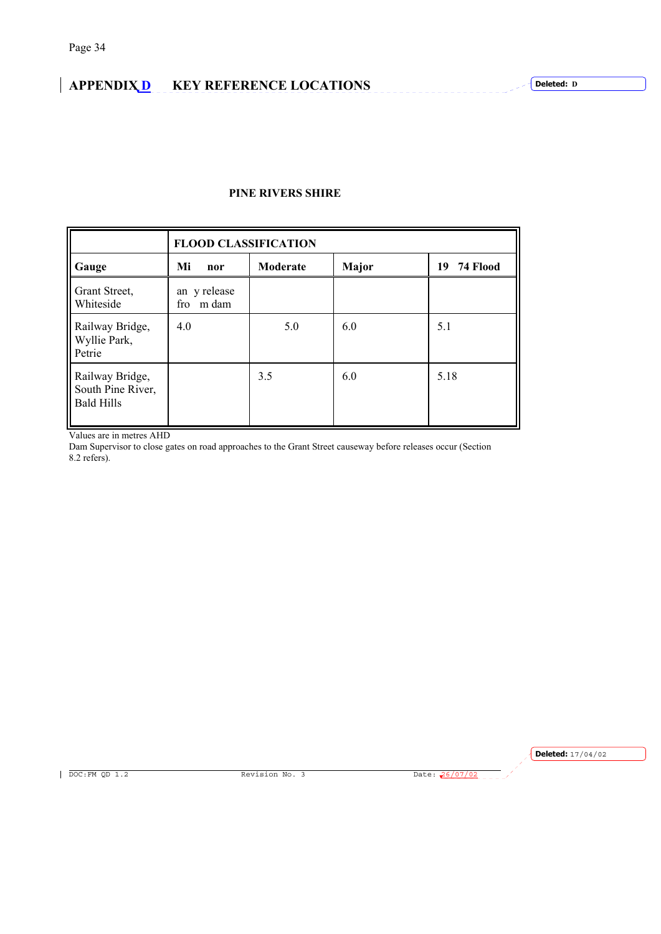## <span id="page-33-0"></span>**APPENDIX D KEY REFERENCE LOCATIONS**

#### **PINE RIVERS SHIRE**

|                                                           | <b>FLOOD CLASSIFICATION</b> |          |              |                |
|-----------------------------------------------------------|-----------------------------|----------|--------------|----------------|
| Gauge                                                     | Mi<br>nor                   | Moderate | <b>Major</b> | 74 Flood<br>19 |
| Grant Street,<br>Whiteside                                | an y release<br>fro m dam   |          |              |                |
| Railway Bridge,<br>Wyllie Park,<br>Petrie                 | 4.0                         | 5.0      | 6.0          | 5.1            |
| Railway Bridge,<br>South Pine River,<br><b>Bald Hills</b> |                             | 3.5      | 6.0          | 5.18           |

Values are in metres AHD

Dam Supervisor to close gates on road approaches to the Grant Street causeway before releases occur (Section 8.2 refers).

**DOC:FM QD 1.2** Revision No. 3 Date: 26/07/02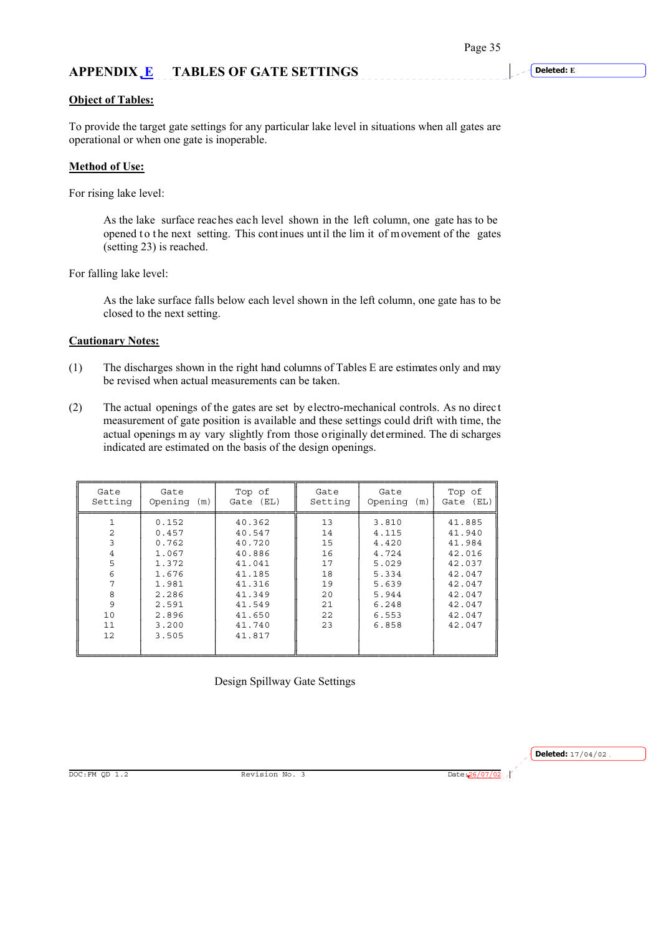## <span id="page-34-0"></span>**APPENDIX E TABLES OF GATE SETTINGS**

#### **Object of Tables:**

To provide the target gate settings for any particular lake level in situations when all gates are operational or when one gate is inoperable.

#### **Method of Use:**

For rising lake level:

As the lake surface reaches each level shown in the left column, one gate has to be opened to the next setting. This continues until the lim it of m ovement of the gates (setting 23) is reached.

For falling lake level:

As the lake surface falls below each level shown in the left column, one gate has to be closed to the next setting.

#### **Cautionary Notes:**

- (1) The discharges shown in the right hand columns of Tables E are estimates only and may be revised when actual measurements can be taken.
- (2) The actual openings of the gates are set by electro-mechanical controls. As no direc t measurement of gate position is available and these settings could drift with time, the actual openings m ay vary slightly from those originally determined. The di scharges indicated are estimated on the basis of the design openings.

| Gate                                                   | Gate                                                                                                     | Top of                                                                                                               | Gate                                                           | Gate                                                                                            | Top of                                                                                                     |
|--------------------------------------------------------|----------------------------------------------------------------------------------------------------------|----------------------------------------------------------------------------------------------------------------------|----------------------------------------------------------------|-------------------------------------------------------------------------------------------------|------------------------------------------------------------------------------------------------------------|
| Setting                                                | Opening (m)                                                                                              | Gate (EL)                                                                                                            | Setting                                                        | Opening (m)                                                                                     | Gate (EL)                                                                                                  |
| 2<br>3<br>4<br>5<br>6<br>7<br>8<br>9<br>10<br>11<br>12 | 0.152<br>0.457<br>0.762<br>1.067<br>1.372<br>1.676<br>1.981<br>2.286<br>2.591<br>2.896<br>3.200<br>3.505 | 40.362<br>40.547<br>40.720<br>40.886<br>41.041<br>41.185<br>41.316<br>41.349<br>41.549<br>41.650<br>41.740<br>41.817 | 13<br>14<br>15<br>16<br>17<br>18<br>19<br>20<br>21<br>22<br>23 | 3.810<br>4.115<br>4.420<br>4.724<br>5.029<br>5.334<br>5.639<br>5.944<br>6.248<br>6.553<br>6.858 | 41.885<br>41.940<br>41.984<br>42.016<br>42.037<br>42.047<br>42.047<br>42.047<br>42.047<br>42.047<br>42.047 |

Design Spillway Gate Settings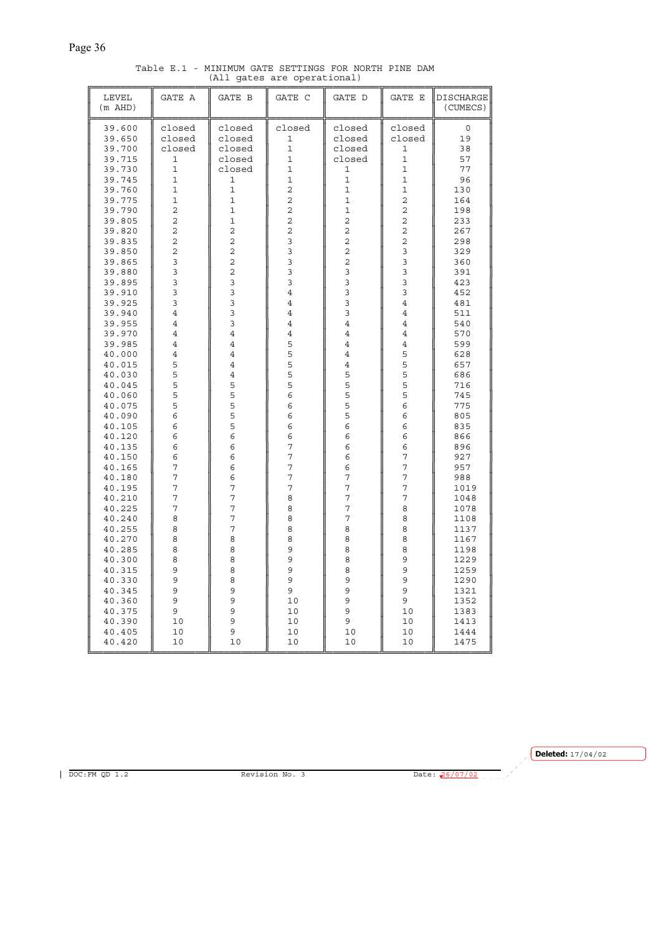| closed<br>39.600<br>closed<br>closed<br>closed<br>closed<br>$\mathbf 0$<br>closed<br>closed<br>closed<br>closed<br>39.650<br>1<br>19<br>$\mathbf 1$<br>39.700<br>closed<br>closed<br>closed<br>38<br>1<br>39.715<br>closed<br>$\mathbf 1$<br>closed<br>1<br>57<br>$\mathbf 1$<br>closed<br>$\mathbf 1$<br>1<br>39.730<br>$\mathbf{1}$<br>1<br>77<br>39.745<br>$\mathbf 1$<br>$\mathbf 1$<br>$\mathbf 1$<br>1<br>96<br>1<br>$\overline{2}$<br>39.760<br>$\mathbf 1$<br>$\mathbf 1$<br>$\mathbf 1$<br>$\mathbf 1$<br>130<br>$\mathbf 1$<br>$\overline{c}$<br>$\mathbf 1$<br>2<br>39.775<br>1<br>164<br>39.790<br>2<br>$\mathbf 1$<br>$\overline{c}$<br>$\mathbf 1$<br>2<br>198<br>$\overline{c}$<br>$\overline{c}$<br>$\overline{2}$<br>$\mathbf{1}$<br>$\overline{2}$<br>39.805<br>233<br>$\overline{c}$<br>$\overline{c}$<br>$\overline{c}$<br>$\overline{\mathbf{c}}$<br>$\overline{\mathbf{c}}$<br>39.820<br>267<br>$\overline{c}$<br>$\overline{c}$<br>2<br>$\overline{c}$<br>3<br>39.835<br>$\overline{c}$<br>$\overline{c}$<br>3<br>$\overline{c}$<br>3<br>39.850<br>329<br>3<br>$\overline{c}$<br>3<br>$\overline{c}$<br>3<br>39.865<br>360<br>3<br>$\overline{c}$<br>3<br>3<br>3<br>39.880<br>391<br>3<br>3<br>3<br>3<br>3<br>423<br>39.895<br>3<br>3<br>3<br>3<br>39.910<br>$\overline{4}$<br>452<br>3<br>3<br>3<br>$\overline{4}$<br>4<br>39.925<br>481<br>3<br>3<br>4<br>39.940<br>4<br>4<br>39.955<br>$\overline{4}$<br>3<br>$\overline{4}$<br>$\overline{4}$<br>$\overline{4}$<br>540<br>$\overline{4}$<br>39.970<br>4<br>$\overline{4}$<br>4<br>$\overline{4}$<br>570<br>4<br>4<br>5<br>4<br>4<br>599<br>39.985<br>4<br>4<br>5<br>$\overline{4}$<br>5<br>628<br>40.000<br>5<br>5<br>5<br>$\overline{4}$<br>4<br>657<br>40.015<br>5<br>5<br>5<br>40.030<br>$\overline{4}$<br>5<br>5<br>5<br>5<br>5<br>5<br>40.045<br>716<br>5<br>5<br>5<br>5<br>6<br>40.060<br>745<br>5<br>5<br>5<br>6<br>40.075<br>6<br>775<br>5<br>40.090<br>6<br>5<br>805<br>6<br>6<br>5<br>6<br>40.105<br>6<br>6<br>6<br>835<br>6<br>6<br>6<br>6<br>6<br>40.120<br>40.135<br>896<br>6<br>6<br>7<br>6<br>6<br>40.150<br>6<br>6<br>7<br>6<br>7<br>927<br>7<br>6<br>7<br>6<br>7<br>40.165<br>957<br>40.180<br>7<br>7<br>7<br>7<br>6<br>40.195<br>7<br>7<br>7<br>7<br>7<br>7<br>7<br>7<br>7<br>40.210<br>8<br>40.225<br>7<br>7<br>8<br>7<br>8<br>$40.240\,$<br>8<br>7<br>8<br>7<br>8<br>7<br>40.255<br>8<br>8<br>8<br>8<br>40.270<br>8<br>8<br>8<br>8<br>8<br>40.285<br>8<br>8<br>9<br>8<br>8<br>8<br>8<br>9<br>8<br>9<br>40.300<br>9<br>40.315<br>9<br>8<br>9<br>8<br>40.330<br>9<br>8<br>9<br>9<br>9<br>9<br>9<br>9<br>9<br>9<br>40.345<br>40.360<br>9<br>9<br>10<br>9<br>9 | LEVEL<br>(m AHD) | GATE A | GATE B | GATE C | GATE D | GATE E | <b>DISCHARGE</b><br>(CUMECS)                                                                                                                            |
|-----------------------------------------------------------------------------------------------------------------------------------------------------------------------------------------------------------------------------------------------------------------------------------------------------------------------------------------------------------------------------------------------------------------------------------------------------------------------------------------------------------------------------------------------------------------------------------------------------------------------------------------------------------------------------------------------------------------------------------------------------------------------------------------------------------------------------------------------------------------------------------------------------------------------------------------------------------------------------------------------------------------------------------------------------------------------------------------------------------------------------------------------------------------------------------------------------------------------------------------------------------------------------------------------------------------------------------------------------------------------------------------------------------------------------------------------------------------------------------------------------------------------------------------------------------------------------------------------------------------------------------------------------------------------------------------------------------------------------------------------------------------------------------------------------------------------------------------------------------------------------------------------------------------------------------------------------------------------------------------------------------------------------------------------------------------------------------------------------------------------------------------------------------------------------------------------------------------------------------------------------------------------------------------------------------------------------------------------------------------------------------------------------------------------------------------------------------------------------------------------------------------------------------------------------------------------------------------------------------------------------------------------------------|------------------|--------|--------|--------|--------|--------|---------------------------------------------------------------------------------------------------------------------------------------------------------|
| 10<br>9<br>40.390<br>10<br>9<br>10<br>9<br>10<br>40.405<br>10<br>10<br>10                                                                                                                                                                                                                                                                                                                                                                                                                                                                                                                                                                                                                                                                                                                                                                                                                                                                                                                                                                                                                                                                                                                                                                                                                                                                                                                                                                                                                                                                                                                                                                                                                                                                                                                                                                                                                                                                                                                                                                                                                                                                                                                                                                                                                                                                                                                                                                                                                                                                                                                                                                                 | 40.375           | 9      | 9      | 10     | 9      | 10     | 298<br>511<br>686<br>866<br>988<br>1019<br>1048<br>1078<br>1108<br>1137<br>1167<br>1198<br>1229<br>1259<br>1290<br>1321<br>1352<br>1383<br>1413<br>1444 |

Table E.1 - MINIMUM GATE SETTINGS FOR NORTH PINE DAM (All gates are operational)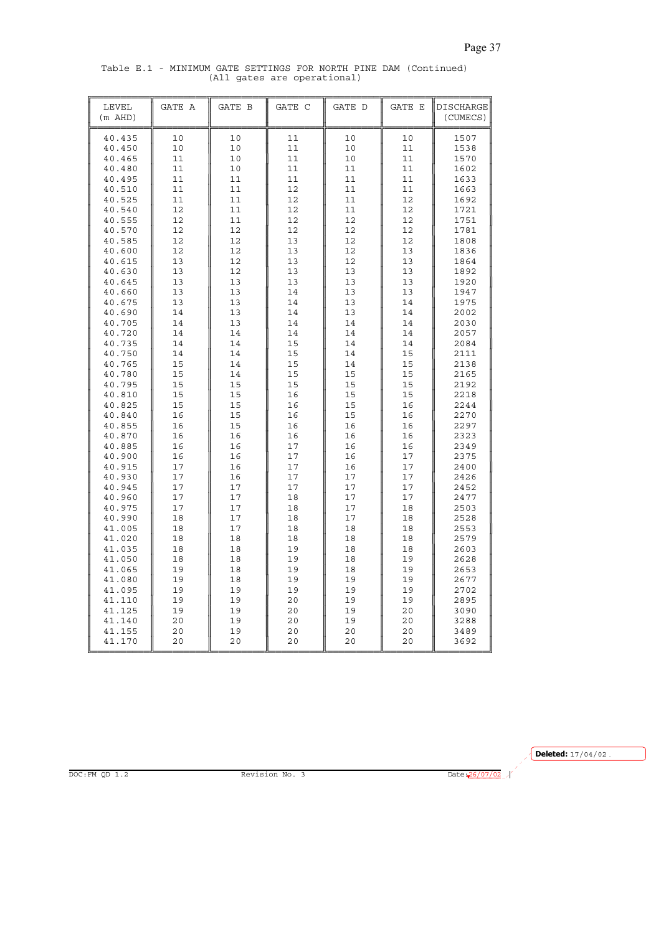| LEVEL<br>(m AHD) | GATE A | GATE B | GATE C | GATE D | GATE E | DISCHARGE<br>(CUMECS) |
|------------------|--------|--------|--------|--------|--------|-----------------------|
| 40.435           | 10     | 10     | 11     | 10     | 10     | 1507                  |
| 40.450           | 10     | 10     | 11     | 10     | 11     | 1538                  |
| 40.465           | 11     | 10     | 11     | 10     | 11     | 1570                  |
| 40.480           | 11     | 10     | 11     | 11     | 11     | 1602                  |
| 40.495           | 11     | 11     | 11     | 11     | $11\,$ | 1633                  |
| 40.510           | 11     | 11     | 12     | 11     | 11     | 1663                  |
| 40.525           | 11     | 11     | 12     | 11     | 12     | 1692                  |
| 40.540           | 12     | 11     | 12     | 11     | 12     | 1721                  |
| 40.555           | 12     | 11     | 12     | 12     | 12     | 1751                  |
| 40.570           | 12     | 12     | 12     | 12     | 12     | 1781                  |
| 40.585           | 12     | 12     | 13     | 12     | 12     | 1808                  |
| 40.600           | 12     | 12     | 13     | 12     | 13     | 1836                  |
| 40.615           | 13     | 12     | 13     | 12     | 13     | 1864                  |
| 40.630           | 13     | 12     | 13     | 13     | 13     | 1892                  |
| 40.645           | 13     | 13     | 13     | 13     | 13     | 1920                  |
| 40.660           | 13     | 13     | 14     | 13     | 13     | 1947                  |
| 40.675           | 13     | 13     | 14     | 13     | 14     | 1975                  |
| 40.690           | 14     | 13     | 14     | 13     | 14     | 2002                  |
| 40.705           | 14     | 13     | 14     | 14     | 14     | 2030                  |
| 40.720           | 14     | 14     | 14     | 14     | 14     | 2057                  |
| 40.735           | 14     | 14     | 15     | 14     | 14     | 2084                  |
| 40.750           | 14     | 14     | 15     | 14     | 15     | 2111                  |
| 40.765           | 15     | 14     | 15     | 14     | 15     | 2138                  |
| 40.780           | 15     | 14     | 15     | 15     | 15     | 2165                  |
| 40.795           | 15     | 15     | 15     | 15     | 15     | 2192                  |
| 40.810           | 15     | 15     | 16     | 15     | 15     | 2218                  |
| 40.825           | 15     | 15     | 16     | 15     | 16     | 2244                  |
| 40.840           | 16     | 15     | 16     | 15     | 16     | 2270                  |
| 40.855           | 16     | 15     | 16     | 16     | 16     | 2297                  |
| 40.870           | 16     | 16     | 16     | 16     | 16     | 2323                  |
| 40.885           | 16     | 16     | 17     | 16     | 16     | 2349                  |
| 40.900           | 16     | 16     | 17     | 16     | 17     | 2375                  |
| 40.915           | 17     | 16     | 17     | 16     | 17     | 2400                  |
| 40.930           | 17     | 16     | 17     | 17     | 17     | 2426                  |
| 40.945           | 17     | 17     | 17     | 17     | 17     | 2452                  |
| 40.960           | 17     | 17     | 18     | 17     | 17     | 2477                  |
| 40.975           | 17     | 17     | 18     | 17     | 18     | 2503                  |
| 40.990           | 18     | 17     | 18     | 17     | 18     | 2528                  |
| 41.005           | 18     | 17     | 18     | 18     | 18     | 2553                  |
| 41.020           | 18     | 18     | 18     | 18     | 18     | 2579                  |
| 41.035           | 18     | 18     | 19     | 18     | 18     | 2603                  |
| 41.050           | 18     | 18     | 19     | 18     | 19     | 2628                  |
| 41.065           | 19     | 18     | 19     | 18     | 19     | 2653                  |
| 41.080           | 19     | 18     | 19     | 19     | 19     | 2677                  |
| 41.095           | 19     | 19     | 19     | 19     | 19     | 2702                  |
| 41.110           | 19     | 19     | 20     | 19     | 19     | 2895                  |
| 41.125           | 19     | 19     | 20     | 19     | 20     | 3090                  |
| 41.140           | 20     | 19     | 20     | 19     | 20     | 3288                  |
| 41.155           | 20     | 19     | 20     | 20     | 20     | 3489                  |

Table E.1 - MINIMUM GATE SETTINGS FOR NORTH PINE DAM (Continued) (All gates are operational)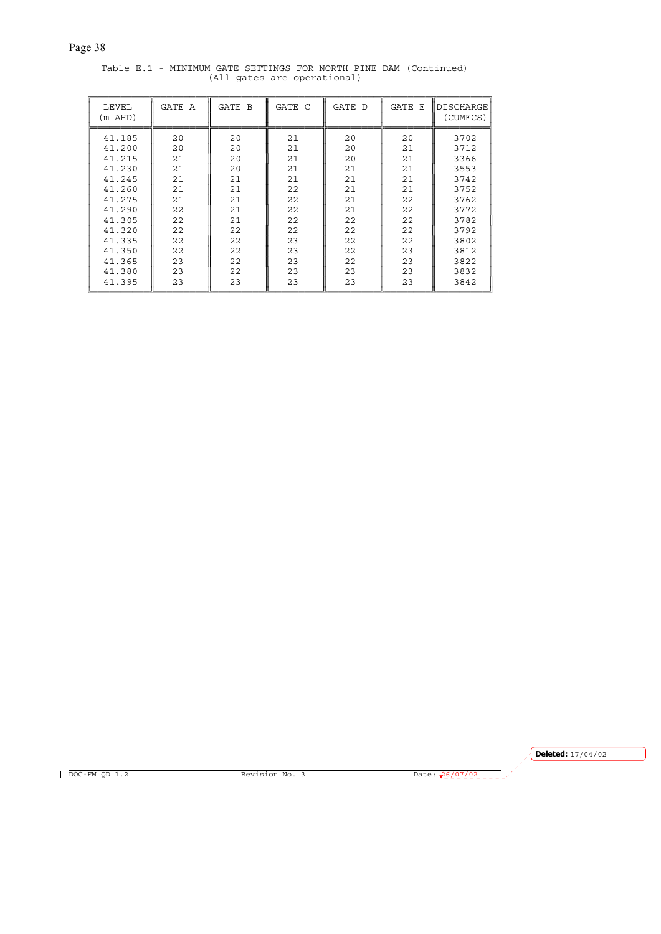| ι. |  |
|----|--|
|    |  |

| LEVEL<br>(m AHD) | GATE A | GATE B | GATE C | GATE D | GATE E | DISCHARGE <br>(CUMECS) |
|------------------|--------|--------|--------|--------|--------|------------------------|
| 41.185           | 20     | 20     | 21     | 20     | 20     | 3702                   |
| 41.200           | 20     | 20     | 21     | 20     | 21     | 3712                   |
| 41.215           | 21     | 20     | 21     | 20     | 21     | 3366                   |
| 41.230           | 21     | 20     | 21     | 21     | 21     | 3553                   |
| 41.245           | 21     | 21     | 21     | 21     | 21     | 3742                   |
| 41.260           | 21     | 21     | 22     | 21     | 21     | 3752                   |
| 41.275           | 21     | 21     | 22     | 21     | 22     | 3762                   |
| 41.290           | 22     | 21     | 22     | 21     | 22     | 3772                   |
| 41.305           | 22     | 21     | 22     | 22     | 22     | 3782                   |
| 41.320           | 22     | 22     | 22     | 22     | 22     | 3792                   |
| 41.335           | 22     | 22     | 23     | 22     | 22     | 3802                   |
| 41.350           | 22     | 22     | 23     | 22     | 23     | 3812                   |
| 41.365           | 23     | 22     | 23     | 22     | 23     | 3822                   |
| 41.380           | 23     | 22     | 23     | 23     | 23     | 3832                   |
| 41.395           | 23     | 23     | 23     | 23     | 23     | 3842                   |

Table E.1 - MINIMUM GATE SETTINGS FOR NORTH PINE DAM (Continued) (All gates are operational)

DOC:FM QD 1.2 Revision No. 3 Date: 26/07/02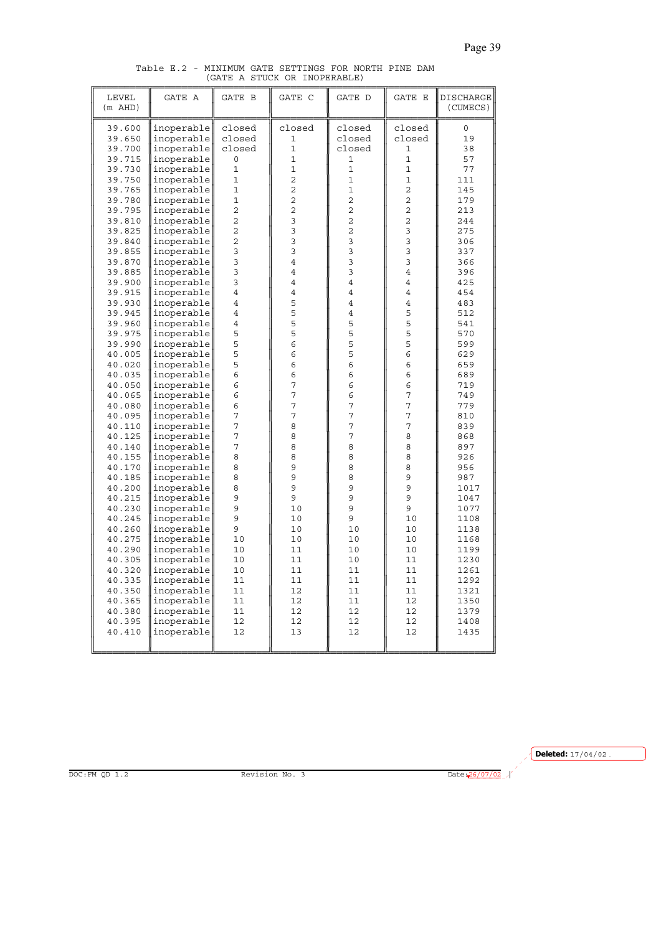| LEVEL<br>(m AHD) | GATE A     | GATE B         | GATE C         | GATE D         | GATE E         | <b>DISCHARGE</b><br>(CUMECS) |
|------------------|------------|----------------|----------------|----------------|----------------|------------------------------|
| 39.600           | inoperable | closed         | closed         | closed         | closed         | 0                            |
| 39.650           | inoperable | closed         | $\mathbf 1$    | closed         | closed         | 19                           |
| 39.700           | inoperable | closed         | $\mathbf{1}$   | closed         | $\mathbf{1}$   | 38                           |
| 39.715           | inoperable | $\Omega$       | $\mathbf{1}$   | $\mathbf 1$    | $\mathbf{1}$   | 57                           |
| 39.730           | inoperable | $\mathbf{1}$   | $\mathbf{1}$   | $\mathbf 1$    | $\mathbf{1}$   | 77                           |
| 39.750           | inoperable | $\mathbf 1$    | $\overline{c}$ | $\mathbf{1}$   | $\mathbf 1$    | 111                          |
| 39.765           | inoperable | $\mathbf{1}$   | $\overline{2}$ | $\mathbf{1}$   | $\overline{2}$ | 145                          |
| 39.780           | inoperable | $\mathbf{1}$   | $\overline{2}$ | $\overline{2}$ | $\overline{2}$ | 179                          |
| 39.795           | inoperable | $\overline{c}$ | 2              | 2              | $\overline{2}$ | 213                          |
| 39.810           | inoperable | $\overline{2}$ | 3              | $\overline{c}$ | $\overline{2}$ | 244                          |
| 39.825           | inoperable | 2              | 3              | 2              | 3              | 275                          |
| 39.840           | inoperable | $\overline{c}$ | 3              | 3              | 3              | 306                          |
| 39.855           | inoperable | 3              | 3              | 3              | 3              | 337                          |
| 39.870           | inoperable | 3              | $\overline{4}$ | 3              | 3              | 366                          |
| 39.885           | inoperable | 3              | 4              | 3              | 4              | 396                          |
| 39.900           | inoperable | 3              | $\overline{4}$ | $\overline{4}$ | 4              | 425                          |
| 39.915           | inoperable | $\overline{4}$ | 4              | $\overline{4}$ | 4              | 454                          |
| 39.930           | inoperable | 4              | 5              | $\overline{4}$ | 4              | 483                          |
| 39.945           | inoperable | 4              | 5              | $\overline{4}$ | 5              | 512                          |
| 39.960           | inoperable | $\overline{4}$ | 5              | 5              | 5              | 541                          |
| 39.975           | inoperable | 5              | 5              | 5              | 5              | 570                          |
| 39.990           | inoperable | 5              | 6              | 5              | 5              | 599                          |
| 40.005           | inoperable | 5              | 6              | 5              | 6              | 629                          |
| 40.020           | inoperable | 5              | 6              | 6              | 6              | 659                          |
| 40.035           | inoperable | 6              | 6              | 6              | 6              | 689                          |
| 40.050           | inoperable | 6              | 7              | 6              | 6              | 719                          |
| 40.065           | inoperable | 6              | 7              | 6              | 7              | 749                          |
| 40.080           | inoperable | 6              | 7              | 7              | 7              | 779                          |
| 40.095           | inoperable | 7              | 7              | 7              | 7              | 810                          |
| 40.110           |            | 7              | 8              | 7              | 7              | 839                          |
|                  | inoperable | 7              | 8              | 7              | 8              |                              |
| 40.125           | inoperable |                |                |                |                | 868                          |
| 40.140           | inoperable | 7              | 8              | 8              | 8              | 897                          |
| 40.155           | inoperable | 8              | 8              | 8              | 8              | 926                          |
| 40.170           | inoperable | 8              | 9              | 8              | 8              | 956                          |
| 40.185           | inoperable | 8              | 9              | 8              | 9              | 987                          |
| 40.200           | inoperable | 8              | 9<br>9         | 9              | 9<br>9         | 1017                         |
| 40.215           | inoperable | 9              |                | 9              |                | 1047                         |
| 40.230           | inoperable | 9              | 10             | 9              | 9              | 1077                         |
| 40.245           | inoperable | 9              | 10             | 9              | 10             | 1108                         |
| 40.260           | inoperable | 9              | 10             | 10             | 10             | 1138                         |
| 40.275           | inoperable | 10             | 10             | 10             | 10             | 1168                         |
| 40.290           | inoperable | 10             | 11             | 10             | 10             | 1199                         |
| 40.305           | inoperable | 10             | 11             | 10             | 11             | 1230                         |
| 40.320           | inoperable | 10             | 11             | 11             | 11             | 1261                         |
| 40.335           | inoperable | 11             | 11             | 11             | 11             | 1292                         |
| 40.350           | inoperable | 11             | 12             | 11             | 11             | 1321                         |
| 40.365           | inoperable | 11             | 12             | 11             | 12             | 1350                         |
| 40.380           | inoperable | 11             | 12             | 12             | 12             | 1379                         |
| 40.395           | inoperable | 12             | 12             | 12             | 12             | 1408                         |
| 40.410           | inoperable | 12             | 13             | 12             | 12             | 1435                         |
|                  |            |                |                |                |                |                              |

Table E.2 - MINIMUM GATE SETTINGS FOR NORTH PINE DAM (GATE A STUCK OR INOPERABLE)

╚═════════╩══════════╩═════════╩═════════╩═════════╩════════╩═════════╝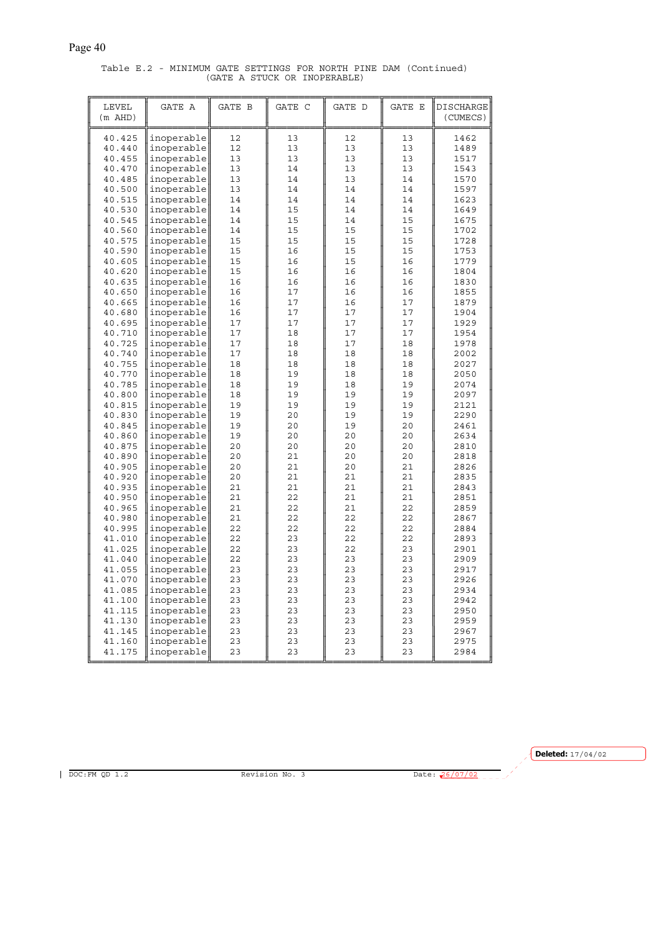| LEVEL<br>(m AHD) | GATE A     | GATE B | GATE C | GATE D | GATE E | <b>DISCHARGE</b><br>(CUMECS) |
|------------------|------------|--------|--------|--------|--------|------------------------------|
| 40.425           | inoperable | 12     | 13     | 12     | 13     | 1462                         |
| 40.440           | inoperable | 12     | 13     | 13     | 13     | 1489                         |
| 40.455           | inoperable | 13     | 13     | 13     | 13     | 1517                         |
| 40.470           | inoperable | 13     | 14     | 13     | 13     | 1543                         |
| 40.485           | inoperable | 13     | 14     | 13     | 14     | 1570                         |
| 40.500           | inoperable | 13     | 14     | 14     | 14     | 1597                         |
| 40.515           | inoperable | 14     | 14     | 14     | 14     | 1623                         |
| 40.530           | inoperable | 14     | 15     | 14     | 14     | 1649                         |
| 40.545           | inoperable | 14     | 15     | 14     | 15     | 1675                         |
| 40.560           | inoperable | 14     | 15     | 15     | 15     | 1702                         |
| 40.575           | inoperable | 15     | 15     | 15     | 15     | 1728                         |
| 40.590           | inoperable | 15     | 16     | 15     | 15     | 1753                         |
| 40.605           | inoperable | 15     | 16     | 15     | 16     | 1779                         |
| 40.620           | inoperable | 15     | 16     | 16     | 16     | 1804                         |
| 40.635           | inoperable | 16     | 16     | 16     | 16     | 1830                         |
| 40.650           | inoperable | 16     | 17     | 16     | 16     | 1855                         |
| 40.665           | inoperable | 16     | 17     | 16     | 17     | 1879                         |
| 40.680           | inoperable | 16     | 17     | 17     | 17     | 1904                         |
| 40.695           | inoperable | 17     | 17     | 17     | 17     | 1929                         |
| 40.710           | inoperable | 17     | 18     | 17     | 17     | 1954                         |
| 40.725           | inoperable | 17     | 18     | 17     | 18     | 1978                         |
| 40.740           | inoperable | 17     | 18     | 18     | 18     | 2002                         |
| 40.755           | inoperable | 18     | 18     | 18     | 18     | 2027                         |
| 40.770           | inoperable | 18     | 19     | 18     | 18     | 2050                         |
| 40.785           | inoperable | 18     | 19     | 18     | 19     | 2074                         |
| 40.800           | inoperable | 18     | 19     | 19     | 19     | 2097                         |
| 40.815           | inoperable | 19     | 19     | 19     | 19     | 2121                         |
| 40.830           | inoperable | 19     | 20     | 19     | 19     | 2290                         |
| 40.845           | inoperable | 19     | 20     | 19     | 20     | 2461                         |
| 40.860           | inoperable | 19     | 20     | 20     | 20     | 2634                         |
| 40.875           | inoperable | 20     | 20     | 20     | 20     | 2810                         |
| 40.890           | inoperable | 20     | 21     | 20     | 20     | 2818                         |
| 40.905           | inoperable | 20     | 21     | 20     | 21     | 2826                         |
| 40.920           | inoperable | 20     | 21     | 21     | 21     | 2835                         |
| 40.935           | inoperable | 21     | 21     | 21     | 21     | 2843                         |
| 40.950           | inoperable | 21     | 22     | 21     | 21     | 2851                         |
| 40.965           | inoperable | 21     | 22     | 21     | 22     | 2859                         |
| 40.980           | inoperable | 21     | 22     | 22     | 22     | 2867                         |
| 40.995           | inoperable | 22     | 22     | 22     | 22     | 2884                         |
| 41.010           | inoperable | 22     | 23     | 22     | 22     | 2893                         |
| 41.025           | inoperable | 22     | 23     | 22     | 23     | 2901                         |
| 41.040           | inoperable | 22     | 23     | 23     | 23     | 2909                         |
| 41.055           | inoperable | 23     | 23     | 23     | 23     | 2917                         |
| 41.070           | inoperable | 23     | 23     | 23     | 23     | 2926                         |
| 41.085           | inoperable | 23     | 23     | 23     | 23     | 2934                         |
| 41.100           | inoperable | 23     | 23     | 23     | 23     | 2942                         |
| 41.115           | inoperable | 23     | 23     | 23     | 23     | 2950                         |
| 41.130           | inoperable | 23     | 23     | 23     | 23     | 2959                         |
| 41.145           | inoperable | 23     | 23     | 23     | 23     | 2967                         |
| 41.160           | inoperable | 23     | 23     | 23     | 23     | 2975                         |
| 41.175           | inoperable | 23     | 23     | 23     | 23     | 2984                         |

#### Table E.2 - MINIMUM GATE SETTINGS FOR NORTH PINE DAM (Continued) (GATE A STUCK OR INOPERABLE)

 $\sqrt{DC:FM QD 1.2}$  Revision No. 3 Date:  $26/07/02$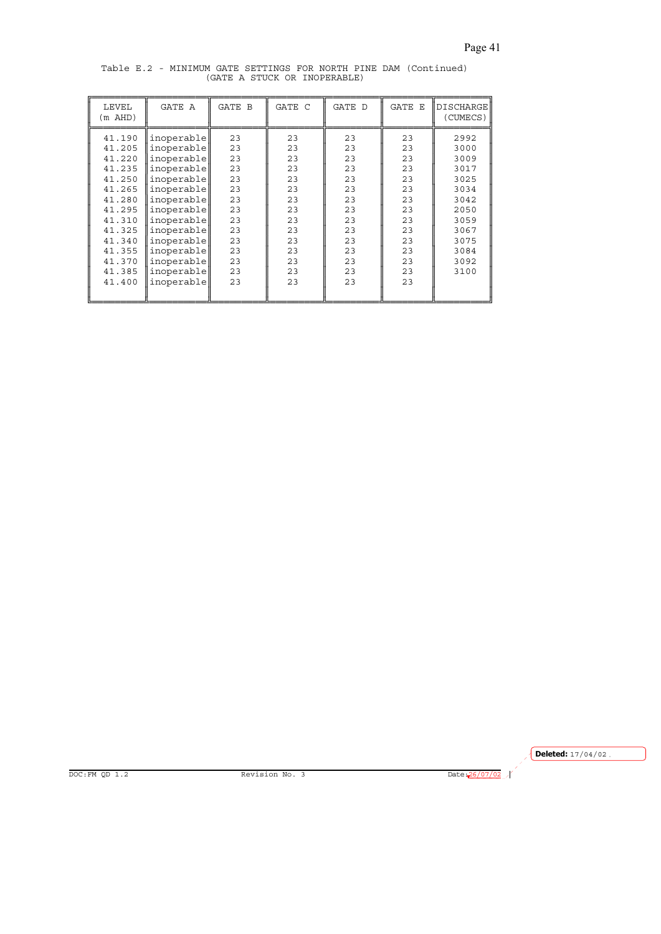| LEVEL<br>(m AHD)                                                                                                                                   | GATE A                                                                                                                                                                                                         | GATE B                                                                                 | GATE C                                                                                 | GATE D                                                                                 | GATE E                                                                                 | DISCHARGE <br>(CUMECS)                                                                                       |
|----------------------------------------------------------------------------------------------------------------------------------------------------|----------------------------------------------------------------------------------------------------------------------------------------------------------------------------------------------------------------|----------------------------------------------------------------------------------------|----------------------------------------------------------------------------------------|----------------------------------------------------------------------------------------|----------------------------------------------------------------------------------------|--------------------------------------------------------------------------------------------------------------|
| 41.190<br>41.205<br>41.220<br>41.235<br>41.250<br>41.265<br>41.280<br>41.295<br>41.310<br>41.325<br>41.340<br>41.355<br>41.370<br>41.385<br>41.400 | inoperable<br>inoperable<br>inoperable<br>inoperable<br>inoperable<br>inoperable<br>inoperable<br>inoperable<br>inoperable<br>inoperable<br>inoperable<br>inoperable<br>inoperable<br>inoperable<br>inoperable | 23<br>23<br>23<br>23<br>23<br>23<br>23<br>23<br>23<br>23<br>23<br>23<br>23<br>23<br>23 | 23<br>23<br>23<br>23<br>23<br>23<br>23<br>23<br>23<br>23<br>23<br>23<br>23<br>23<br>23 | 23<br>23<br>23<br>23<br>23<br>23<br>23<br>23<br>23<br>23<br>23<br>23<br>23<br>23<br>23 | 23<br>23<br>23<br>23<br>23<br>23<br>23<br>23<br>23<br>23<br>23<br>23<br>23<br>23<br>23 | 2992<br>3000<br>3009<br>3017<br>3025<br>3034<br>3042<br>2050<br>3059<br>3067<br>3075<br>3084<br>3092<br>3100 |

Table E.2 - MINIMUM GATE SETTINGS FOR NORTH PINE DAM (Continued) (GATE A STUCK OR INOPERABLE)

 $DC:FM QD 1.2$  Revision No. 3 Date: $26/07/02$  /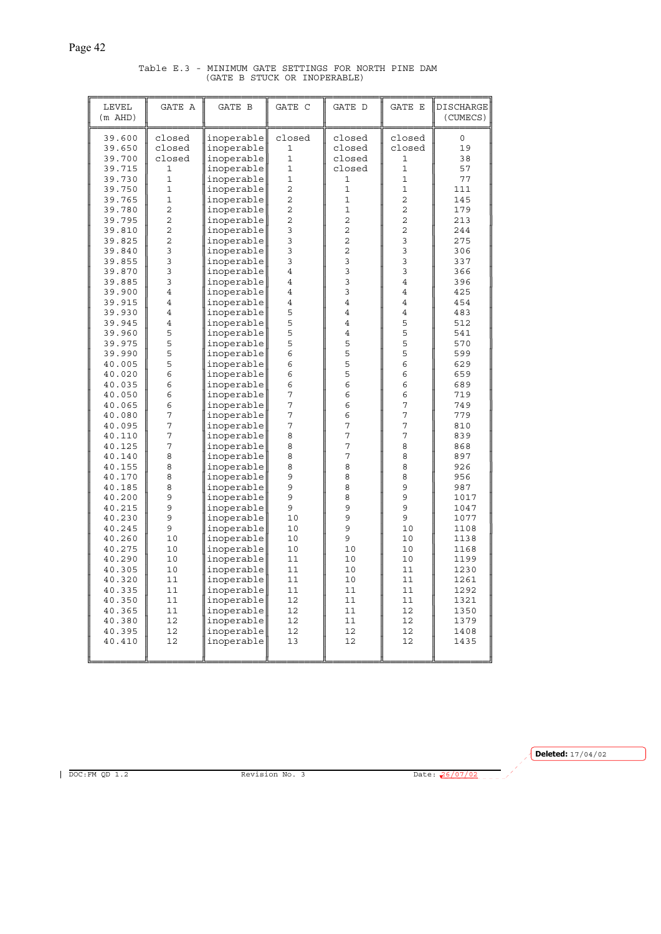| LEVEL<br>(m AHD) | GATE A         | GATE B     | GATE C         | GATE D         | GATE E         | <b>DISCHARGE</b><br>(CUMECS) |
|------------------|----------------|------------|----------------|----------------|----------------|------------------------------|
| 39.600           | closed         | inoperable | closed         | closed         | closed         | 0                            |
| 39.650           | closed         | inoperable | 1              | closed         | closed         | 19                           |
| 39.700           | closed         | inoperable | $\mathbf 1$    | closed         | 1              | 38                           |
| 39.715           | $\mathbf{1}$   | inoperable | $\mathbf 1$    | closed         | 1              | 57                           |
| 39.730           | 1              | inoperable | $\mathbf 1$    | 1              | 1              | 77                           |
| 39.750           | $\mathbf 1$    | inoperable | 2              | 1              | 1              | 111                          |
| 39.765           | $\mathbf 1$    | inoperable | $\overline{c}$ | 1              | $\overline{c}$ | 145                          |
| 39.780           | 2              | inoperable | 2              | 1              | 2              | 179                          |
| 39.795           | $\overline{2}$ | inoperable | 2              | 2              | $\overline{c}$ | 213                          |
| 39.810           | $\overline{2}$ | inoperable | 3              | $\overline{c}$ | $\overline{c}$ | 244                          |
| 39.825           | $\overline{c}$ | inoperable | 3              | $\overline{c}$ | 3              | 275                          |
| 39.840           | 3              | inoperable | 3              | $\overline{c}$ | 3              | 306                          |
| 39.855           | 3              | inoperable | 3              | 3              | 3              | 337                          |
| 39.870           | 3              | inoperable | $\overline{4}$ | 3              | 3              | 366                          |
| 39.885           | 3              | inoperable | 4              | 3              | 4              | 396                          |
| 39.900           | $\overline{4}$ | inoperable | 4              | 3              | 4              | 425                          |
| 39.915           | $\overline{4}$ | inoperable | 4              | 4              | 4              | 454                          |
| 39.930           | $\overline{4}$ | inoperable | 5              | 4              | 4              | 483                          |
| 39.945           | $\overline{4}$ | inoperable | 5              | 4              | 5              | 512                          |
| 39.960           | 5              | inoperable | 5              | 4              | 5              | 541                          |
| 39.975           | 5              | inoperable | 5              | 5              | 5              | 570                          |
| 39.990           | 5              | inoperable | 6              | 5              | 5              | 599                          |
| 40.005           | 5              | inoperable | 6              | 5              | 6              | 629                          |
| 40.020           | 6              | inoperable | 6              | 5              | 6              | 659                          |
| 40.035           | 6              | inoperable | 6              | 6              | 6              | 689                          |
| 40.050           | 6              | inoperable | 7              | 6              | 6              | 719                          |
| 40.065           | 6              | inoperable | 7              | 6              | 7              | 749                          |
| 40.080           | 7              | inoperable | 7              | 6              | 7              | 779                          |
| 40.095           | 7              | inoperable | 7              | 7              | 7              | 810                          |
| 40.110           | 7              | inoperable | 8              | 7              | 7              | 839                          |
| 40.125           | 7              | inoperable | 8              | 7              | 8              | 868                          |
| 40.140           | 8              | inoperable | 8              | 7              | 8              | 897                          |
| 40.155           | 8              | inoperable | 8              | 8              | 8              | 926                          |
| 40.170           | 8              | inoperable | 9              | 8              | 8              | 956                          |
| 40.185           | 8              | inoperable | 9              | 8              | 9              | 987                          |
| 40.200           | 9              | inoperable | 9              | 8              | 9              | 1017                         |
| 40.215           | 9              | inoperable | 9              | 9              | 9              | 1047                         |
| 40.230           | 9              | inoperable | 10             | 9              | 9              | 1077                         |
| 40.245           | 9              | inoperable | 10             | 9              | 10             | 1108                         |
| 40.260           | 10             | inoperable | 10             | 9              | 10             | 1138                         |
| 40.275           | 10             | inoperable | 10             | 10             | 10             | 1168                         |
| 40.290           | 10             | inoperable | 11             | 10             | 10             | 1199                         |
| 40.305           | 10             | inoperable | 11             | 10             | 11             | 1230                         |
| 40.320           | 11             | inoperable | 11             | 10             | 11             | 1261                         |
| 40.335           | 11             | inoperable | 11             | 11             | 11             | 1292                         |
| 40.350           | 11             | inoperable | 12             | 11             | 11             | 1321                         |
| 40.365           | 11             | inoperable | 12             | 11             | 12             | 1350                         |
| 40.380           | 12             | inoperable | 12             | 11             | 12             | 1379                         |
| 40.395           | 12             | inoperable | 12             | 12             | 12             | 1408                         |
| 40.410           | 12             | inoperable | 13             | 12             | 12             | 1435                         |

#### Table E.3 - MINIMUM GATE SETTINGS FOR NORTH PINE DAM (GATE B STUCK OR INOPERABLE)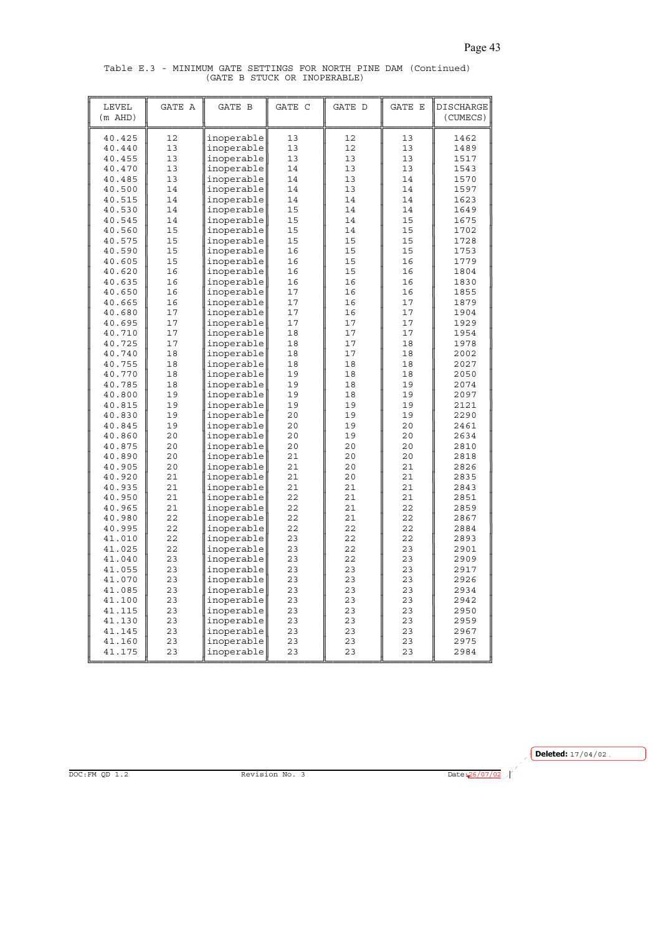| LEVEL<br>(m AHD) | GATE A | GATE B     | GATE C | GATE D | GATE E | DISCHARGE<br>(CUMECS) |
|------------------|--------|------------|--------|--------|--------|-----------------------|
| 40.425           | 12     | inoperable | 13     | 12     | 13     | 1462                  |
| 40.440           | 13     | inoperable | 13     | 12     | 13     | 1489                  |
| 40.455           | 13     | inoperable | 13     | 13     | 13     | 1517                  |
| 40.470           | 13     | inoperable | 14     | 13     | 13     | 1543                  |
| 40.485           | 13     | inoperable | 14     | 13     | 14     | 1570                  |
| 40.500           | 14     | inoperable | 14     | 13     | 14     | 1597                  |
| 40.515           | 14     | inoperable | 14     | 14     | 14     | 1623                  |
| 40.530           | 14     | inoperable | 15     | 14     | 14     | 1649                  |
| 40.545           | 14     | inoperable | 15     | 14     | 15     | 1675                  |
| 40.560           | 15     | inoperable | 15     | 14     | 15     | 1702                  |
| 40.575           | 15     | inoperable | 15     | 15     | 15     | 1728                  |
| 40.590           | 15     | inoperable | 16     | 15     | 15     | 1753                  |
| 40.605           | 15     | inoperable | 16     | 15     | 16     | 1779                  |
| 40.620           | 16     | inoperable | 16     | 15     | 16     | 1804                  |
| 40.635           | 16     | inoperable | 16     | 16     | 16     | 1830                  |
| 40.650           | 16     | inoperable | 17     | 16     | 16     | 1855                  |
| 40.665           | 16     | inoperable | 17     | 16     | 17     | 1879                  |
| 40.680           | 17     | inoperable | 17     | 16     | 17     | 1904                  |
| 40.695           | 17     | inoperable | 17     | 17     | 17     | 1929                  |
| 40.710           | 17     | inoperable | 18     | 17     | 17     | 1954                  |
| 40.725           | 17     | inoperable | 18     | 17     | 18     | 1978                  |
| 40.740           | 18     | inoperable | 18     | 17     | 18     | 2002                  |
| 40.755           | 18     | inoperable | 18     | 18     | 18     | 2027                  |
| 40.770           | 18     | inoperable | 19     | 18     | 18     | 2050                  |
| 40.785           | 18     | inoperable | 19     | 18     | 19     | 2074                  |
| 40.800           | 19     | inoperable | 19     | 18     | 19     | 2097                  |
| 40.815           | 19     | inoperable | 19     | 19     | 19     | 2121                  |
| 40.830           | 19     | inoperable | 20     | 19     | 19     | 2290                  |
| 40.845           | 19     | inoperable | 20     | 19     | 20     | 2461                  |
| 40.860           | 20     | inoperable | 20     | 19     | 20     | 2634                  |
| 40.875           | 20     | inoperable | 20     | 20     | 20     | 2810                  |
| 40.890           | 20     | inoperable | 21     | 20     | 20     | 2818                  |
| 40.905           | 20     | inoperable | 21     | 20     | 21     | 2826                  |
| 40.920           | 21     | inoperable | 21     | 20     | 21     | 2835                  |
| 40.935           | 21     | inoperable | 21     | 21     | 21     | 2843                  |
| 40.950           | 21     | inoperable | 22     | 21     | 21     | 2851                  |
| 40.965           | 21     | inoperable | 22     | 21     | 22     | 2859                  |
| 40.980           | 22     | inoperable | 22     | 21     | 22     | 2867                  |
| 40.995           | 22     | inoperable | 22     | 22     | 22     | 2884                  |
| 41.010           | 22     | inoperable | 23     | 22     | 22     | 2893                  |
| 41.025           | 22     | inoperable | 23     | 22     | 23     | 2901                  |
| 41.040           | 23     | inoperable | 23     | 22     | 23     | 2909                  |
| 41.055           | 23     | inoperable | 23     | 23     | 23     | 2917                  |
| 41.070           | 23     | inoperable | 23     | 23     | 23     | 2926                  |
| 41.085           | 23     | inoperable | 23     | 23     | 23     | 2934                  |
| 41.100           | 23     | inoperable | 23     | 23     | 23     | 2942                  |
| 41.115           | 23     | inoperable | 23     | 23     | 23     | 2950                  |
| 41.130           | 23     | inoperable | 23     | 23     | 23     | 2959                  |
| 41.145           | 23     | inoperable | 23     | 23     | 23     | 2967                  |
| 41.160           | 23     | inoperable | 23     | 23     | 23     | 2975                  |
| 41.175           | 23     | inoperable | 23     | 23     | 23     | 2984                  |

#### Table E.3 - MINIMUM GATE SETTINGS FOR NORTH PINE DAM (Continued) (GATE B STUCK OR INOPERABLE)

╚═════════╩═════════╩══════════╩═════════╩═════════╩════════╩═════════╝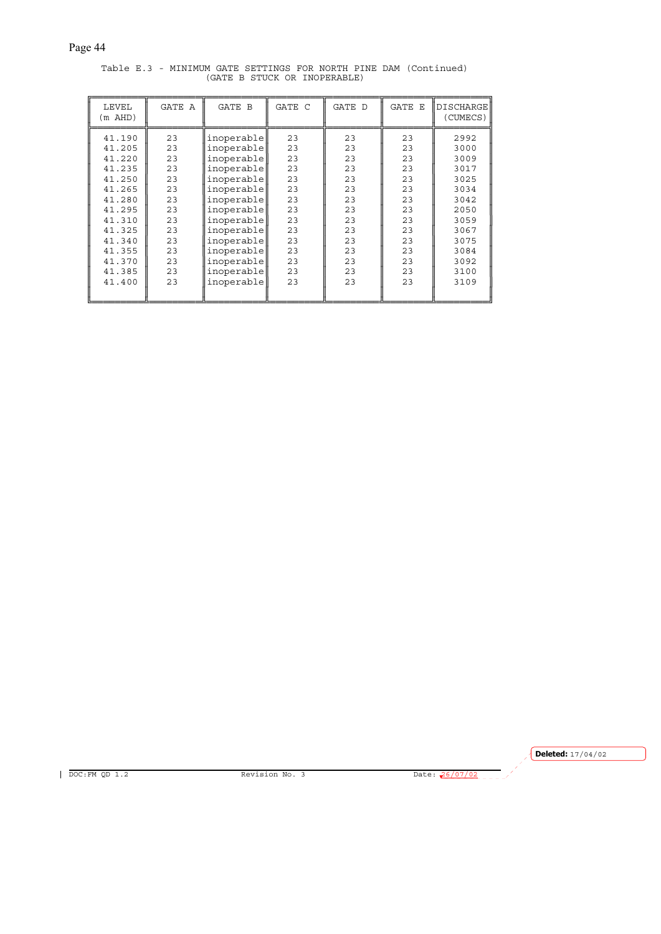| о<br>н<br>. . |  |
|---------------|--|
|---------------|--|

| LEVEL<br>(m AHD) | GATE A | GATE B     | GATE C | GATE D | GATE E | DISCHARGE <br>(CUMECS) |
|------------------|--------|------------|--------|--------|--------|------------------------|
| 41.190           | 23     | inoperable | 23     | 23     | 23     | 2992                   |
| 41.205           | 23     | inoperable | 23     | 23     | 23     | 3000                   |
| 41.220           | 23     | inoperable | 23     | 23     | 23     | 3009                   |
| 41.235           | 23     | inoperable | 23     | 23     | 23     | 3017                   |
| 41.250           | 23     | inoperable | 23     | 23     | 23     | 3025                   |
| 41.265           | 23     | inoperable | 23     | 23     | 23     | 3034                   |
| 41.280           | 23     | inoperable | 23     | 23     | 23     | 3042                   |
| 41.295           | 23     | inoperable | 23     | 23     | 23     | 2050                   |
| 41.310           | 23     | inoperable | 23     | 23     | 23     | 3059                   |
| 41.325           | 23     | inoperable | 23     | 23     | 23     | 3067                   |
| 41.340           | 23     | inoperable | 23     | 23     | 23     | 3075                   |
| 41.355           | 23     | inoperable | 23     | 23     | 23     | 3084                   |
| 41.370           | 23     | inoperable | 23     | 23     | 23     | 3092                   |
| 41.385           | 23     | inoperable | 23     | 23     | 23     | 3100                   |
| 41.400           | 23     | inoperable | 23     | 23     | 23     | 3109                   |

#### Table E.3 - MINIMUM GATE SETTINGS FOR NORTH PINE DAM (Continued) (GATE B STUCK OR INOPERABLE)

DOC:FM QD 1.2 Revision No. 3 Date:  $\frac{26/07/02}{2}$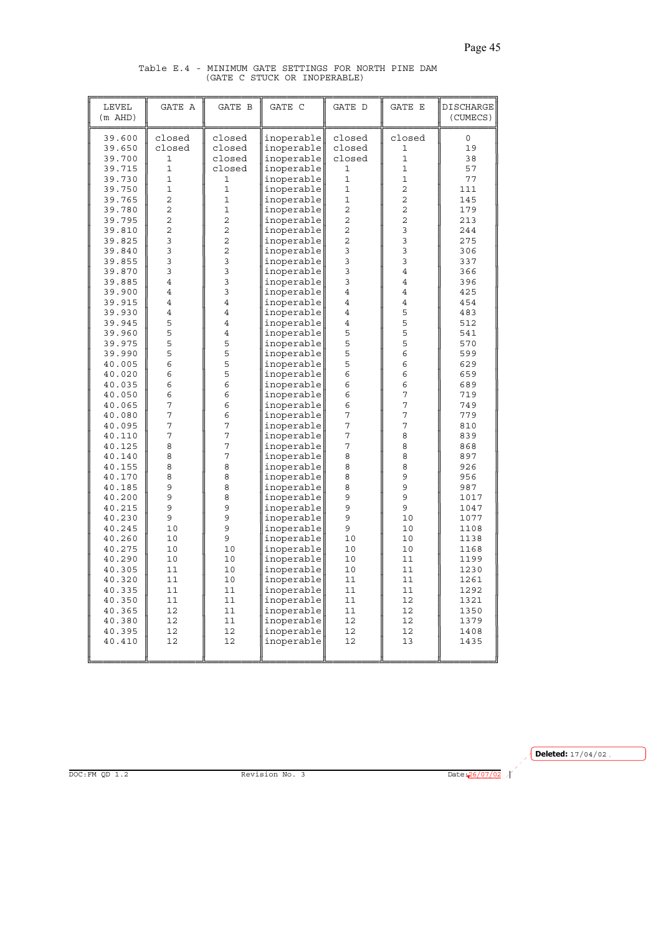| LEVEL<br>(m AHD) | GATE A         | GATE B         | GATE C     | GATE D         | GATE E         | DISCHARGE<br>(CUMECS) |
|------------------|----------------|----------------|------------|----------------|----------------|-----------------------|
| 39.600           | closed         | closed         | inoperable | closed         | closed         | 0                     |
| 39.650           | closed         | closed         | inoperable | closed         | 1              | 19                    |
| 39.700           | 1              | closed         | inoperable | closed         | $\mathbf{1}$   | 38                    |
| 39.715           | $\mathbf{1}$   | closed         | inoperable | $\mathbf{1}$   | $\mathbf{1}$   | 57                    |
| 39.730           | $\mathbf{1}$   | 1              | inoperable | $\mathbf{1}$   | $\mathbf{1}$   | 77                    |
| 39.750           | 1              | $\mathbf 1$    | inoperable | 1              | $\overline{c}$ | 111                   |
|                  | $\overline{2}$ | $\mathbf{1}$   |            | 1              | $\overline{2}$ | 145                   |
| 39.765           |                |                | inoperable |                |                |                       |
| 39.780           | $\overline{c}$ | 1              | inoperable | $\overline{c}$ | $\overline{c}$ | 179                   |
| 39.795           | 2              | $\overline{c}$ | inoperable | 2              | $\overline{c}$ | 213                   |
| 39.810           | $\overline{2}$ | $\overline{2}$ | inoperable | $\overline{2}$ | 3              | 244                   |
| 39.825           | 3              | $\overline{c}$ | inoperable | $\overline{c}$ | 3              | 275                   |
| 39.840           | 3              | $\overline{c}$ | inoperable | 3              | 3              | 306                   |
| 39.855           | 3              | 3              | inoperable | 3              | 3              | 337                   |
| 39.870           | 3              | 3              | inoperable | 3              | 4              | 366                   |
| 39.885           | 4              | 3              | inoperable | 3              | $\overline{4}$ | 396                   |
| 39.900           | 4              | 3              | inoperable | 4              | 4              | 425                   |
| 39.915           | 4              | $\overline{4}$ | inoperable | 4              | $\overline{4}$ | 454                   |
| 39.930           | 4              | $\overline{4}$ | inoperable | 4              | 5              | 483                   |
| 39.945           | 5              | 4              | inoperable | 4              | 5              | 512                   |
| 39.960           | 5              | $\overline{4}$ | inoperable | 5              | 5              | 541                   |
| 39.975           | 5              | 5              | inoperable | 5              | 5              | 570                   |
| 39.990           | 5              | 5              | inoperable | 5              | 6              | 599                   |
|                  | 6              | 5              |            | 5              | 6              | 629                   |
| 40.005           |                |                | inoperable |                |                |                       |
| 40.020           | 6              | 5              | inoperable | 6              | 6              | 659                   |
| 40.035           | 6              | 6              | inoperable | 6              | 6              | 689                   |
| 40.050           | 6              | 6              | inoperable | 6              | 7              | 719                   |
| 40.065           | 7              | 6              | inoperable | 6              | 7              | 749                   |
| 40.080           | 7              | 6              | inoperable | 7              | 7              | 779                   |
| 40.095           | 7              | 7              | inoperable | 7              | 7              | 810                   |
| 40.110           | 7              | 7              | inoperable | 7              | 8              | 839                   |
| 40.125           | 8              | 7              | inoperable | 7              | 8              | 868                   |
| 40.140           | 8              | 7              | inoperable | 8              | 8              | 897                   |
| 40.155           | 8              | 8              | inoperable | 8              | 8              | 926                   |
| 40.170           | 8              | 8              | inoperable | 8              | 9              | 956                   |
| 40.185           | 9              | 8              | inoperable | 8              | 9              | 987                   |
| 40.200           | 9              | 8              | inoperable | 9              | 9              | 1017                  |
| 40.215           | 9              | 9              | inoperable | 9              | 9              | 1047                  |
| 40.230           | 9              | 9              | inoperable | 9              | 10             | 1077                  |
| 40.245           | 10             | 9              | inoperable | 9              | 10             | 1108                  |
|                  | 10             | 9              |            | 10             | 10             |                       |
| 40.260           |                |                | inoperable |                |                | 1138                  |
| 40.275           | 10             | 10             | inoperable | 10             | 10             | 1168                  |
| 40.290           | 10             | 10             | inoperable | 10             | 11             | 1199                  |
| 40.305           | 11             | 10             | inoperable | 10             | 11             | 1230                  |
| 40.320           | 11             | 10             | inoperable | 11             | 11             | 1261                  |
| 40.335           | 11             | 11             | inoperable | 11             | 11             | 1292                  |
| 40.350           | 11             | 11             | inoperable | 11             | 12             | 1321                  |
| 40.365           | 12             | 11             | inoperable | 11             | 12             | 1350                  |
| 40.380           | 12             | 11             | inoperable | 12             | 12             | 1379                  |
| 40.395           | 12             | 12             | inoperable | 12             | 12             | 1408                  |
| 40.410           | 12             | 12             | inoperable | 12             | 13             | 1435                  |
|                  |                |                |            |                |                |                       |

#### Table E.4 - MINIMUM GATE SETTINGS FOR NORTH PINE DAM (GATE C STUCK OR INOPERABLE)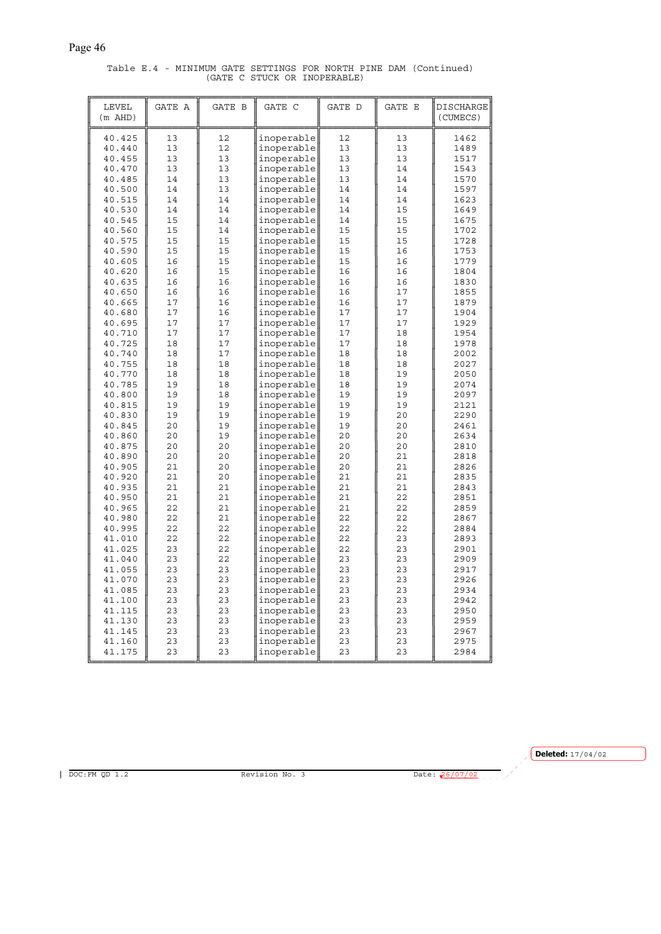| LEVEL<br>(m AHD) | GATE A | GATE B | GATE C     | GATE D | GATE E | DISCHARGE<br>(CUMECS) |
|------------------|--------|--------|------------|--------|--------|-----------------------|
| 40.425           | 13     | 12     | inoperable | 12     | 13     | 1462                  |
| 40.440           | 13     | 12     | inoperable | 13     | 13     | 1489                  |
| 40.455           | 13     | 13     | inoperable | 13     | 13     | 1517                  |
| 40.470           | 13     | 13     | inoperable | 13     | 14     | 1543                  |
| 40.485           | 14     | 13     | inoperable | 13     | 14     | 1570                  |
| 40.500           | 14     | 13     | inoperable | 14     | 14     | 1597                  |
| 40.515           | 14     | 14     | inoperable | 14     | 14     | 1623                  |
| 40.530           | 14     | 14     | inoperable | 14     | 15     | 1649                  |
| 40.545           | 15     | 14     | inoperable | 14     | 15     | 1675                  |
| 40.560           | 15     | 14     | inoperable | 15     | 15     | 1702                  |
| 40.575           | 15     | 15     | inoperable | 15     | 15     | 1728                  |
| 40.590           | 15     | 15     | inoperable | 15     | 16     | 1753                  |
| 40.605           | 16     | 15     | inoperable | 15     | 16     | 1779                  |
| 40.620           | 16     | 15     | inoperable | 16     | 16     | 1804                  |
| 40.635           | 16     | 16     | inoperable | 16     | 16     | 1830                  |
| 40.650           | 16     | 16     | inoperable | 16     | 17     | 1855                  |
| 40.665           | 17     | 16     | inoperable | 16     | 17     | 1879                  |
| 40.680           | 17     | 16     | inoperable | 17     | 17     | 1904                  |
| 40.695           | 17     | 17     | inoperable | 17     | 17     | 1929                  |
| 40.710           | 17     | 17     | inoperable | 17     | 18     | 1954                  |
| 40.725           | 18     | 17     | inoperable | 17     | 18     | 1978                  |
| 40.740           | 18     | 17     | inoperable | 18     | 18     | 2002                  |
| 40.755           | 18     | 18     | inoperable | 18     | 18     | 2027                  |
| 40.770           | 18     | 18     | inoperable | 18     | 19     | 2050                  |
| 40.785           | 19     | 18     | inoperable | 18     | 19     | 2074                  |
| 40.800           | 19     | 18     | inoperable | 19     | 19     | 2097                  |
| 40.815           | 19     | 19     | inoperable | 19     | 19     | 2121                  |
| 40.830           | 19     | 19     | inoperable | 19     | 20     | 2290                  |
| 40.845           | 20     | 19     | inoperable | 19     | 20     | 2461                  |
| 40.860           | 20     | 19     | inoperable | 20     | 20     | 2634                  |
| 40.875           | 20     | 20     | inoperable | 20     | 20     | 2810                  |
| 40.890           | 20     | 20     | inoperable | 20     | 21     | 2818                  |
| 40.905           | 21     | 20     | inoperable | 20     | 21     | 2826                  |
| 40.920           | 21     | 20     | inoperable | 21     | 21     | 2835                  |
| 40.935           | 21     | 21     | inoperable | 21     | 21     | 2843                  |
| 40.950           | 21     | 21     | inoperable | 21     | 22     | 2851                  |
| 40.965           | 22     | 21     | inoperable | 21     | 22     | 2859                  |
| 40.980           | 22     | 21     | inoperable | 22     | 22     | 2867                  |
| 40.995           | 22     | 22     | inoperable | 22     | 22     | 2884                  |
| 41.010           | 22     | 22     | inoperable | 22     | 23     | 2893                  |
| 41.025           | 23     | 22     | inoperable | 22     | 23     | 2901                  |
| 41.040           | 23     | 22     | inoperable | 23     | 23     | 2909                  |
| 41.055           | 23     | 23     | inoperable | 23     | 23     | 2917                  |
| 41.070           | 23     | 23     | inoperable | 23     | 23     | 2926                  |
| 41.085           | 23     | 23     | inoperable | 23     | 23     | 2934                  |
| 41.100           | 23     | 23     | inoperable | 23     | 23     | 2942                  |
| 41.115           | 23     | 23     | inoperable | 23     | 23     | 2950                  |
| 41.130           | 23     | 23     | inoperable | 23     | 23     | 2959                  |
| 41.145           | 23     | 23     | inoperable | 23     | 23     | 2967                  |
| 41.160           | 23     | 23     | inoperable | 23     | 23     | 2975                  |
| 41.175           | 23     | 23     | inoperable | 23     | 23     | 2984                  |

 Table E.4 - MINIMUM GATE SETTINGS FOR NORTH PINE DAM (Continued) (GATE C STUCK OR INOPERABLE)

DOC:FM QD 1.2 Revision No. 3 Date: 26/07/02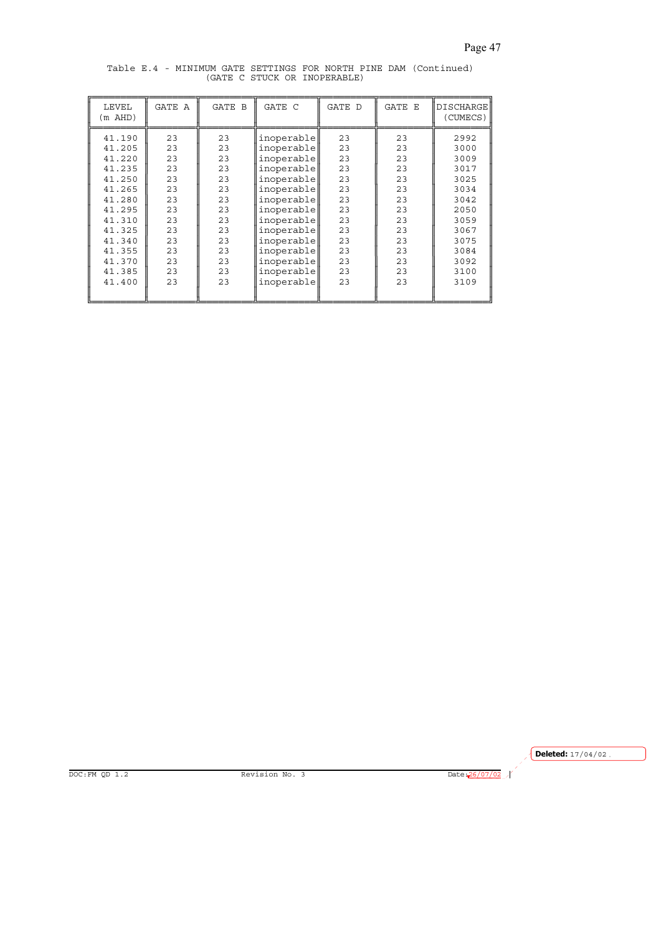| 41.190<br>23<br>inoperable<br>23<br>2992<br>23<br>23<br>23<br>inoperable<br>23<br>41.205<br>23<br>23<br>3000<br>23<br>3009<br>41.220<br>23<br>23<br>inoperable<br>23<br>23<br>23<br>inoperable<br>23<br>23<br>41.235<br>3017<br>23<br>23<br>23<br>23<br> inoperable  <br>3025<br>41.250<br> inoperable <br>23<br>23<br>23<br>23<br>3034<br>41.265<br>23<br>inoperable<br>23<br>23<br>41.280<br>23<br>3042<br>41.295<br>23<br>23<br>2050<br>23<br>inoperable<br>23<br>23<br>23<br>23<br>23<br>inoperable<br>3059<br>41.310<br>23<br>23<br> inoperable <br>23<br>23<br>3067<br>41.325<br>inoperable<br>23<br>23<br>23<br>23<br>3075<br>41.340<br>23<br>23<br> inoperable <br>23<br>23<br>3084<br>41.355<br>23<br>23<br>inoperable<br>23<br>23<br>3092<br>41.370<br>23<br>23<br>23<br>inoperable<br>23<br>3100<br>41.385 | LEVEL<br>(m AHD) | GATE A | GATE B | GATE C     | GATE D | GATE E | <b>DISCHARGE</b><br>(CUMECS) |
|-----------------------------------------------------------------------------------------------------------------------------------------------------------------------------------------------------------------------------------------------------------------------------------------------------------------------------------------------------------------------------------------------------------------------------------------------------------------------------------------------------------------------------------------------------------------------------------------------------------------------------------------------------------------------------------------------------------------------------------------------------------------------------------------------------------------------|------------------|--------|--------|------------|--------|--------|------------------------------|
|                                                                                                                                                                                                                                                                                                                                                                                                                                                                                                                                                                                                                                                                                                                                                                                                                       | 41.400           | 23     | 23     | inoperable | 23     | 23     | 3109                         |

 Table E.4 - MINIMUM GATE SETTINGS FOR NORTH PINE DAM (Continued) (GATE C STUCK OR INOPERABLE)

 $DC:FM QD 1.2$  Revision No. 3 Date: $26/07/02$  /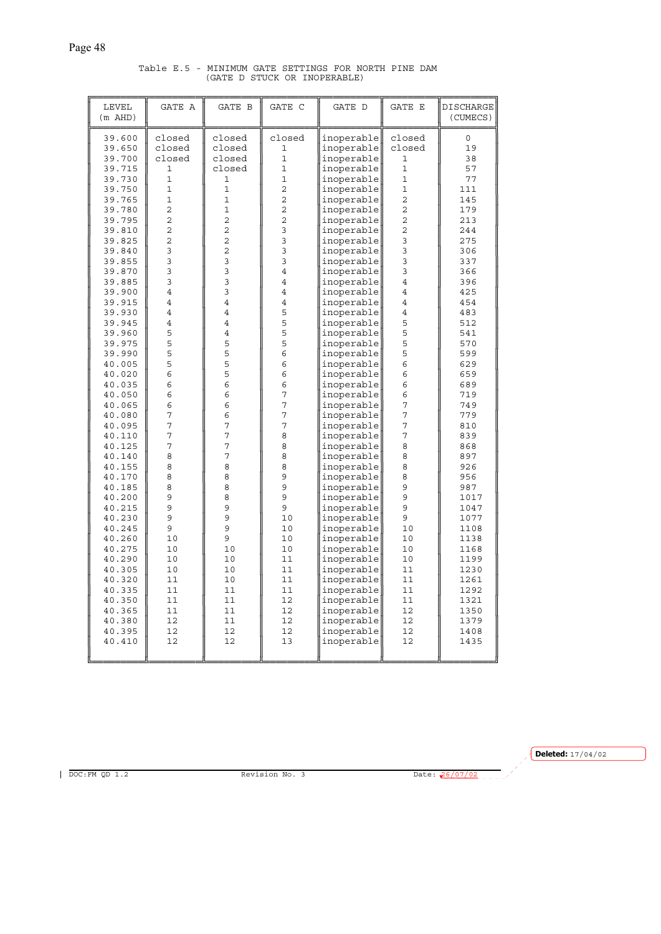| LEVEL<br>(m AHD) | GATE A         | GATE B         | GATE C         | GATE D     | GATE E         | DISCHARGE<br>(CUMECS) |
|------------------|----------------|----------------|----------------|------------|----------------|-----------------------|
| 39.600           | closed         | closed         | closed         | inoperable | closed         | 0                     |
| 39.650           | closed         | closed         | 1              | inoperable | closed         | 19                    |
| 39.700           | closed         | closed         | $\mathbf{1}$   | inoperable | $\mathbf{1}$   | 38                    |
| 39.715           | 1              | closed         | $\mathbf 1$    | inoperable | 1              | 57                    |
| 39.730           | 1              | 1              | $\mathbf 1$    | inoperable | 1              | 77                    |
| 39.750           | 1              | 1              | $\overline{c}$ | inoperable | $\mathbf{1}$   | 111                   |
| 39.765           | $\mathbf{1}$   | $\mathbf{1}$   | $\overline{c}$ | inoperable | $\overline{c}$ | 145                   |
| 39.780           | 2              | $\mathbf 1$    | $\overline{c}$ | inoperable | 2              | 179                   |
| 39.795           | 2              | 2              | $\overline{c}$ | inoperable | 2              | 213                   |
| 39.810           | $\overline{2}$ | $\overline{c}$ | 3              | inoperable | $\overline{c}$ | 244                   |
| 39.825           | $\overline{c}$ | 2              | 3              | inoperable | 3              | 275                   |
| 39.840           | 3              | $\overline{c}$ | 3              | inoperable | 3              | 306                   |
| 39.855           | 3              | 3              | 3              | inoperable | 3              | 337                   |
| 39.870           | 3              | 3              | $\overline{4}$ | inoperable | 3              | 366                   |
| 39.885           | 3              | 3              | $\overline{4}$ | inoperable | $\overline{4}$ | 396                   |
| 39.900           | $\overline{4}$ | 3              | $\overline{4}$ | inoperable | 4              | 425                   |
| 39.915           | 4              | 4              | $\overline{4}$ | inoperable | 4              | 454                   |
| 39.930           | 4              | 4              | 5              | inoperable | $\overline{4}$ | 483                   |
| 39.945           | 4              | $\overline{4}$ | 5              | inoperable | 5              | 512                   |
| 39.960           | 5              | 4              | 5              | inoperable | 5              | 541                   |
| 39.975           | 5              | 5              | 5              | inoperable | 5              | 570                   |
| 39.990           | 5              | 5              | 6              | inoperable | 5              | 599                   |
| 40.005           | 5              | 5              | 6              | inoperable | 6              | 629                   |
| 40.020           | 6              | 5              | 6              | inoperable | 6              | 659                   |
| 40.035           | 6              | 6              | 6              | inoperable | 6              | 689                   |
| 40.050           | 6              | 6              | 7              | inoperable | 6              | 719                   |
| 40.065           | 6              | 6              | 7              | inoperable | 7              | 749                   |
| 40.080           | 7              | 6              | 7              | inoperable | 7              | 779                   |
| 40.095           | 7              | 7              | 7              | inoperable | 7              | 810                   |
| 40.110           | 7              | 7              | 8              | inoperable | 7              | 839                   |
| 40.125           | 7              | 7              | 8              | inoperable | 8              | 868                   |
| 40.140           | 8              | 7              | 8              | inoperable | 8              | 897                   |
| 40.155           | 8              | 8              | 8              | inoperable | 8              | 926                   |
| 40.170           | 8              | 8              | 9              | inoperable | 8              | 956                   |
| 40.185           | 8              | 8              | 9              | inoperable | 9              | 987                   |
| 40.200           | 9              | 8              | 9              | inoperable | 9              | 1017                  |
| 40.215           | 9              | 9              | 9              | inoperable | 9              | 1047                  |
| 40.230           | 9              | 9              | 10             | inoperable | 9              | 1077                  |
| 40.245           | 9              | 9              | 10             | inoperable | 10             | 1108                  |
| 40.260           | 10             | 9              | 10             | inoperable | 10             | 1138                  |
| 40.275           | 10             | 10             | 10             | inoperable | 10             | 1168                  |
| 40.290           | 10             | 10             | 11             | inoperable | 10             | 1199                  |
| 40.305           | 10             | 10             | 11             | inoperable | 11             | 1230                  |
| 40.320           | 11             | 10             | 11             | inoperable | 11             | 1261                  |
| 40.335           | 11             | 11             | 11             | inoperable | 11             | 1292                  |
| 40.350           | 11             | 11             | 12             | inoperable | 11             | 1321                  |
| 40.365           | 11             | 11             | 12             | inoperable | 12             | 1350                  |
| 40.380           | 12             | 11             | 12             | inoperable | 12             | 1379                  |
| 40.395           | 12             | 12             | 12             | inoperable | 12             | 1408                  |
|                  |                |                |                |            |                |                       |
| 40.410           | 12             | 12             | 13             | inoperable | 12             | 1435                  |

 Table E.5 - MINIMUM GATE SETTINGS FOR NORTH PINE DAM (GATE D STUCK OR INOPERABLE)

DOC:FM QD 1.2 Revision No. 3 Date: 26/07/02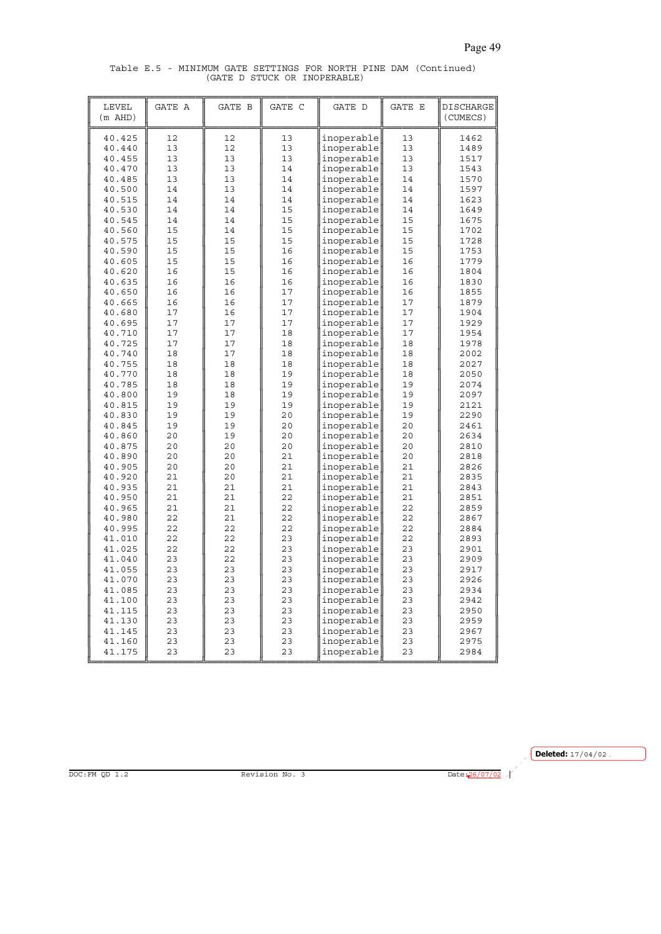| LEVEL<br>(m AHD) | GATE A   | GATE B   | GATE C   | GATE D                   | GATE E   | DISCHARGE<br>(CUMECS) |
|------------------|----------|----------|----------|--------------------------|----------|-----------------------|
| 40.425           | 12       | 12       | 13       | inoperable               | 13       | 1462                  |
| 40.440           | 13       | 12       | 13       | inoperable               | 13       | 1489                  |
| 40.455           | 13       | 13       | 13       | inoperable               | 13       | 1517                  |
| 40.470           | 13       | 13       | 14       | inoperable               | 13       | 1543                  |
| 40.485           | 13       | 13       | 14       | inoperable               | 14       | 1570                  |
| 40.500           | 14       | 13       | 14       | inoperable               | 14       | 1597                  |
| 40.515           | 14       | 14       | 14       | inoperable               | 14       | 1623                  |
| 40.530           | 14       | 14       | 15       | inoperable               | 14       | 1649                  |
| 40.545           | 14       | 14       | 15       | inoperable               | 15       | 1675                  |
| 40.560           | 15       | 14       | 15       | inoperable               | 15       | 1702                  |
| 40.575           | 15       | 15       | 15       | inoperable               | 15       | 1728                  |
| 40.590           | 15       | 15       | 16       | inoperable               | 15       | 1753                  |
| 40.605           | 15       | 15       | 16       | inoperable               | 16       | 1779                  |
| 40.620           | 16       | 15       | 16       | inoperable               | 16       | 1804                  |
| 40.635           | 16       | 16       | 16       | inoperable               | 16       | 1830                  |
| 40.650           | 16       | 16       | 17       | inoperable               | 16       | 1855                  |
| 40.665           | 16       | 16       | 17       | inoperable               | 17       | 1879                  |
| 40.680           | 17       | 16       | 17       | inoperable               | 17       | 1904                  |
| 40.695           | 17       | 17       | 17       | inoperable               | 17       | 1929                  |
| 40.710           | 17       | 17       | 18       | inoperable               | 17       | 1954                  |
| 40.725           | 17       | 17       | 18       | inoperable               | 18       | 1978                  |
| 40.740           | 18       | 17       | 18       | inoperable               | 18       | 2002                  |
| 40.755           | 18       | 18       | 18       | inoperable               | 18       | 2027                  |
| 40.770           | 18       | 18       | 19       | inoperable               | 18       | 2050                  |
| 40.785           | 18       | 18       | 19       | inoperable               | 19       | 2074                  |
| 40.800           | 19       | 18       | 19       | inoperable               | 19       | 2097                  |
| 40.815           | 19       | 19       | 19       | inoperable               | 19       | 2121                  |
| 40.830           | 19       | 19       | 20       | inoperable               | 19       | 2290                  |
| 40.845           | 19       | 19       | 20       | inoperable               | 20       | 2461                  |
| 40.860           | 20       | 19       | 20       | inoperable               | 20       | 2634                  |
| 40.875           | 20       | 20       | 20       | inoperable               | 20       | 2810                  |
| 40.890           | 20       | 20       | 21       | inoperable               | 20       | 2818                  |
| 40.905           | 20       | 20       | 21       | inoperable               | 21       | 2826                  |
| 40.920           | 21       | 20       | 21       | inoperable               | 21       | 2835                  |
| 40.935           | 21       | 21       | 21       | inoperable               | 21       | 2843                  |
| 40.950           | 21       | 21       | 22       | inoperable               | 21       | 2851                  |
| 40.965           | 21       | 21       | 22       | inoperable               | 22       | 2859                  |
| 40.980           | 22       | 21       | 22       | inoperable               | 22       | 2867                  |
| 40.995           | 22       | 22       | 22       | inoperable               | 22       | 2884                  |
| 41.010           | 22<br>22 | 22<br>22 | 23<br>23 | inoperable               | 22<br>23 | 2893                  |
| 41.025<br>41.040 | 23       | 22       | 23       | inoperable               | 23       | 2901<br>2909          |
| 41.055           | 23       | 23       | 23       | inoperable<br>inoperable | 23       | 2917                  |
|                  |          | 23       |          |                          |          |                       |
| 41.070<br>41.085 | 23<br>23 | 23       | 23<br>23 | inoperable<br>inoperable | 23<br>23 | 2926<br>2934          |
| 41.100           | 23       | 23       | 23       | inoperable               | 23       | 2942                  |
| 41.115           | 23       | 23       | 23       | inoperable               | 23       | 2950                  |
| 41.130           | 23       | 23       | 23       | inoperable               | 23       | 2959                  |
| 41.145           | 23       | 23       | 23       | inoperable               | 23       | 2967                  |
| 41.160           | 23       | 23       | 23       | inoperable               | 23       | 2975                  |
| 41.175           | 23       | 23       | 23       | inoperable               | 23       | 2984                  |
|                  |          |          |          |                          |          |                       |

#### Table E.5 - MINIMUM GATE SETTINGS FOR NORTH PINE DAM (Continued) (GATE D STUCK OR INOPERABLE)

 $DC:FM QD 1.2$  Revision No. 3 Date: $26/07/02$  /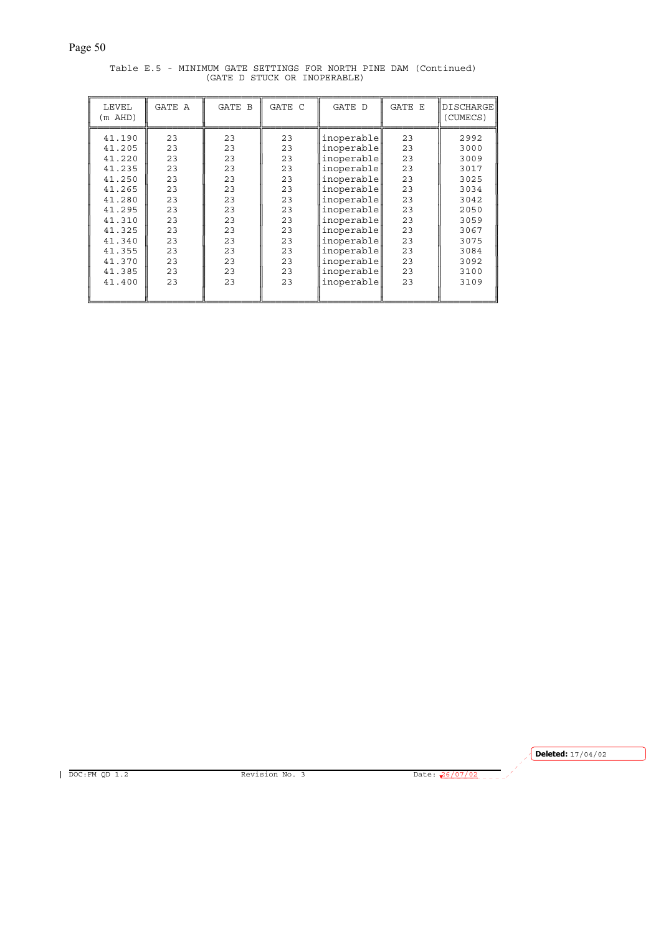|--|--|

|        | GATE A | GATE B | GATE C | GATE D     | GATE E | DISCHARGE<br>(CUMECS) |
|--------|--------|--------|--------|------------|--------|-----------------------|
| 41.190 | 23     | 23     | 23     | inoperable | 23     | 2992                  |
| 41.205 | 23     | 23     | 23     | inoperable | 23     | 3000                  |
| 41.220 | 23     | 23     | 23     | inoperable | 23     | 3009                  |
| 41.235 | 23     | 23     | 23     | inoperable | 23     | 3017                  |
| 41.250 | 23     | 23     | 23     | inoperable | 23     | 3025                  |
| 41.265 | 23     | 23     | 23     | inoperable | 23     | 3034                  |
| 41.280 | 23     | 23     | 23     | inoperable | 23     | 3042                  |
| 41.295 | 23     | 23     | 23     | inoperable | 23     | 2050                  |
| 41.310 | 23     | 23     | 23     | inoperable | 23     | 3059                  |
| 41.325 | 23     | 23     | 23     | inoperable | 23     | 3067                  |
| 41.340 | 23     | 23     | 23     | inoperable | 23     | 3075                  |
| 41.355 | 23     | 23     | 23     | inoperable | 23     | 3084                  |
| 41.370 | 23     | 23     | 23     | inoperable | 23     | 3092                  |
| 41.385 | 23     | 23     | 23     | inoperable | 23     | 3100                  |
| 41.400 | 23     | 23     | 23     | inoperable | 23     | 3109                  |

 Table E.5 - MINIMUM GATE SETTINGS FOR NORTH PINE DAM (Continued) (GATE D STUCK OR INOPERABLE)

 $\sqrt{DC:FM QD 1.2}$  Revision No. 3 Date:  $\frac{26/07/02}{2}$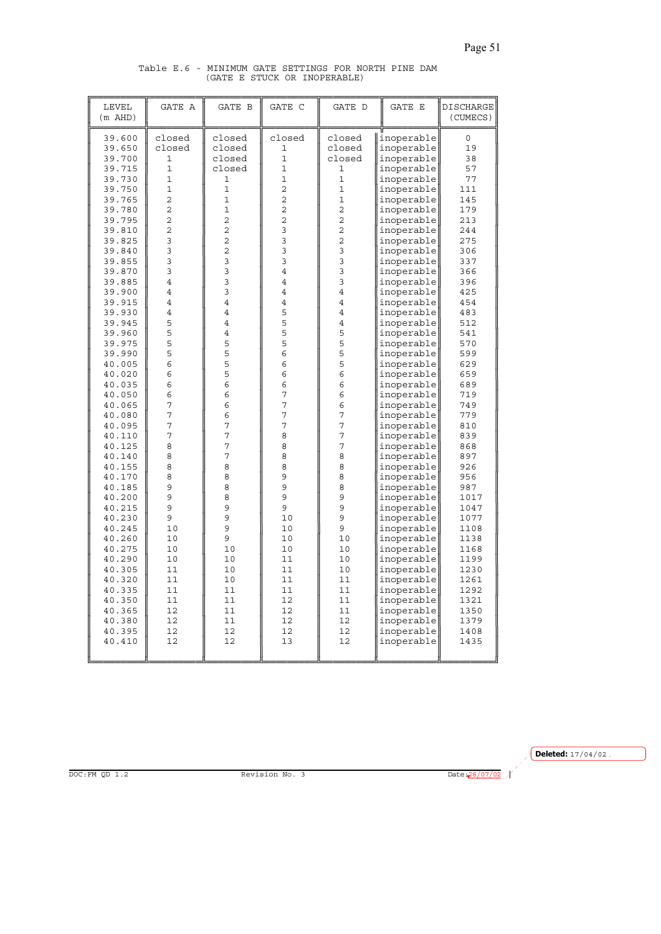| LEVEL<br>(m AHD) | GATE A         | GATE B         | GATE C         | GATE D         | GATE E                   | DISCHARGE<br>(CUMECS) |
|------------------|----------------|----------------|----------------|----------------|--------------------------|-----------------------|
| 39.600           | closed         | closed         | closed         | closed         | inoperable               | 0                     |
| 39.650           | closed         | closed         | $\mathbf{1}$   | closed         | inoperable               | 19                    |
| 39.700           | 1              | closed         | $\mathbf{1}$   | closed         | inoperable               | 38                    |
| 39.715           | $\mathbf 1$    | closed         | $\mathbf 1$    | $\mathbf{1}$   | inoperable               | 57                    |
| 39.730           | $\mathbf 1$    | $\mathbf 1$    | $\mathbf 1$    | $\mathbf{1}$   | inoperable               | 77                    |
| 39.750           | $\mathbf 1$    | 1              | $\overline{2}$ | $\mathbf{1}$   | inoperable               | 111                   |
| 39.765           | $\overline{2}$ | $\mathbf 1$    | 2              | $\mathbf{1}$   | inoperable               | 145                   |
| 39.780           | $\overline{2}$ | $\mathbf{1}$   | $\overline{2}$ | $\overline{2}$ | inoperable               | 179                   |
| 39.795           | $\overline{2}$ | 2              | $\overline{c}$ | $\overline{c}$ | inoperable               | 213                   |
| 39.810           | $\overline{2}$ | $\overline{2}$ | 3              | $\overline{2}$ | inoperable               | 244                   |
| 39.825           | 3              | 2              | 3              | $\overline{c}$ | inoperable               | 275                   |
| 39.840           | 3              | 2              | 3              | 3              | inoperable               | 306                   |
| 39.855           | 3              | 3              | 3              | 3              | inoperable               | 337                   |
| 39.870           | 3              | 3              | $\overline{4}$ | 3              | inoperable               | 366                   |
| 39.885           | $\overline{4}$ | 3              | $\overline{4}$ | 3              | inoperable               | 396                   |
| 39.900           | 4              | 3              | $\overline{4}$ | $\overline{4}$ | inoperable               | 425                   |
| 39.915           | $\overline{4}$ | $\overline{4}$ | $\overline{4}$ | $\overline{4}$ | inoperable               | 454                   |
| 39.930           | 4              | 4              | 5              | $\overline{4}$ | inoperable               | 483                   |
| 39.945           | 5              | $\overline{4}$ | 5              | $\overline{4}$ | inoperable               | 512                   |
| 39.960           | 5              | $\overline{4}$ | 5              | 5              | inoperable               | 541                   |
| 39.975           | 5              | 5              | 5              | 5              | inoperable               | 570                   |
| 39.990           | 5              | 5              | 6              | 5              | inoperable               | 599                   |
| 40.005           | 6              | 5<br>5         | 6              | 5              | inoperable               | 629                   |
| 40.020           | 6              | 6              | 6<br>6         | 6<br>6         | inoperable               | 659                   |
| 40.035           | 6<br>6         | 6              | 7              | 6              | inoperable               | 689<br>719            |
| 40.050<br>40.065 | 7              | 6              | 7              | 6              | inoperable               | 749                   |
| 40.080           | 7              | 6              | 7              | 7              | inoperable<br>inoperable | 779                   |
| 40.095           | 7              | 7              | 7              | 7              | inoperable               | 810                   |
| 40.110           | 7              | 7              | 8              | 7              | inoperable               | 839                   |
| 40.125           | 8              | 7              | 8              | 7              | inoperable               | 868                   |
| 40.140           | 8              | 7              | 8              | 8              | inoperable               | 897                   |
| 40.155           | 8              | 8              | 8              | 8              | inoperable               | 926                   |
| 40.170           | 8              | 8              | 9              | 8              | inoperable               | 956                   |
| 40.185           | 9              | 8              | 9              | 8              | inoperable               | 987                   |
| 40.200           | 9              | 8              | 9              | 9              | inoperable               | 1017                  |
| 40.215           | 9              | 9              | 9              | 9              | inoperable               | 1047                  |
| 40.230           | 9              | 9              | 10             | 9              | inoperable               | 1077                  |
| 40.245           | 10             | 9              | 10             | 9              | inoperable               | 1108                  |
| 40.260           | 10             | 9              | 10             | 10             | inoperable               | 1138                  |
| 40.275           | 10             | 10             | 10             | 10             | inoperable               | 1168                  |
| 40.290           | 10             | 10             | 11             | 10             | inoperable               | 1199                  |
| 40.305           | 11             | 10             | 11             | 10             | inoperable               | 1230                  |
| 40.320           | 11             | 10             | 11             | 11             | inoperable               | 1261                  |
| 40.335           | 11             | 11             | 11             | 11             | inoperable               | 1292                  |
| 40.350           | 11             | 11             | 12             | 11             | inoperable               | 1321                  |
| 40.365           | 12             | 11             | 12             | 11             | inoperable               | 1350                  |
| 40.380           | 12             | 11             | 12             | 12             | inoperable               | 1379                  |
| 40.395           | 12             | 12             | 12             | 12             | inoperable               | 1408                  |
| 40.410           | 12             | 12             | 13             | 12             | inoperable               | 1435                  |
|                  |                |                |                |                |                          |                       |

#### Table E.6 - MINIMUM GATE SETTINGS FOR NORTH PINE DAM (GATE E STUCK OR INOPERABLE)

╚═════════╩═════════╩═════════╩═════════╩═════════╩══════════╩═════════╝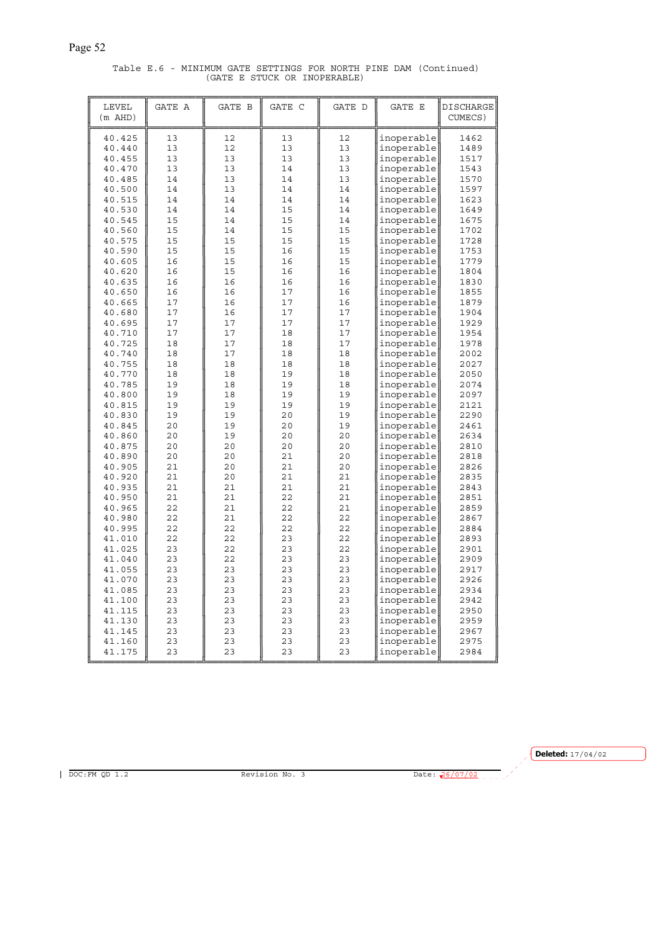|--|--|

| LEVEL<br>(m AHD) | GATE A   | GATE B   | GATE C   | GATE D   | GATE E                   | <b>DISCHARGE</b><br>CUMECS) |
|------------------|----------|----------|----------|----------|--------------------------|-----------------------------|
| 40.425           | 13       | 12       | 13       | 12       | inoperable               | 1462                        |
| 40.440           | 13       | 12       | 13       | 13       | inoperable               | 1489                        |
| 40.455           | 13       | 13       | 13       | 13       | inoperable               | 1517                        |
| 40.470           | 13       | 13       | 14       | 13       | inoperable               | 1543                        |
| 40.485           | 14       | 13       | 14       | 13       | inoperable               | 1570                        |
| 40.500           | 14       | 13       | 14       | 14       | inoperable               | 1597                        |
| 40.515           | 14       | 14       | 14       | 14       | inoperable               | 1623                        |
| 40.530           | 14       | 14       | 15       | 14       | inoperable               | 1649                        |
| 40.545           | 15       | 14       | 15       | 14       | inoperable               | 1675                        |
| 40.560           | 15       | 14       | 15       | 15       | inoperable               | 1702                        |
| 40.575           | 15       | 15       | 15       | 15       | inoperable               | 1728                        |
| 40.590           | 15       | 15       | 16       | 15       | inoperable               | 1753                        |
| 40.605           | 16       | 15       | 16       | 15       | inoperable               | 1779                        |
| 40.620           | 16       | 15       | 16       | 16       | inoperable               | 1804                        |
| 40.635           | 16       | 16       | 16       | 16       | inoperable               | 1830                        |
| 40.650           | 16       | 16       | 17       | 16       | inoperable               | 1855                        |
| 40.665           | 17       | 16       | 17       | 16       | inoperable               | 1879                        |
| 40.680           | 17       | 16       | 17       | 17       | inoperable               | 1904                        |
| 40.695           | 17       | 17       | 17       | 17       | inoperable               | 1929                        |
| 40.710           | 17       | 17       | 18       | 17       | inoperable               | 1954                        |
| 40.725           | 18       | 17       | 18       | 17       | inoperable               | 1978                        |
| 40.740           | 18       | 17       | 18       | 18       | inoperable               | 2002                        |
| 40.755           | 18       | 18       | 18       | 18       | inoperable               | 2027                        |
| 40.770           | 18       | 18       | 19       | 18       | inoperable               | 2050                        |
| 40.785           | 19       | 18       | 19       | 18       | inoperable               | 2074                        |
| 40.800           | 19       | 18       | 19       | 19       | inoperable               | 2097                        |
| 40.815           | 19       | 19       | 19       | 19       | inoperable               | 2121                        |
| 40.830           | 19       | 19       | 20       | 19       | inoperable               | 2290                        |
| 40.845           | 20       | 19       | 20       | 19       | inoperable               | 2461                        |
| 40.860           | 20       | 19       | 20       | 20       | inoperable               | 2634                        |
| 40.875           | 20<br>20 | 20<br>20 | 20<br>21 | 20<br>20 | inoperable               | 2810                        |
| 40.890           | 21       | 20       | 21       | 20       | inoperable               | 2818<br>2826                |
| 40.905<br>40.920 | 21       | 20       | 21       | 21       | inoperable<br>inoperable | 2835                        |
| 40.935           | 21       | 21       | 21       | 21       | inoperable               | 2843                        |
| 40.950           | 21       | 21       | 22       | 21       | inoperable               | 2851                        |
| 40.965           | 22       | 21       | 22       | 21       | inoperable               | 2859                        |
| 40.980           | 22       | 21       | 22       | 22       | inoperable               | 2867                        |
| 40.995           | 22       | 22       | 22       | 22       | inoperable               | 2884                        |
| 41.010           | 22       | 22       | 23       | 22       | inoperable               | 2893                        |
| 41.025           | 23       | 22       | 23       | 22       | inoperable               | 2901                        |
| 41.040           | 23       | 22       | 23       | 23       | inoperable               | 2909                        |
| 41.055           | 23       | 23       | 23       | 23       | inoperable               | 2917                        |
| 41.070           | 23       | 23       | 23       | 23       | inoperable               | 2926                        |
| 41.085           | 23       | 23       | 23       | 23       | inoperable               | 2934                        |
| 41.100           | 23       | 23       | 23       | 23       | inoperable               | 2942                        |
| 41.115           | 23       | 23       | 23       | 23       | inoperable               | 2950                        |
| 41.130           | 23       | 23       | 23       | 23       | inoperable               | 2959                        |
| 41.145           | 23       | 23       | 23       | 23       | inoperable               | 2967                        |
| 41.160           | 23       | 23       | 23       | 23       | inoperable               | 2975                        |
| 41.175           | 23       | 23       | 23       | 23       | inoperable               | 2984                        |

#### Table E.6 - MINIMUM GATE SETTINGS FOR NORTH PINE DAM (Continued) (GATE E STUCK OR INOPERABLE)

**Deleted:** 17/04/02

 $\overline{\phantom{a}}$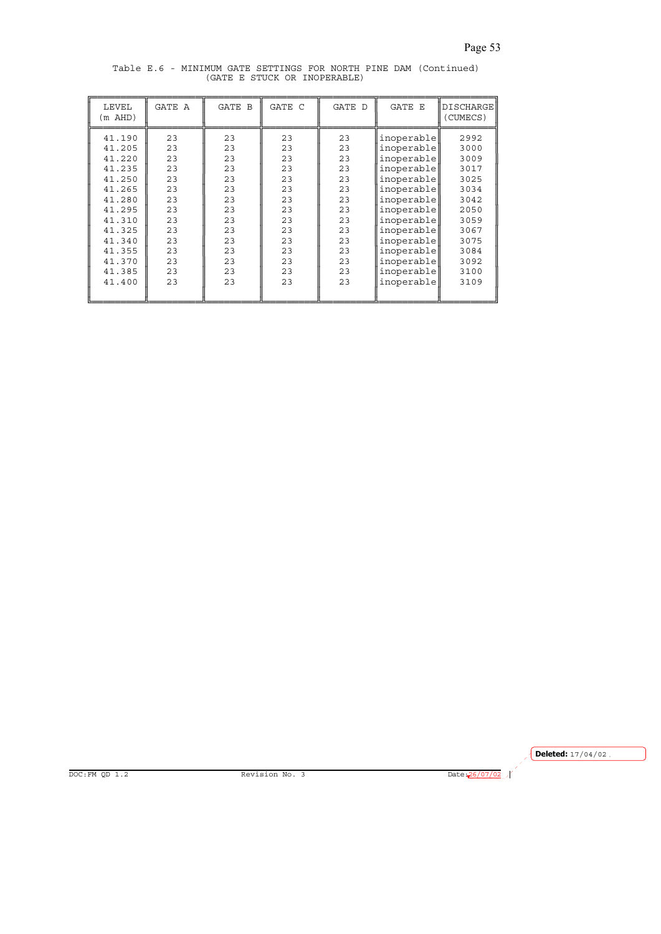| LEVEL<br>(m AHD) | GATE A | GATE B | GATE C | GATE D | GATE E     | <b>DISCHARGE</b><br>(CUMECS) |
|------------------|--------|--------|--------|--------|------------|------------------------------|
| 41.190           | 23     | 23     | 23     | 23     | inoperable | 2992                         |
| 41.205           | 23     | 23     | 23     | 23     | inoperable | 3000                         |
| 41.220           | 23     | 23     | 23     | 23     | inoperable | 3009                         |
| 41.235           | 23     | 23     | 23     | 23     | inoperable | 3017                         |
| 41.250           | 23     | 23     | 23     | 23     | inoperable | 3025                         |
| 41.265           | 23     | 23     | 23     | 23     | inoperable | 3034                         |
| 41.280           | 23     | 23     | 23     | 23     | inoperable | 3042                         |
| 41.295           | 23     | 23     | 23     | 23     | inoperable | 2050                         |
| 41.310           | 23     | 23     | 23     | 23     | inoperable | 3059                         |
| 41.325           | 23     | 23     | 23     | 23     | inoperable | 3067                         |
| 41.340           | 23     | 23     | 23     | 23     | inoperable | 3075                         |
| 41.355           | 23     | 23     | 23     | 23     | inoperable | 3084                         |
| 41.370           | 23     | 23     | 23     | 23     | inoperable | 3092                         |
| 41.385           | 23     | 23     | 23     | 23     | inoperable | 3100                         |
| 41.400           | 23     | 23     | 23     | 23     | inoperable | 3109                         |

 Table E.6 - MINIMUM GATE SETTINGS FOR NORTH PINE DAM (Continued) (GATE E STUCK OR INOPERABLE)

 $DC:FM QD 1.2$  Revision No. 3 Date: $26/07/02$  /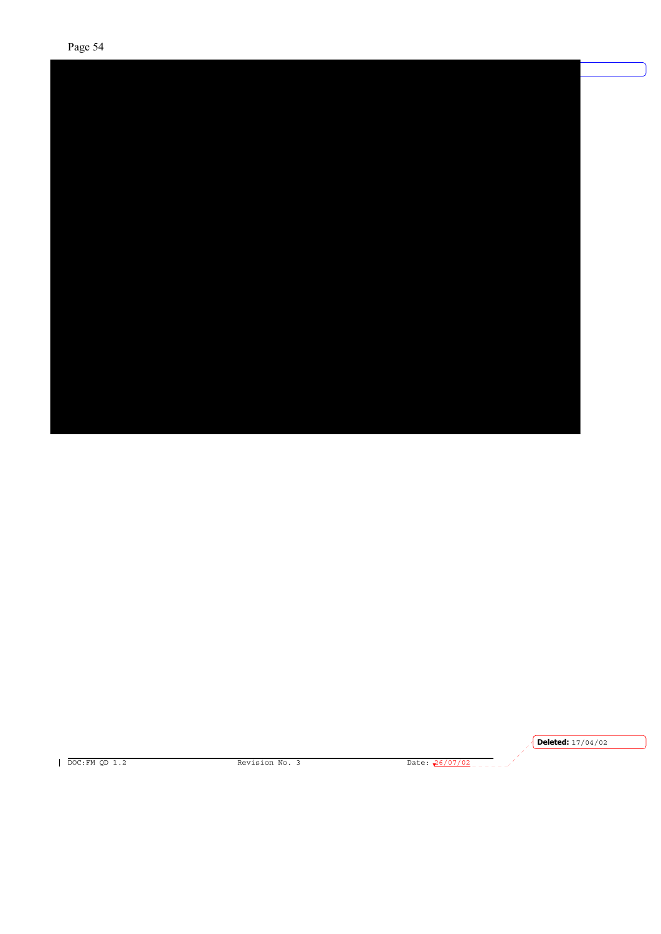<span id="page-53-0"></span>

DOC:FM QD 1.2 Revision No. 3 Date:  $26/07/02$ 

**Deleted:** 17/04/02

l.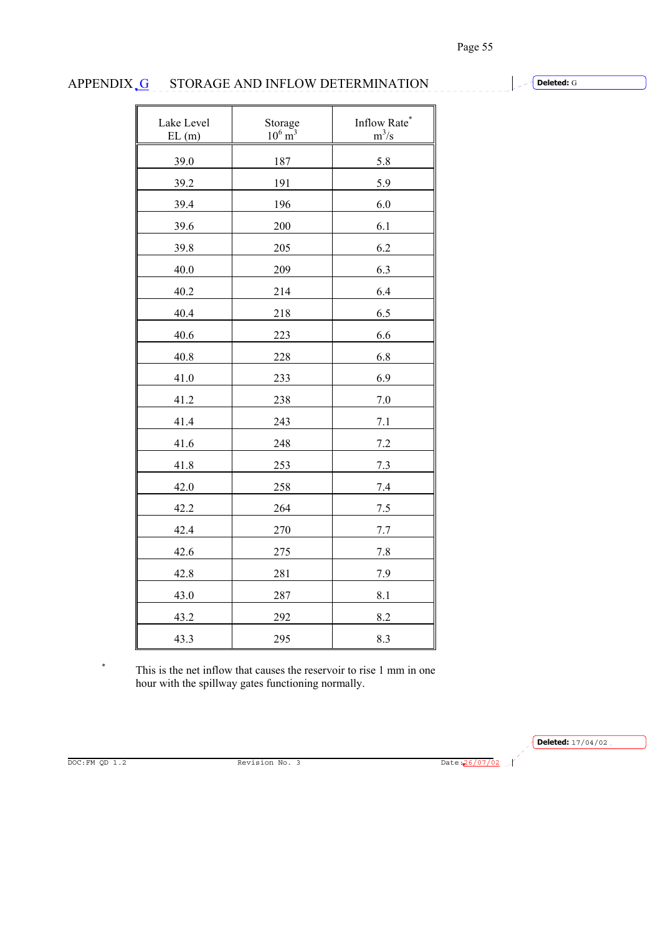## <span id="page-54-0"></span>APPENDIX $\underline{G}$  STORAGE AND INFLOW DETERMINATION

**Deleted:** G

| Lake Level<br>EL(m) | Storage<br>$10^6 \text{ m}^3$ | Inflow Rate*<br>$m^3/s$ |
|---------------------|-------------------------------|-------------------------|
| 39.0                | 187                           | 5.8                     |
| 39.2                | 191                           | 5.9                     |
| 39.4                | 196                           | 6.0                     |
| 39.6                | 200                           | 6.1                     |
| 39.8                | 205                           | 6.2                     |
| 40.0                | 209                           | 6.3                     |
| 40.2                | 214                           | 6.4                     |
| 40.4                | 218                           | 6.5                     |
| 40.6                | 223                           | 6.6                     |
| 40.8                | 228                           | 6.8                     |
| 41.0                | 233                           | 6.9                     |
| 41.2                | 238                           | 7.0                     |
| 41.4                | 243                           | 7.1                     |
| 41.6                | 248                           | 7.2                     |
| 41.8                | 253                           | 7.3                     |
| 42.0                | 258                           | 7.4                     |
| 42.2                | 264                           | 7.5                     |
| 42.4                | 270                           | 7.7                     |
| 42.6                | 275                           | 7.8                     |
| 42.8                | 281                           | 7.9                     |
| 43.0                | 287                           | 8.1                     |
| 43.2                | 292                           | 8.2                     |
| 43.3                | 295                           | 8.3                     |

 This is the net inflow that causes the reservoir to rise 1 mm in one hour with the spillway gates functioning normally.

\*